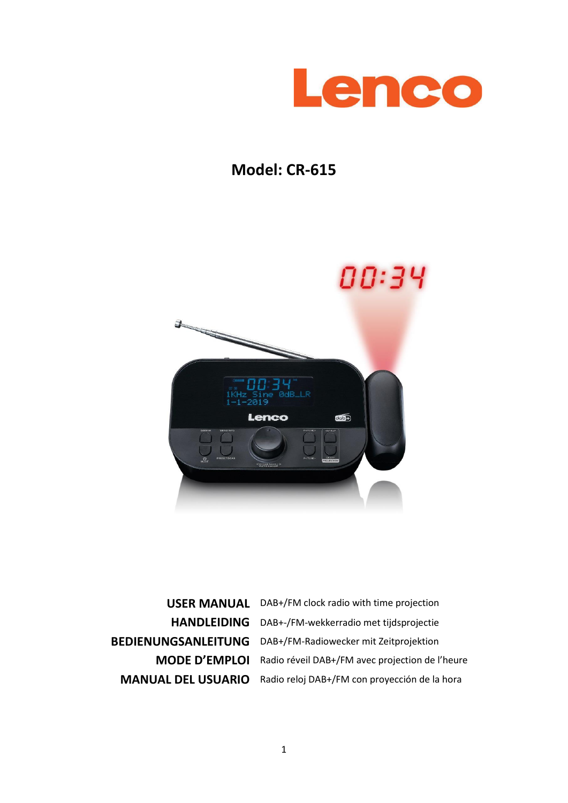

# **Model: CR-615**



**USER MANUAL** DAB+/FM clock radio with time projection **HANDLEIDING** DAB+-/FM-wekkerradio met tijdsprojectie **BEDIENUNGSANLEITUNG** DAB+/FM-Radiowecker mit Zeitprojektion **MODE D'EMPLOI** Radio réveil DAB+/FM avec projection de l'heure **MANUAL DEL USUARIO** Radio reloj DAB+/FM con proyección de la hora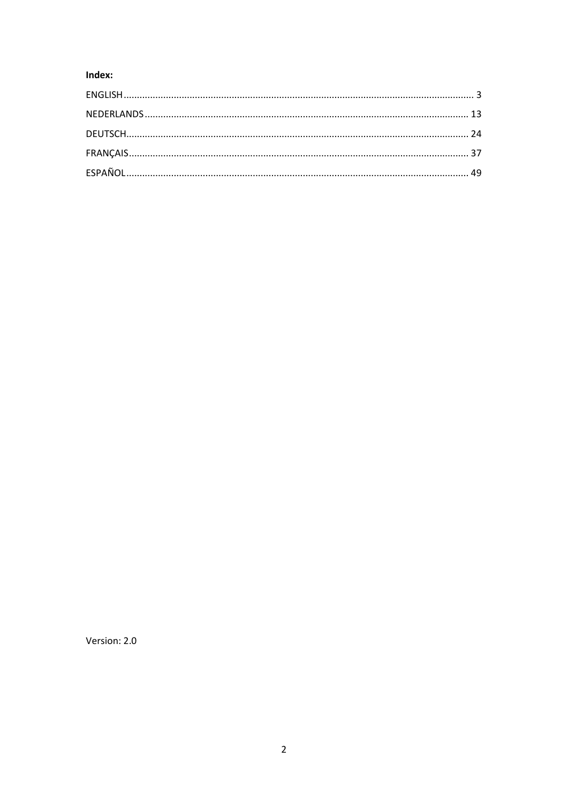# Index:

Version: 2.0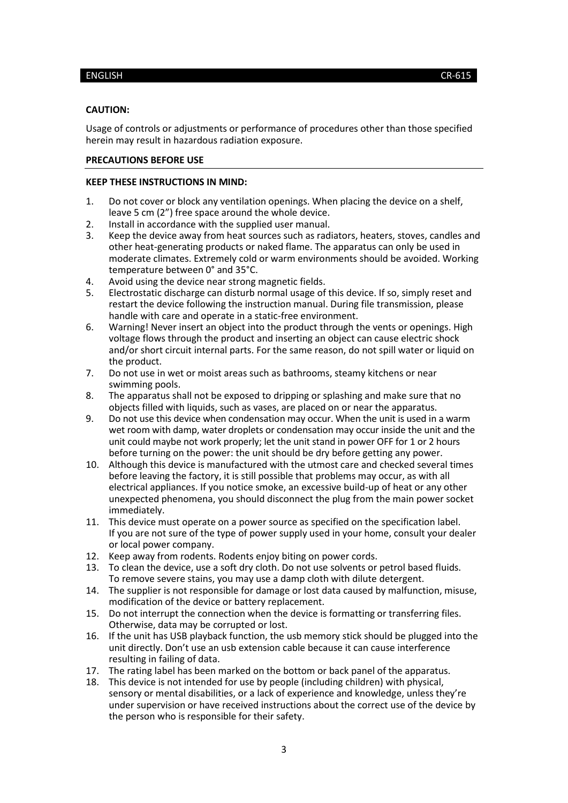#### <span id="page-2-0"></span>**CAUTION:**

Usage of controls or adjustments or performance of procedures other than those specified herein may result in hazardous radiation exposure.

#### **PRECAUTIONS BEFORE USE**

#### **KEEP THESE INSTRUCTIONS IN MIND:**

- 1. Do not cover or block any ventilation openings. When placing the device on a shelf, leave 5 cm (2") free space around the whole device.
- 2. Install in accordance with the supplied user manual.
- 3. Keep the device away from heat sources such as radiators, heaters, stoves, candles and other heat-generating products or naked flame. The apparatus can only be used in moderate climates. Extremely cold or warm environments should be avoided. Working temperature between 0° and 35°C.
- 4. Avoid using the device near strong magnetic fields.<br>5. Electrostatic discharge can disturb normal usage of
- Electrostatic discharge can disturb normal usage of this device. If so, simply reset and restart the device following the instruction manual. During file transmission, please handle with care and operate in a static-free environment.
- 6. Warning! Never insert an object into the product through the vents or openings. High voltage flows through the product and inserting an object can cause electric shock and/or short circuit internal parts. For the same reason, do not spill water or liquid on the product.
- 7. Do not use in wet or moist areas such as bathrooms, steamy kitchens or near swimming pools.
- 8. The apparatus shall not be exposed to dripping or splashing and make sure that no objects filled with liquids, such as vases, are placed on or near the apparatus.
- 9. Do not use this device when condensation may occur. When the unit is used in a warm wet room with damp, water droplets or condensation may occur inside the unit and the unit could maybe not work properly; let the unit stand in power OFF for 1 or 2 hours before turning on the power: the unit should be dry before getting any power.
- 10. Although this device is manufactured with the utmost care and checked several times before leaving the factory, it is still possible that problems may occur, as with all electrical appliances. If you notice smoke, an excessive build-up of heat or any other unexpected phenomena, you should disconnect the plug from the main power socket immediately.
- 11. This device must operate on a power source as specified on the specification label. If you are not sure of the type of power supply used in your home, consult your dealer or local power company.
- 12. Keep away from rodents. Rodents enjoy biting on power cords.
- 13. To clean the device, use a soft dry cloth. Do not use solvents or petrol based fluids. To remove severe stains, you may use a damp cloth with dilute detergent.
- 14. The supplier is not responsible for damage or lost data caused by malfunction, misuse, modification of the device or battery replacement.
- 15. Do not interrupt the connection when the device is formatting or transferring files. Otherwise, data may be corrupted or lost.
- 16. If the unit has USB playback function, the usb memory stick should be plugged into the unit directly. Don't use an usb extension cable because it can cause interference resulting in failing of data.
- 17. The rating label has been marked on the bottom or back panel of the apparatus.
- 18. This device is not intended for use by people (including children) with physical, sensory or mental disabilities, or a lack of experience and knowledge, unless they're under supervision or have received instructions about the correct use of the device by the person who is responsible for their safety.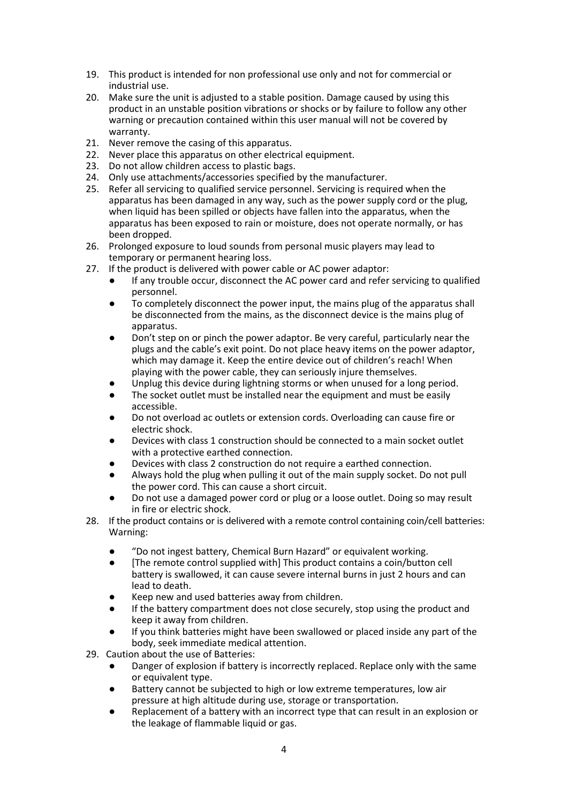- 19. This product is intended for non professional use only and not for commercial or industrial use.
- 20. Make sure the unit is adjusted to a stable position. Damage caused by using this product in an unstable position vibrations or shocks or by failure to follow any other warning or precaution contained within this user manual will not be covered by warranty.
- 21. Never remove the casing of this apparatus.
- 22. Never place this apparatus on other electrical equipment.
- 23. Do not allow children access to plastic bags.
- 24. Only use attachments/accessories specified by the manufacturer.
- 25. Refer all servicing to qualified service personnel. Servicing is required when the apparatus has been damaged in any way, such as the power supply cord or the plug, when liquid has been spilled or objects have fallen into the apparatus, when the apparatus has been exposed to rain or moisture, does not operate normally, or has been dropped.
- 26. Prolonged exposure to loud sounds from personal music players may lead to temporary or permanent hearing loss.
- 27. If the product is delivered with power cable or AC power adaptor:
	- If any trouble occur, disconnect the AC power card and refer servicing to qualified personnel.
	- To completely disconnect the power input, the mains plug of the apparatus shall be disconnected from the mains, as the disconnect device is the mains plug of apparatus.
	- Don't step on or pinch the power adaptor. Be very careful, particularly near the plugs and the cable's exit point. Do not place heavy items on the power adaptor, which may damage it. Keep the entire device out of children's reach! When playing with the power cable, they can seriously injure themselves.
	- Unplug this device during lightning storms or when unused for a long period.
	- The socket outlet must be installed near the equipment and must be easily accessible.
	- Do not overload ac outlets or extension cords. Overloading can cause fire or electric shock.
	- Devices with class 1 construction should be connected to a main socket outlet with a protective earthed connection.
	- Devices with class 2 construction do not require a earthed connection.
	- Always hold the plug when pulling it out of the main supply socket. Do not pull the power cord. This can cause a short circuit.
	- Do not use a damaged power cord or plug or a loose outlet. Doing so may result in fire or electric shock.
- 28. If the product contains or is delivered with a remote control containing coin/cell batteries: Warning:
	- "Do not ingest battery, Chemical Burn Hazard" or equivalent working.
	- [The remote control supplied with] This product contains a coin/button cell battery is swallowed, it can cause severe internal burns in just 2 hours and can lead to death.
	- Keep new and used batteries away from children.
	- If the battery compartment does not close securely, stop using the product and keep it away from children.
	- If you think batteries might have been swallowed or placed inside any part of the body, seek immediate medical attention.
- 29. Caution about the use of Batteries:
	- Danger of explosion if battery is incorrectly replaced. Replace only with the same or equivalent type.
	- Battery cannot be subjected to high or low extreme temperatures, low air pressure at high altitude during use, storage or transportation.
	- Replacement of a battery with an incorrect type that can result in an explosion or the leakage of flammable liquid or gas.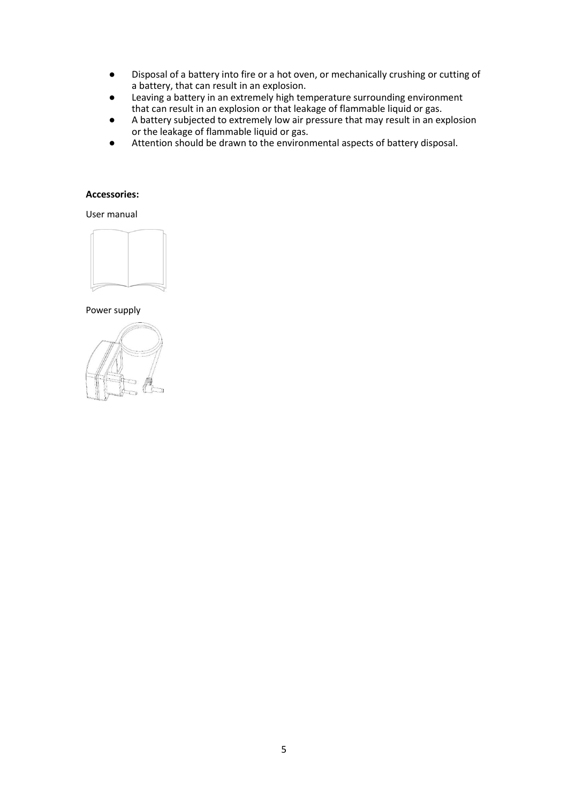- Disposal of a battery into fire or a hot oven, or mechanically crushing or cutting of a battery, that can result in an explosion.
- Leaving a battery in an extremely high temperature surrounding environment that can result in an explosion or that leakage of flammable liquid or gas.
- A battery subjected to extremely low air pressure that may result in an explosion or the leakage of flammable liquid or gas.
- Attention should be drawn to the environmental aspects of battery disposal.

## **Accessories:**

User manual



Power supply

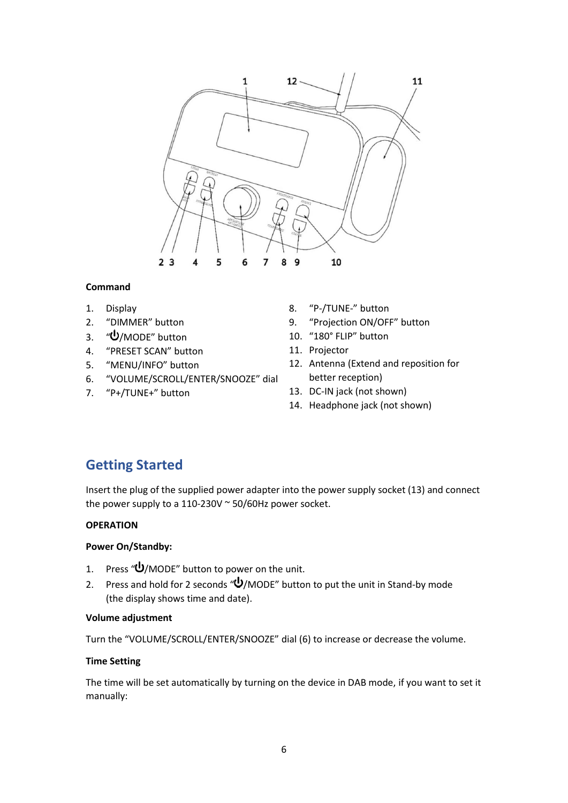

# **Command**

- 1. Display
- 2. "DIMMER" button
- 3.  $\sqrt{\frac{1}{2}}$ MODE" button
- 4. "PRESET SCAN" button
- 5. "MENU/INFO" button
- 6. "VOLUME/SCROLL/ENTER/SNOOZE" dial
- 7. "P+/TUNE+" button
- 8. "P-/TUNE-" button
- 9. "Projection ON/OFF" button
- 10. "180° FLIP" button
	- 11. Projector
	- 12. Antenna (Extend and reposition for better reception)
	- 13. DC-IN jack (not shown)
	- 14. Headphone jack (not shown)

# **Getting Started**

Insert the plug of the supplied power adapter into the power supply socket (13) and connect the power supply to a 110-230V  $\sim$  50/60Hz power socket.

## **OPERATION**

### **Power On/Standby:**

- 1. Press " $\bigcup$ /MODE" button to power on the unit.
- 2. Press and hold for 2 seconds " $\psi$ /MODE" button to put the unit in Stand-by mode (the display shows time and date).

### **Volume adjustment**

Turn the "VOLUME/SCROLL/ENTER/SNOOZE" dial (6) to increase or decrease the volume.

### **Time Setting**

The time will be set automatically by turning on the device in DAB mode, if you want to set it manually: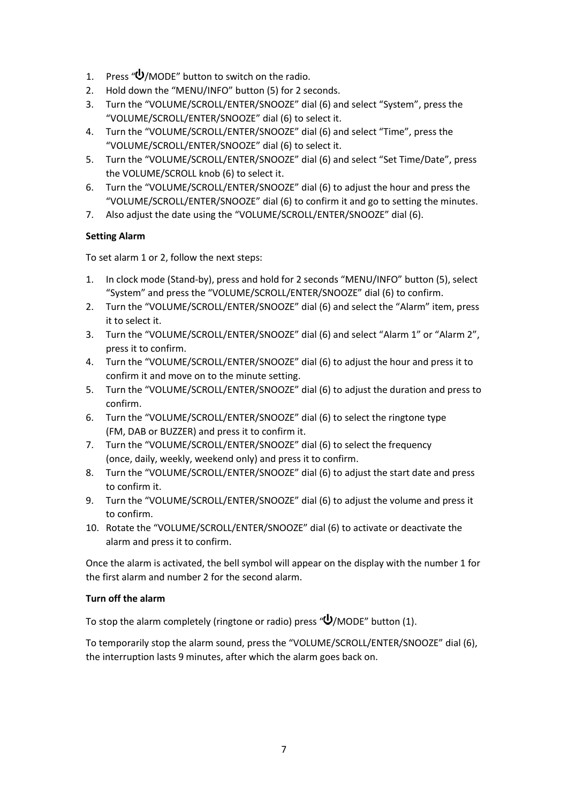- 1. Press " $\bigcup$ /MODE" button to switch on the radio.
- 2. Hold down the "MENU/INFO" button (5) for 2 seconds.
- 3. Turn the "VOLUME/SCROLL/ENTER/SNOOZE" dial (6) and select "System", press the "VOLUME/SCROLL/ENTER/SNOOZE" dial (6) to select it.
- 4. Turn the "VOLUME/SCROLL/ENTER/SNOOZE" dial (6) and select "Time", press the "VOLUME/SCROLL/ENTER/SNOOZE" dial (6) to select it.
- 5. Turn the "VOLUME/SCROLL/ENTER/SNOOZE" dial (6) and select "Set Time/Date", press the VOLUME/SCROLL knob (6) to select it.
- 6. Turn the "VOLUME/SCROLL/ENTER/SNOOZE" dial (6) to adjust the hour and press the "VOLUME/SCROLL/ENTER/SNOOZE" dial (6) to confirm it and go to setting the minutes.
- 7. Also adjust the date using the "VOLUME/SCROLL/ENTER/SNOOZE" dial (6).

# **Setting Alarm**

To set alarm 1 or 2, follow the next steps:

- 1. In clock mode (Stand-by), press and hold for 2 seconds "MENU/INFO" button (5), select "System" and press the "VOLUME/SCROLL/ENTER/SNOOZE" dial (6) to confirm.
- 2. Turn the "VOLUME/SCROLL/ENTER/SNOOZE" dial (6) and select the "Alarm" item, press it to select it.
- 3. Turn the "VOLUME/SCROLL/ENTER/SNOOZE" dial (6) and select "Alarm 1" or "Alarm 2", press it to confirm.
- 4. Turn the "VOLUME/SCROLL/ENTER/SNOOZE" dial (6) to adjust the hour and press it to confirm it and move on to the minute setting.
- 5. Turn the "VOLUME/SCROLL/ENTER/SNOOZE" dial (6) to adjust the duration and press to confirm.
- 6. Turn the "VOLUME/SCROLL/ENTER/SNOOZE" dial (6) to select the ringtone type (FM, DAB or BUZZER) and press it to confirm it.
- 7. Turn the "VOLUME/SCROLL/ENTER/SNOOZE" dial (6) to select the frequency (once, daily, weekly, weekend only) and press it to confirm.
- 8. Turn the "VOLUME/SCROLL/ENTER/SNOOZE" dial (6) to adjust the start date and press to confirm it.
- 9. Turn the "VOLUME/SCROLL/ENTER/SNOOZE" dial (6) to adjust the volume and press it to confirm.
- 10. Rotate the "VOLUME/SCROLL/ENTER/SNOOZE" dial (6) to activate or deactivate the alarm and press it to confirm.

Once the alarm is activated, the bell symbol will appear on the display with the number 1 for the first alarm and number 2 for the second alarm.

# **Turn off the alarm**

To stop the alarm completely (ringtone or radio) press  $\mathbf{w}'$ /MODE" button (1).

To temporarily stop the alarm sound, press the "VOLUME/SCROLL/ENTER/SNOOZE" dial (6), the interruption lasts 9 minutes, after which the alarm goes back on.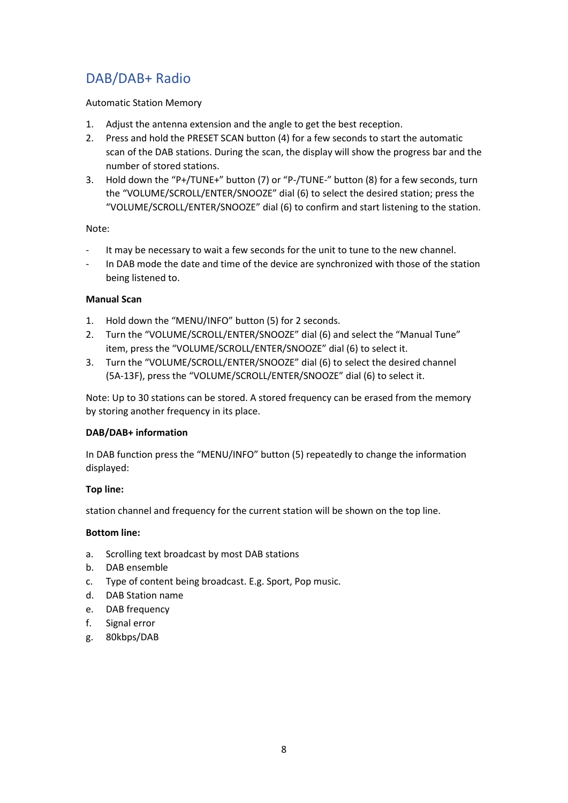# DAB/DAB+ Radio

# Automatic Station Memory

- 1. Adjust the antenna extension and the angle to get the best reception.
- 2. Press and hold the PRESET SCAN button (4) for a few seconds to start the automatic scan of the DAB stations. During the scan, the display will show the progress bar and the number of stored stations.
- 3. Hold down the "P+/TUNE+" button (7) or "P-/TUNE-" button (8) for a few seconds, turn the "VOLUME/SCROLL/ENTER/SNOOZE" dial (6) to select the desired station; press the "VOLUME/SCROLL/ENTER/SNOOZE" dial (6) to confirm and start listening to the station.

Note:

- It may be necessary to wait a few seconds for the unit to tune to the new channel.
- ‐ In DAB mode the date and time of the device are synchronized with those of the station being listened to.

# **Manual Scan**

- 1. Hold down the "MENU/INFO" button (5) for 2 seconds.
- 2. Turn the "VOLUME/SCROLL/ENTER/SNOOZE" dial (6) and select the "Manual Tune" item, press the "VOLUME/SCROLL/ENTER/SNOOZE" dial (6) to select it.
- 3. Turn the "VOLUME/SCROLL/ENTER/SNOOZE" dial (6) to select the desired channel (5A-13F), press the "VOLUME/SCROLL/ENTER/SNOOZE" dial (6) to select it.

Note: Up to 30 stations can be stored. A stored frequency can be erased from the memory by storing another frequency in its place.

# **DAB/DAB+ information**

In DAB function press the "MENU/INFO" button (5) repeatedly to change the information displayed:

# **Top line:**

station channel and frequency for the current station will be shown on the top line.

# **Bottom line:**

- a. Scrolling text broadcast by most DAB stations
- b. DAB ensemble
- c. Type of content being broadcast. E.g. Sport, Pop music.
- d. DAB Station name
- e. DAB frequency
- f. Signal error
- g. 80kbps/DAB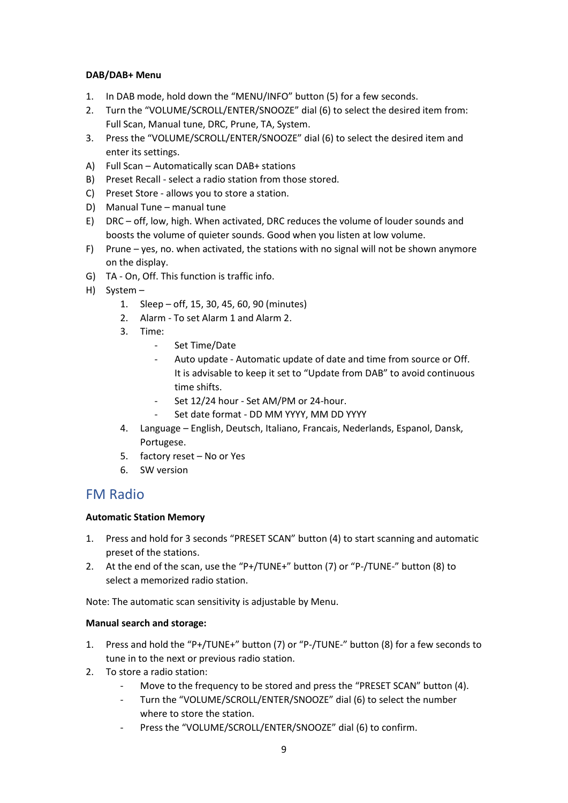## **DAB/DAB+ Menu**

- 1. In DAB mode, hold down the "MENU/INFO" button (5) for a few seconds.
- 2. Turn the "VOLUME/SCROLL/ENTER/SNOOZE" dial (6) to select the desired item from: Full Scan, Manual tune, DRC, Prune, TA, System.
- 3. Press the "VOLUME/SCROLL/ENTER/SNOOZE" dial (6) to select the desired item and enter its settings.
- A) Full Scan Automatically scan DAB+ stations
- B) Preset Recall select a radio station from those stored.
- C) Preset Store allows you to store a station.
- D) Manual Tune manual tune
- E) DRC off, low, high. When activated, DRC reduces the volume of louder sounds and boosts the volume of quieter sounds. Good when you listen at low volume.
- F) Prune yes, no. when activated, the stations with no signal will not be shown anymore on the display.
- G) TA On, Off. This function is traffic info.
- H) System
	- 1. Sleep off, 15, 30, 45, 60, 90 (minutes)
	- 2. Alarm To set Alarm 1 and Alarm 2.
	- 3. Time:
		- ‐ Set Time/Date
		- Auto update Automatic update of date and time from source or Off. It is advisable to keep it set to "Update from DAB" to avoid continuous time shifts.
		- Set 12/24 hour Set AM/PM or 24-hour.
		- Set date format DD MM YYYY, MM DD YYYY
	- 4. Language English, Deutsch, Italiano, Francais, Nederlands, Espanol, Dansk, Portugese.
	- 5. factory reset No or Yes
	- 6. SW version

# FM Radio

### **Automatic Station Memory**

- 1. Press and hold for 3 seconds "PRESET SCAN" button (4) to start scanning and automatic preset of the stations.
- 2. At the end of the scan, use the "P+/TUNE+" button (7) or "P-/TUNE-" button (8) to select a memorized radio station.

Note: The automatic scan sensitivity is adjustable by Menu.

### **Manual search and storage:**

- 1. Press and hold the "P+/TUNE+" button (7) or "P-/TUNE-" button (8) for a few seconds to tune in to the next or previous radio station.
- 2. To store a radio station:
	- Move to the frequency to be stored and press the "PRESET SCAN" button (4).
	- ‐ Turn the "VOLUME/SCROLL/ENTER/SNOOZE" dial (6) to select the number where to store the station.
	- ‐ Press the "VOLUME/SCROLL/ENTER/SNOOZE" dial (6) to confirm.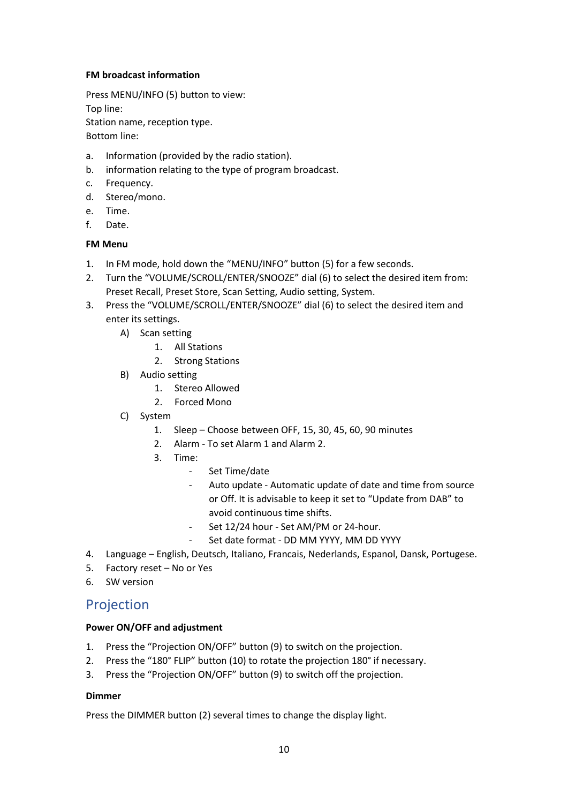## **FM broadcast information**

Press MENU/INFO (5) button to view: Top line: Station name, reception type.

Bottom line:

- a. Information (provided by the radio station).
- b. information relating to the type of program broadcast.
- c. Frequency.
- d. Stereo/mono.
- e. Time.
- f. Date.

# **FM Menu**

- 1. In FM mode, hold down the "MENU/INFO" button (5) for a few seconds.
- 2. Turn the "VOLUME/SCROLL/ENTER/SNOOZE" dial (6) to select the desired item from: Preset Recall, Preset Store, Scan Setting, Audio setting, System.
- 3. Press the "VOLUME/SCROLL/ENTER/SNOOZE" dial (6) to select the desired item and enter its settings.
	- A) Scan setting
		- 1. All Stations
		- 2. Strong Stations
	- B) Audio setting
		- 1. Stereo Allowed
		- 2. Forced Mono
	- C) System
		- 1. Sleep Choose between OFF, 15, 30, 45, 60, 90 minutes
		- 2. Alarm To set Alarm 1 and Alarm 2.
		- 3. Time:
			- ‐ Set Time/date
			- ‐ Auto update Automatic update of date and time from source or Off. It is advisable to keep it set to "Update from DAB" to avoid continuous time shifts.
			- Set 12/24 hour Set AM/PM or 24-hour.
			- Set date format DD MM YYYY, MM DD YYYY
- 4. Language English, Deutsch, Italiano, Francais, Nederlands, Espanol, Dansk, Portugese.
- 5. Factory reset No or Yes
- 6. SW version

# Projection

# **Power ON/OFF and adjustment**

- 1. Press the "Projection ON/OFF" button (9) to switch on the projection.
- 2. Press the "180° FLIP" button (10) to rotate the projection 180° if necessary.
- 3. Press the "Projection ON/OFF" button (9) to switch off the projection.

# **Dimmer**

Press the DIMMER button (2) several times to change the display light.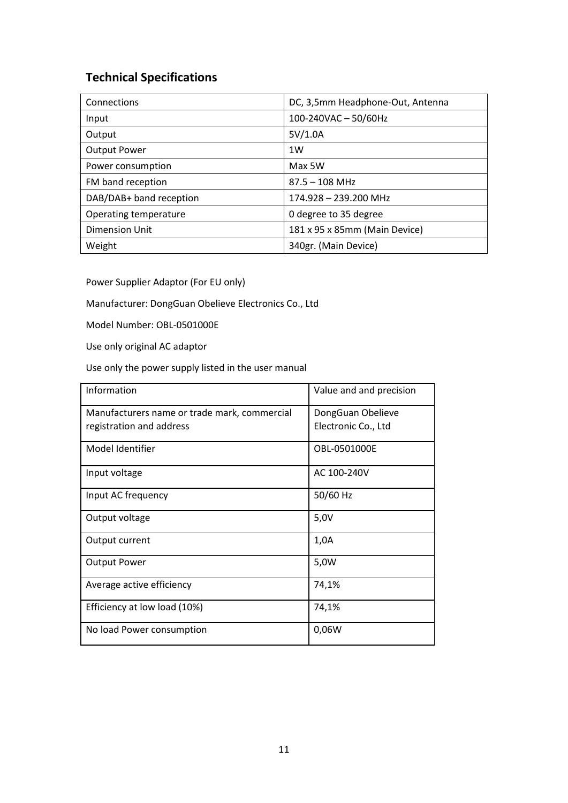# **Technical Specifications**

| Connections             | DC, 3,5mm Headphone-Out, Antenna |
|-------------------------|----------------------------------|
| Input                   | 100-240VAC-50/60Hz               |
| Output                  | 5V/1.0A                          |
| <b>Output Power</b>     | 1W                               |
| Power consumption       | Max 5W                           |
| FM band reception       | $87.5 - 108$ MHz                 |
| DAB/DAB+ band reception | 174.928 - 239.200 MHz            |
| Operating temperature   | 0 degree to 35 degree            |
| <b>Dimension Unit</b>   | 181 x 95 x 85mm (Main Device)    |
| Weight                  | 340gr. (Main Device)             |

Power Supplier Adaptor (For EU only)

Manufacturer: DongGuan Obelieve Electronics Co., Ltd

Model Number: OBL-0501000E

Use only original AC adaptor

Use only the power supply listed in the user manual

| Information                                  | Value and and precision |
|----------------------------------------------|-------------------------|
| Manufacturers name or trade mark, commercial | DongGuan Obelieve       |
| registration and address                     | Electronic Co., Ltd     |
| Model Identifier                             | OBL-0501000E            |
| Input voltage                                | AC 100-240V             |
| Input AC frequency                           | 50/60 Hz                |
| Output voltage                               | 5,0V                    |
| Output current                               | 1,0A                    |
| <b>Output Power</b>                          | 5,0W                    |
| Average active efficiency                    | 74,1%                   |
| Efficiency at low load (10%)                 | 74,1%                   |
| No load Power consumption                    | 0,06W                   |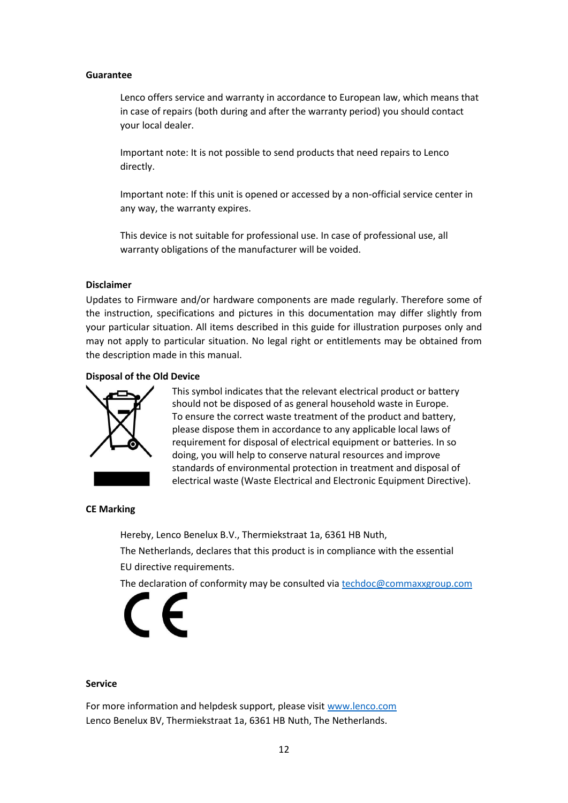#### **Guarantee**

Lenco offers service and warranty in accordance to European law, which means that in case of repairs (both during and after the warranty period) you should contact your local dealer.

Important note: It is not possible to send products that need repairs to Lenco directly.

Important note: If this unit is opened or accessed by a non-official service center in any way, the warranty expires.

This device is not suitable for professional use. In case of professional use, all warranty obligations of the manufacturer will be voided.

#### **Disclaimer**

Updates to Firmware and/or hardware components are made regularly. Therefore some of the instruction, specifications and pictures in this documentation may differ slightly from your particular situation. All items described in this guide for illustration purposes only and may not apply to particular situation. No legal right or entitlements may be obtained from the description made in this manual.

#### **Disposal of the Old Device**



This symbol indicates that the relevant electrical product or battery should not be disposed of as general household waste in Europe. To ensure the correct waste treatment of the product and battery, please dispose them in accordance to any applicable local laws of requirement for disposal of electrical equipment or batteries. In so doing, you will help to conserve natural resources and improve standards of environmental protection in treatment and disposal of electrical waste (Waste Electrical and Electronic Equipment Directive).

#### **CE Marking**

Hereby, Lenco Benelux B.V., Thermiekstraat 1a, 6361 HB Nuth, The Netherlands, declares that this product is in compliance with the essential EU directive requirements.

The declaration of conformity may be consulted via [techdoc@commaxxgroup.com](mailto:techdoc@commaxxgroup.com)



#### **Service**

For more information and helpdesk support, please visit [www.lenco.com](http://www.lenco.com/) Lenco Benelux BV, Thermiekstraat 1a, 6361 HB Nuth, The Netherlands.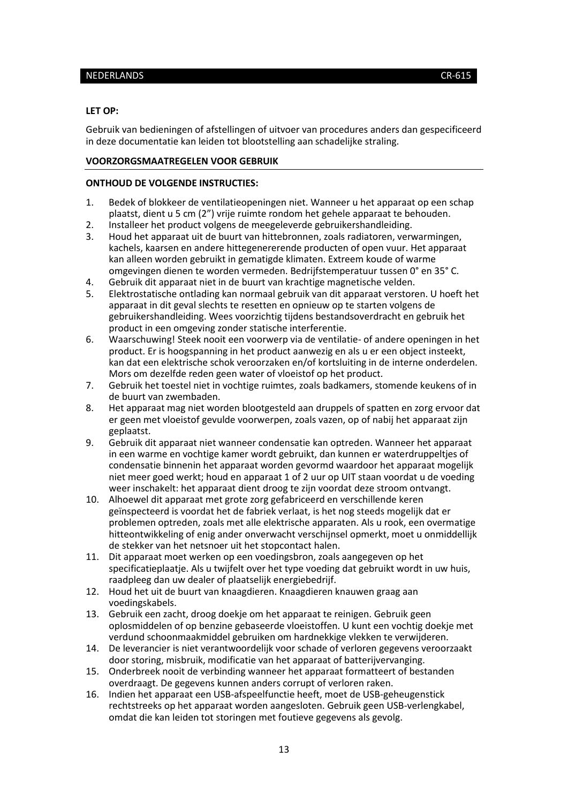#### <span id="page-12-0"></span>NEDERLANDS CR-615

#### **LET OP:**

Gebruik van bedieningen of afstellingen of uitvoer van procedures anders dan gespecificeerd in deze documentatie kan leiden tot blootstelling aan schadelijke straling.

### **VOORZORGSMAATREGELEN VOOR GEBRUIK**

#### **ONTHOUD DE VOLGENDE INSTRUCTIES:**

- 1. Bedek of blokkeer de ventilatieopeningen niet. Wanneer u het apparaat op een schap plaatst, dient u 5 cm (2") vrije ruimte rondom het gehele apparaat te behouden.
- 2. Installeer het product volgens de meegeleverde gebruikershandleiding.<br>2. Houd het apparaat uit de buurt van hittebronnen, zoals radiatoren, ver
- 3. Houd het apparaat uit de buurt van hittebronnen, zoals radiatoren, verwarmingen, kachels, kaarsen en andere hittegenererende producten of open vuur. Het apparaat kan alleen worden gebruikt in gematigde klimaten. Extreem koude of warme omgevingen dienen te worden vermeden. Bedrijfstemperatuur tussen 0° en 35° C.
- 4. Gebruik dit apparaat niet in de buurt van krachtige magnetische velden.
- 5. Elektrostatische ontlading kan normaal gebruik van dit apparaat verstoren. U hoeft het apparaat in dit geval slechts te resetten en opnieuw op te starten volgens de gebruikershandleiding. Wees voorzichtig tijdens bestandsoverdracht en gebruik het product in een omgeving zonder statische interferentie.
- 6. Waarschuwing! Steek nooit een voorwerp via de ventilatie- of andere openingen in het product. Er is hoogspanning in het product aanwezig en als u er een object insteekt, kan dat een elektrische schok veroorzaken en/of kortsluiting in de interne onderdelen. Mors om dezelfde reden geen water of vloeistof op het product.
- 7. Gebruik het toestel niet in vochtige ruimtes, zoals badkamers, stomende keukens of in de buurt van zwembaden.
- 8. Het apparaat mag niet worden blootgesteld aan druppels of spatten en zorg ervoor dat er geen met vloeistof gevulde voorwerpen, zoals vazen, op of nabij het apparaat zijn geplaatst.
- 9. Gebruik dit apparaat niet wanneer condensatie kan optreden. Wanneer het apparaat in een warme en vochtige kamer wordt gebruikt, dan kunnen er waterdruppeltjes of condensatie binnenin het apparaat worden gevormd waardoor het apparaat mogelijk niet meer goed werkt; houd en apparaat 1 of 2 uur op UIT staan voordat u de voeding weer inschakelt: het apparaat dient droog te zijn voordat deze stroom ontvangt.
- 10. Alhoewel dit apparaat met grote zorg gefabriceerd en verschillende keren geïnspecteerd is voordat het de fabriek verlaat, is het nog steeds mogelijk dat er problemen optreden, zoals met alle elektrische apparaten. Als u rook, een overmatige hitteontwikkeling of enig ander onverwacht verschijnsel opmerkt, moet u onmiddellijk de stekker van het netsnoer uit het stopcontact halen.
- 11. Dit apparaat moet werken op een voedingsbron, zoals aangegeven op het specificatieplaatje. Als u twijfelt over het type voeding dat gebruikt wordt in uw huis, raadpleeg dan uw dealer of plaatselijk energiebedrijf.
- 12. Houd het uit de buurt van knaagdieren. Knaagdieren knauwen graag aan voedingskabels.
- 13. Gebruik een zacht, droog doekje om het apparaat te reinigen. Gebruik geen oplosmiddelen of op benzine gebaseerde vloeistoffen. U kunt een vochtig doekje met verdund schoonmaakmiddel gebruiken om hardnekkige vlekken te verwijderen.
- 14. De leverancier is niet verantwoordelijk voor schade of verloren gegevens veroorzaakt door storing, misbruik, modificatie van het apparaat of batterijvervanging.
- 15. Onderbreek nooit de verbinding wanneer het apparaat formatteert of bestanden overdraagt. De gegevens kunnen anders corrupt of verloren raken.
- 16. Indien het apparaat een USB-afspeelfunctie heeft, moet de USB-geheugenstick rechtstreeks op het apparaat worden aangesloten. Gebruik geen USB-verlengkabel, omdat die kan leiden tot storingen met foutieve gegevens als gevolg.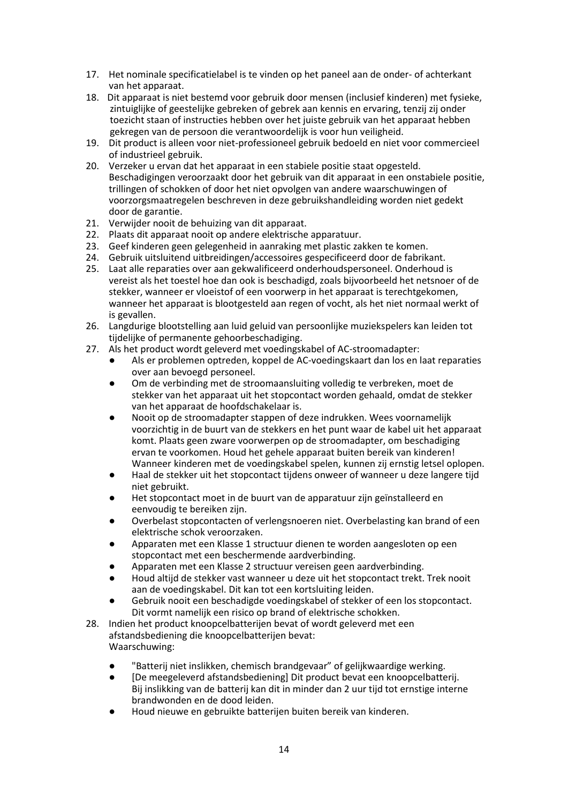- 17. Het nominale specificatielabel is te vinden op het paneel aan de onder- of achterkant van het apparaat.
- 18. Dit apparaat is niet bestemd voor gebruik door mensen (inclusief kinderen) met fysieke, zintuiglijke of geestelijke gebreken of gebrek aan kennis en ervaring, tenzij zij onder toezicht staan of instructies hebben over het juiste gebruik van het apparaat hebben gekregen van de persoon die verantwoordelijk is voor hun veiligheid.
- 19. Dit product is alleen voor niet-professioneel gebruik bedoeld en niet voor commercieel of industrieel gebruik.
- 20. Verzeker u ervan dat het apparaat in een stabiele positie staat opgesteld. Beschadigingen veroorzaakt door het gebruik van dit apparaat in een onstabiele positie, trillingen of schokken of door het niet opvolgen van andere waarschuwingen of voorzorgsmaatregelen beschreven in deze gebruikshandleiding worden niet gedekt door de garantie.
- 21. Verwijder nooit de behuizing van dit apparaat.
- 22. Plaats dit apparaat nooit op andere elektrische apparatuur.
- 23. Geef kinderen geen gelegenheid in aanraking met plastic zakken te komen.
- 24. Gebruik uitsluitend uitbreidingen/accessoires gespecificeerd door de fabrikant.
- 25. Laat alle reparaties over aan gekwalificeerd onderhoudspersoneel. Onderhoud is vereist als het toestel hoe dan ook is beschadigd, zoals bijvoorbeeld het netsnoer of de stekker, wanneer er vloeistof of een voorwerp in het apparaat is terechtgekomen, wanneer het apparaat is blootgesteld aan regen of vocht, als het niet normaal werkt of is gevallen.
- 26. Langdurige blootstelling aan luid geluid van persoonlijke muziekspelers kan leiden tot tijdelijke of permanente gehoorbeschadiging.
- 27. Als het product wordt geleverd met voedingskabel of AC-stroomadapter:
	- Als er problemen optreden, koppel de AC-voedingskaart dan los en laat reparaties over aan bevoegd personeel.
	- Om de verbinding met de stroomaansluiting volledig te verbreken, moet de stekker van het apparaat uit het stopcontact worden gehaald, omdat de stekker van het apparaat de hoofdschakelaar is.
	- Nooit op de stroomadapter stappen of deze indrukken. Wees voornamelijk voorzichtig in de buurt van de stekkers en het punt waar de kabel uit het apparaat komt. Plaats geen zware voorwerpen op de stroomadapter, om beschadiging ervan te voorkomen. Houd het gehele apparaat buiten bereik van kinderen! Wanneer kinderen met de voedingskabel spelen, kunnen zij ernstig letsel oplopen.
	- Haal de stekker uit het stopcontact tijdens onweer of wanneer u deze langere tijd niet gebruikt.
	- Het stopcontact moet in de buurt van de apparatuur zijn geïnstalleerd en eenvoudig te bereiken zijn.
	- Overbelast stopcontacten of verlengsnoeren niet. Overbelasting kan brand of een elektrische schok veroorzaken.
	- Apparaten met een Klasse 1 structuur dienen te worden aangesloten op een stopcontact met een beschermende aardverbinding.
	- Apparaten met een Klasse 2 structuur vereisen geen aardverbinding.
	- Houd altijd de stekker vast wanneer u deze uit het stopcontact trekt. Trek nooit aan de voedingskabel. Dit kan tot een kortsluiting leiden.
	- Gebruik nooit een beschadigde voedingskabel of stekker of een los stopcontact. Dit vormt namelijk een risico op brand of elektrische schokken.
- 28. Indien het product knoopcelbatterijen bevat of wordt geleverd met een afstandsbediening die knoopcelbatterijen bevat: Waarschuwing:
	- "Batterij niet inslikken, chemisch brandgevaar" of gelijkwaardige werking.
	- [De meegeleverd afstandsbediening] Dit product bevat een knoopcelbatterij. Bij inslikking van de batterij kan dit in minder dan 2 uur tijd tot ernstige interne brandwonden en de dood leiden.
	- Houd nieuwe en gebruikte batterijen buiten bereik van kinderen.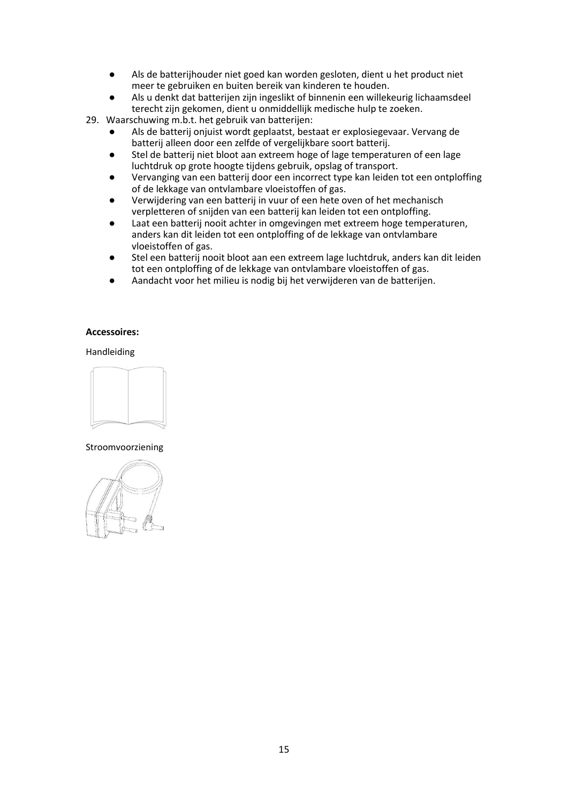- Als de batterijhouder niet goed kan worden gesloten, dient u het product niet meer te gebruiken en buiten bereik van kinderen te houden.
- Als u denkt dat batterijen zijn ingeslikt of binnenin een willekeurig lichaamsdeel terecht zijn gekomen, dient u onmiddellijk medische hulp te zoeken.
- 29. Waarschuwing m.b.t. het gebruik van batterijen:
	- Als de batterij onjuist wordt geplaatst, bestaat er explosiegevaar. Vervang de batterij alleen door een zelfde of vergelijkbare soort batterij.
	- Stel de batterij niet bloot aan extreem hoge of lage temperaturen of een lage luchtdruk op grote hoogte tijdens gebruik, opslag of transport.
	- Vervanging van een batterij door een incorrect type kan leiden tot een ontploffing of de lekkage van ontvlambare vloeistoffen of gas.
	- Verwijdering van een batterij in vuur of een hete oven of het mechanisch verpletteren of snijden van een batterij kan leiden tot een ontploffing.
	- Laat een batterij nooit achter in omgevingen met extreem hoge temperaturen, anders kan dit leiden tot een ontploffing of de lekkage van ontvlambare vloeistoffen of gas.
	- Stel een batterij nooit bloot aan een extreem lage luchtdruk, anders kan dit leiden tot een ontploffing of de lekkage van ontvlambare vloeistoffen of gas.
	- Aandacht voor het milieu is nodig bij het verwijderen van de batterijen.

#### **Accessoires:**

Handleiding



### Stroomvoorziening

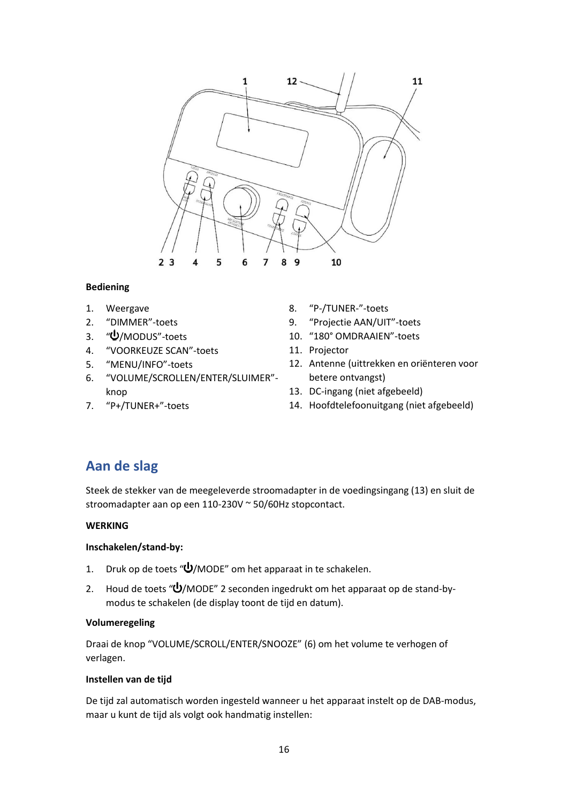

## **Bediening**

- 1. Weergave
- 2. "DIMMER"-toets
- 3. "U/MODUS"-toets
- 4. "VOORKEUZE SCAN"-toets
- 5. "MENU/INFO"-toets
- 6. "VOLUME/SCROLLEN/ENTER/SLUIMER" knop
- 7. "P+/TUNER+"-toets
- 8. "P-/TUNER-"-toets
- 9. "Projectie AAN/UIT"-toets
- 10. "180° OMDRAAIEN"-toets
	- 11. Projector
	- 12. Antenne (uittrekken en oriënteren voor betere ontvangst)
	- 13. DC-ingang (niet afgebeeld)
	- 14. Hoofdtelefoonuitgang (niet afgebeeld)

# **Aan de slag**

Steek de stekker van de meegeleverde stroomadapter in de voedingsingang (13) en sluit de stroomadapter aan op een 110-230V ~ 50/60Hz stopcontact.

# **WERKING**

# **Inschakelen/stand-by:**

- 1. Druk op de toets " $\mathbf{U}/\text{MODE}$ " om het apparaat in te schakelen.
- 2. Houd de toets " $\bigcup$ /MODE" 2 seconden ingedrukt om het apparaat op de stand-bymodus te schakelen (de display toont de tijd en datum).

# **Volumeregeling**

Draai de knop "VOLUME/SCROLL/ENTER/SNOOZE" (6) om het volume te verhogen of verlagen.

### **Instellen van de tijd**

De tijd zal automatisch worden ingesteld wanneer u het apparaat instelt op de DAB-modus, maar u kunt de tijd als volgt ook handmatig instellen: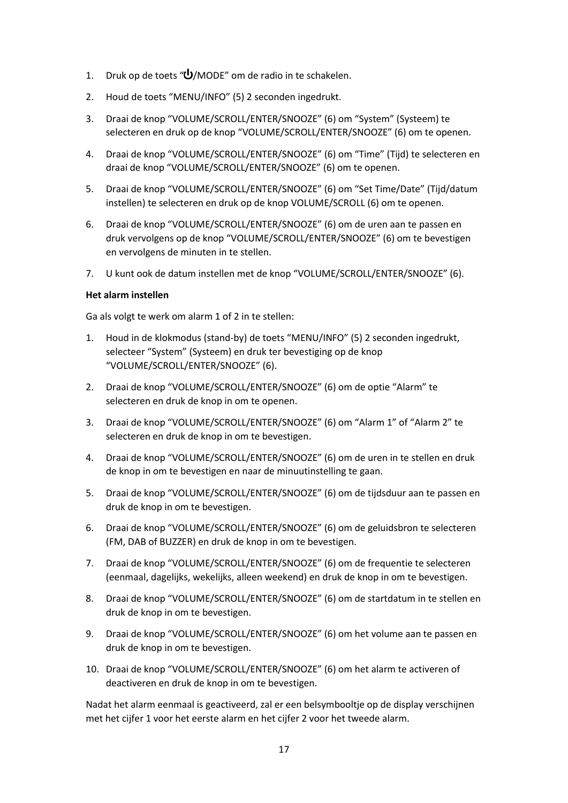- 1. Druk op de toets " $\bigcup$ /MODE" om de radio in te schakelen.
- 2. Houd de toets "MENU/INFO" (5) 2 seconden ingedrukt.
- 3. Draai de knop "VOLUME/SCROLL/ENTER/SNOOZE" (6) om "System" (Systeem) te selecteren en druk op de knop "VOLUME/SCROLL/ENTER/SNOOZE" (6) om te openen.
- 4. Draai de knop "VOLUME/SCROLL/ENTER/SNOOZE" (6) om "Time" (Tijd) te selecteren en draai de knop "VOLUME/SCROLL/ENTER/SNOOZE" (6) om te openen.
- 5. Draai de knop "VOLUME/SCROLL/ENTER/SNOOZE" (6) om "Set Time/Date" (Tijd/datum instellen) te selecteren en druk op de knop VOLUME/SCROLL (6) om te openen.
- 6. Draai de knop "VOLUME/SCROLL/ENTER/SNOOZE" (6) om de uren aan te passen en druk vervolgens op de knop "VOLUME/SCROLL/ENTER/SNOOZE" (6) om te bevestigen en vervolgens de minuten in te stellen.
- 7. U kunt ook de datum instellen met de knop "VOLUME/SCROLL/ENTER/SNOOZE" (6).

## **Het alarm instellen**

Ga als volgt te werk om alarm 1 of 2 in te stellen:

- 1. Houd in de klokmodus (stand-by) de toets "MENU/INFO" (5) 2 seconden ingedrukt, selecteer "System" (Systeem) en druk ter bevestiging op de knop "VOLUME/SCROLL/ENTER/SNOOZE" (6).
- 2. Draai de knop "VOLUME/SCROLL/ENTER/SNOOZE" (6) om de optie "Alarm" te selecteren en druk de knop in om te openen.
- 3. Draai de knop "VOLUME/SCROLL/ENTER/SNOOZE" (6) om "Alarm 1" of "Alarm 2" te selecteren en druk de knop in om te bevestigen.
- 4. Draai de knop "VOLUME/SCROLL/ENTER/SNOOZE" (6) om de uren in te stellen en druk de knop in om te bevestigen en naar de minuutinstelling te gaan.
- 5. Draai de knop "VOLUME/SCROLL/ENTER/SNOOZE" (6) om de tijdsduur aan te passen en druk de knop in om te bevestigen.
- 6. Draai de knop "VOLUME/SCROLL/ENTER/SNOOZE" (6) om de geluidsbron te selecteren (FM, DAB of BUZZER) en druk de knop in om te bevestigen.
- 7. Draai de knop "VOLUME/SCROLL/ENTER/SNOOZE" (6) om de frequentie te selecteren (eenmaal, dagelijks, wekelijks, alleen weekend) en druk de knop in om te bevestigen.
- 8. Draai de knop "VOLUME/SCROLL/ENTER/SNOOZE" (6) om de startdatum in te stellen en druk de knop in om te bevestigen.
- 9. Draai de knop "VOLUME/SCROLL/ENTER/SNOOZE" (6) om het volume aan te passen en druk de knop in om te bevestigen.
- 10. Draai de knop "VOLUME/SCROLL/ENTER/SNOOZE" (6) om het alarm te activeren of deactiveren en druk de knop in om te bevestigen.

Nadat het alarm eenmaal is geactiveerd, zal er een belsymbooltje op de display verschijnen met het cijfer 1 voor het eerste alarm en het cijfer 2 voor het tweede alarm.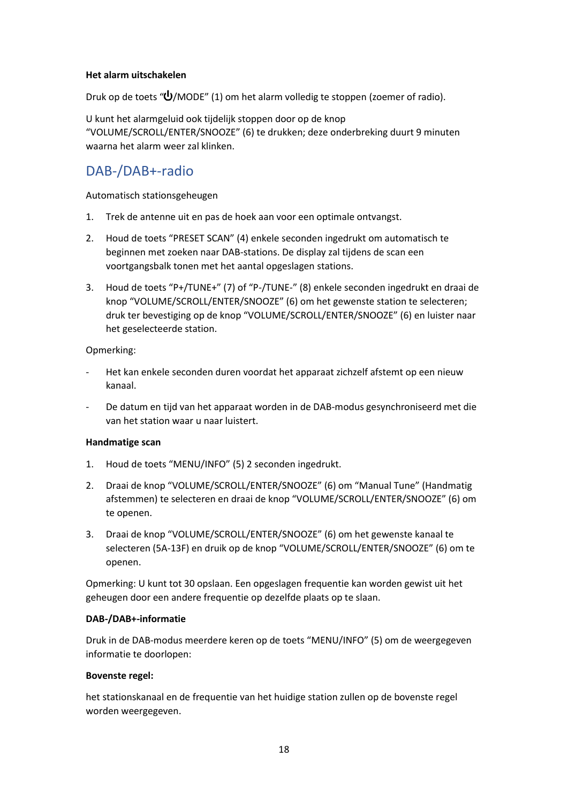## **Het alarm uitschakelen**

Druk op de toets " $\bigcup$ /MODE" (1) om het alarm volledig te stoppen (zoemer of radio).

U kunt het alarmgeluid ook tijdelijk stoppen door op de knop "VOLUME/SCROLL/ENTER/SNOOZE" (6) te drukken; deze onderbreking duurt 9 minuten waarna het alarm weer zal klinken.

# DAB-/DAB+-radio

Automatisch stationsgeheugen

- 1. Trek de antenne uit en pas de hoek aan voor een optimale ontvangst.
- 2. Houd de toets "PRESET SCAN" (4) enkele seconden ingedrukt om automatisch te beginnen met zoeken naar DAB-stations. De display zal tijdens de scan een voortgangsbalk tonen met het aantal opgeslagen stations.
- 3. Houd de toets "P+/TUNE+" (7) of "P-/TUNE-" (8) enkele seconden ingedrukt en draai de knop "VOLUME/SCROLL/ENTER/SNOOZE" (6) om het gewenste station te selecteren; druk ter bevestiging op de knop "VOLUME/SCROLL/ENTER/SNOOZE" (6) en luister naar het geselecteerde station.

## Opmerking:

- ‐ Het kan enkele seconden duren voordat het apparaat zichzelf afstemt op een nieuw kanaal.
- ‐ De datum en tijd van het apparaat worden in de DAB-modus gesynchroniseerd met die van het station waar u naar luistert.

### **Handmatige scan**

- 1. Houd de toets "MENU/INFO" (5) 2 seconden ingedrukt.
- 2. Draai de knop "VOLUME/SCROLL/ENTER/SNOOZE" (6) om "Manual Tune" (Handmatig afstemmen) te selecteren en draai de knop "VOLUME/SCROLL/ENTER/SNOOZE" (6) om te openen.
- 3. Draai de knop "VOLUME/SCROLL/ENTER/SNOOZE" (6) om het gewenste kanaal te selecteren (5A-13F) en druik op de knop "VOLUME/SCROLL/ENTER/SNOOZE" (6) om te openen.

Opmerking: U kunt tot 30 opslaan. Een opgeslagen frequentie kan worden gewist uit het geheugen door een andere frequentie op dezelfde plaats op te slaan.

### **DAB-/DAB+-informatie**

Druk in de DAB-modus meerdere keren op de toets "MENU/INFO" (5) om de weergegeven informatie te doorlopen:

### **Bovenste regel:**

het stationskanaal en de frequentie van het huidige station zullen op de bovenste regel worden weergegeven.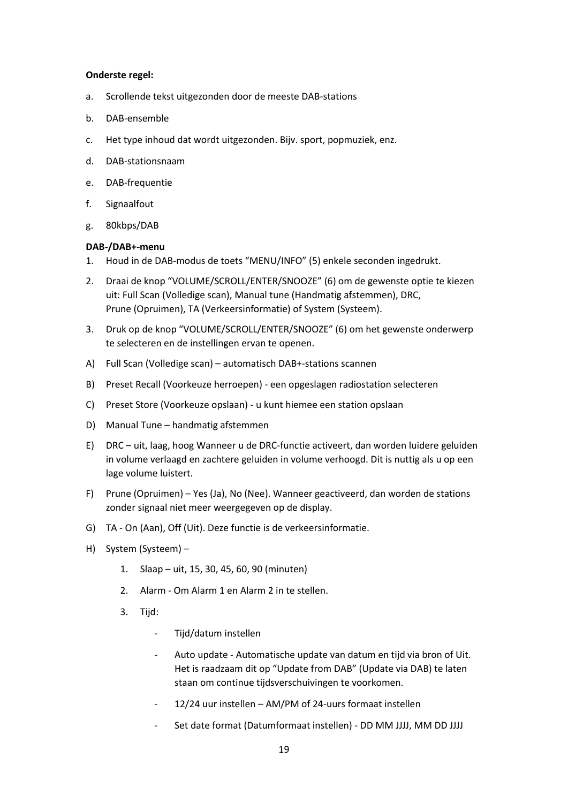#### **Onderste regel:**

- a. Scrollende tekst uitgezonden door de meeste DAB-stations
- b. DAB-ensemble
- c. Het type inhoud dat wordt uitgezonden. Bijv. sport, popmuziek, enz.
- d. DAB-stationsnaam
- e. DAB-frequentie
- f. Signaalfout
- g. 80kbps/DAB

#### **DAB-/DAB+-menu**

- 1. Houd in de DAB-modus de toets "MENU/INFO" (5) enkele seconden ingedrukt.
- 2. Draai de knop "VOLUME/SCROLL/ENTER/SNOOZE" (6) om de gewenste optie te kiezen uit: Full Scan (Volledige scan), Manual tune (Handmatig afstemmen), DRC, Prune (Opruimen), TA (Verkeersinformatie) of System (Systeem).
- 3. Druk op de knop "VOLUME/SCROLL/ENTER/SNOOZE" (6) om het gewenste onderwerp te selecteren en de instellingen ervan te openen.
- A) Full Scan (Volledige scan) automatisch DAB+-stations scannen
- B) Preset Recall (Voorkeuze herroepen) een opgeslagen radiostation selecteren
- C) Preset Store (Voorkeuze opslaan) u kunt hiemee een station opslaan
- D) Manual Tune handmatig afstemmen
- E) DRC uit, laag, hoog Wanneer u de DRC-functie activeert, dan worden luidere geluiden in volume verlaagd en zachtere geluiden in volume verhoogd. Dit is nuttig als u op een lage volume luistert.
- F) Prune (Opruimen) Yes (Ja), No (Nee). Wanneer geactiveerd, dan worden de stations zonder signaal niet meer weergegeven op de display.
- G) TA On (Aan), Off (Uit). Deze functie is de verkeersinformatie.
- H) System (Systeem)
	- 1. Slaap uit, 15, 30, 45, 60, 90 (minuten)
	- 2. Alarm Om Alarm 1 en Alarm 2 in te stellen.
	- 3. Tiid:
		- ‐ Tijd/datum instellen
		- ‐ Auto update Automatische update van datum en tijd via bron of Uit. Het is raadzaam dit op "Update from DAB" (Update via DAB) te laten staan om continue tijdsverschuivingen te voorkomen.
		- ‐ 12/24 uur instellen AM/PM of 24-uurs formaat instellen
		- ‐ Set date format (Datumformaat instellen) DD MM JJJJ, MM DD JJJJ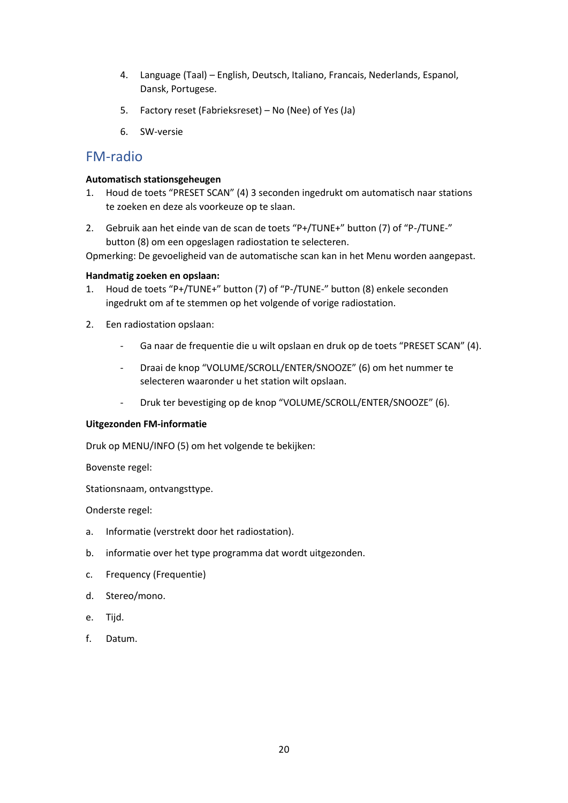- 4. Language (Taal) English, Deutsch, Italiano, Francais, Nederlands, Espanol, Dansk, Portugese.
- 5. Factory reset (Fabrieksreset) No (Nee) of Yes (Ja)
- 6. SW-versie

# FM-radio

### **Automatisch stationsgeheugen**

- 1. Houd de toets "PRESET SCAN" (4) 3 seconden ingedrukt om automatisch naar stations te zoeken en deze als voorkeuze op te slaan.
- 2. Gebruik aan het einde van de scan de toets "P+/TUNE+" button (7) of "P-/TUNE-" button (8) om een opgeslagen radiostation te selecteren.

Opmerking: De gevoeligheid van de automatische scan kan in het Menu worden aangepast.

#### **Handmatig zoeken en opslaan:**

- 1. Houd de toets "P+/TUNE+" button (7) of "P-/TUNE-" button (8) enkele seconden ingedrukt om af te stemmen op het volgende of vorige radiostation.
- 2. Een radiostation opslaan:
	- ‐ Ga naar de frequentie die u wilt opslaan en druk op de toets "PRESET SCAN" (4).
	- ‐ Draai de knop "VOLUME/SCROLL/ENTER/SNOOZE" (6) om het nummer te selecteren waaronder u het station wilt opslaan.
	- ‐ Druk ter bevestiging op de knop "VOLUME/SCROLL/ENTER/SNOOZE" (6).

### **Uitgezonden FM-informatie**

Druk op MENU/INFO (5) om het volgende te bekijken:

Bovenste regel:

Stationsnaam, ontvangsttype.

Onderste regel:

- a. Informatie (verstrekt door het radiostation).
- b. informatie over het type programma dat wordt uitgezonden.
- c. Frequency (Frequentie)
- d. Stereo/mono.
- e. Tijd.
- f. Datum.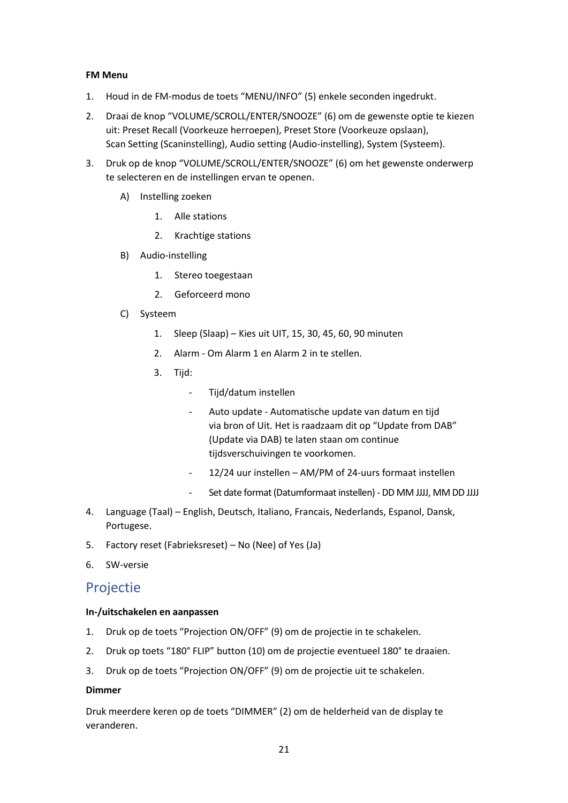### **FM Menu**

- 1. Houd in de FM-modus de toets "MENU/INFO" (5) enkele seconden ingedrukt.
- 2. Draai de knop "VOLUME/SCROLL/ENTER/SNOOZE" (6) om de gewenste optie te kiezen uit: Preset Recall (Voorkeuze herroepen), Preset Store (Voorkeuze opslaan), Scan Setting (Scaninstelling), Audio setting (Audio-instelling), System (Systeem).
- 3. Druk op de knop "VOLUME/SCROLL/ENTER/SNOOZE" (6) om het gewenste onderwerp te selecteren en de instellingen ervan te openen.
	- A) Instelling zoeken
		- 1. Alle stations
		- 2. Krachtige stations
	- B) Audio-instelling
		- 1. Stereo toegestaan
		- 2. Geforceerd mono
	- C) Systeem
		- 1. Sleep (Slaap) Kies uit UIT, 15, 30, 45, 60, 90 minuten
		- 2. Alarm Om Alarm 1 en Alarm 2 in te stellen.
		- 3. Tijd:
			- ‐ Tijd/datum instellen
			- ‐ Auto update Automatische update van datum en tijd via bron of Uit. Het is raadzaam dit op "Update from DAB" (Update via DAB) te laten staan om continue tijdsverschuivingen te voorkomen.
			- ‐ 12/24 uur instellen AM/PM of 24-uurs formaat instellen
			- ‐ Set date format (Datumformaat instellen) DD MM JJJJ, MM DD JJJJ
- 4. Language (Taal) English, Deutsch, Italiano, Francais, Nederlands, Espanol, Dansk, Portugese.
- 5. Factory reset (Fabrieksreset) No (Nee) of Yes (Ja)
- 6. SW-versie

# Projectie

### **In-/uitschakelen en aanpassen**

- 1. Druk op de toets "Projection ON/OFF" (9) om de projectie in te schakelen.
- 2. Druk op toets "180° FLIP" button (10) om de projectie eventueel 180° te draaien.
- 3. Druk op de toets "Projection ON/OFF" (9) om de projectie uit te schakelen.

### **Dimmer**

Druk meerdere keren op de toets "DIMMER" (2) om de helderheid van de display te veranderen.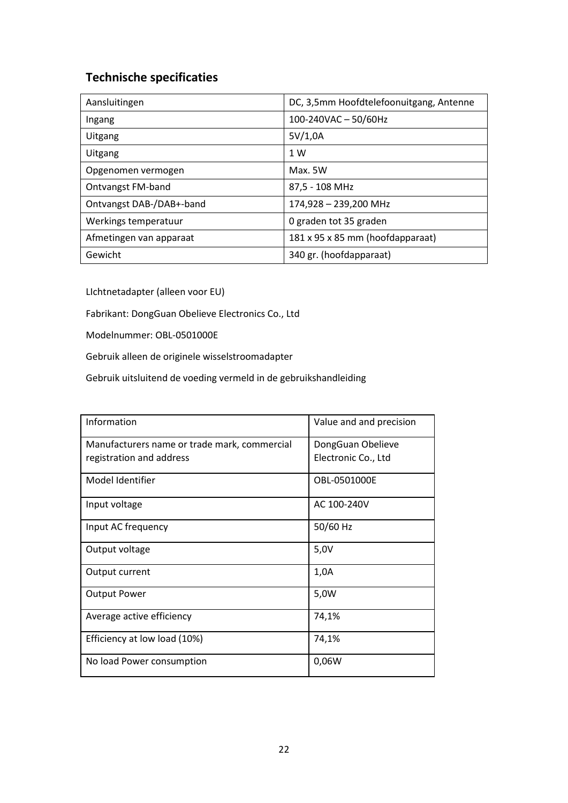# **Technische specificaties**

| Aansluitingen            | DC, 3,5mm Hoofdtelefoonuitgang, Antenne |
|--------------------------|-----------------------------------------|
| Ingang                   | 100-240VAC-50/60Hz                      |
| Uitgang                  | 5V/1,0A                                 |
| Uitgang                  | 1 W                                     |
| Opgenomen vermogen       | Max. 5W                                 |
| <b>Ontvangst FM-band</b> | 87,5 - 108 MHz                          |
| Ontvangst DAB-/DAB+-band | 174,928 - 239,200 MHz                   |
| Werkings temperatuur     | 0 graden tot 35 graden                  |
| Afmetingen van apparaat  | 181 x 95 x 85 mm (hoofdapparaat)        |
| Gewicht                  | 340 gr. (hoofdapparaat)                 |

LIchtnetadapter (alleen voor EU)

Fabrikant: DongGuan Obelieve Electronics Co., Ltd

Modelnummer: OBL-0501000E

Gebruik alleen de originele wisselstroomadapter

Gebruik uitsluitend de voeding vermeld in de gebruikshandleiding

| Information                                  | Value and and precision |
|----------------------------------------------|-------------------------|
| Manufacturers name or trade mark, commercial | DongGuan Obelieve       |
| registration and address                     | Electronic Co., Ltd     |
| Model Identifier                             | OBL-0501000E            |
| Input voltage                                | AC 100-240V             |
| Input AC frequency                           | 50/60 Hz                |
| Output voltage                               | 5,0V                    |
| Output current                               | 1,0A                    |
| <b>Output Power</b>                          | 5,0W                    |
| Average active efficiency                    | 74,1%                   |
| Efficiency at low load (10%)                 | 74,1%                   |
| No load Power consumption                    | 0,06W                   |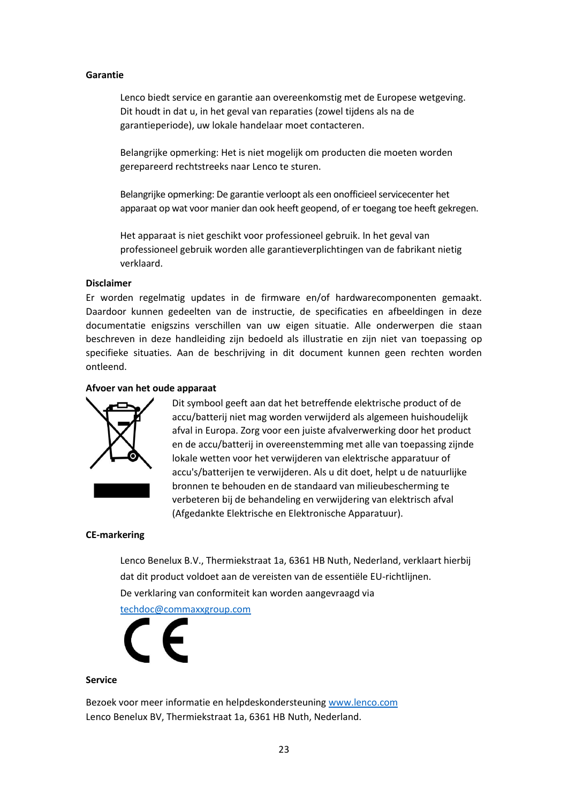#### **Garantie**

Lenco biedt service en garantie aan overeenkomstig met de Europese wetgeving. Dit houdt in dat u, in het geval van reparaties (zowel tijdens als na de garantieperiode), uw lokale handelaar moet contacteren.

Belangrijke opmerking: Het is niet mogelijk om producten die moeten worden gerepareerd rechtstreeks naar Lenco te sturen.

Belangrijke opmerking: De garantie verloopt als een onofficieel servicecenter het apparaat op wat voor manier dan ook heeft geopend, of er toegang toe heeft gekregen.

Het apparaat is niet geschikt voor professioneel gebruik. In het geval van professioneel gebruik worden alle garantieverplichtingen van de fabrikant nietig verklaard.

#### **Disclaimer**

Er worden regelmatig updates in de firmware en/of hardwarecomponenten gemaakt. Daardoor kunnen gedeelten van de instructie, de specificaties en afbeeldingen in deze documentatie enigszins verschillen van uw eigen situatie. Alle onderwerpen die staan beschreven in deze handleiding zijn bedoeld als illustratie en zijn niet van toepassing op specifieke situaties. Aan de beschrijving in dit document kunnen geen rechten worden ontleend.

## **Afvoer van het oude apparaat**



Dit symbool geeft aan dat het betreffende elektrische product of de accu/batterij niet mag worden verwijderd als algemeen huishoudelijk afval in Europa. Zorg voor een juiste afvalverwerking door het product en de accu/batterij in overeenstemming met alle van toepassing zijnde lokale wetten voor het verwijderen van elektrische apparatuur of accu's/batterijen te verwijderen. Als u dit doet, helpt u de natuurlijke bronnen te behouden en de standaard van milieubescherming te verbeteren bij de behandeling en verwijdering van elektrisch afval (Afgedankte Elektrische en Elektronische Apparatuur).

#### **CE-markering**

Lenco Benelux B.V., Thermiekstraat 1a, 6361 HB Nuth, Nederland, verklaart hierbij dat dit product voldoet aan de vereisten van de essentiële EU-richtlijnen. De verklaring van conformiteit kan worden aangevraagd via

[techdoc@commaxxgroup.com](mailto:techdoc@commaxxgroup.com)



#### **Service**

Bezoek voor meer informatie en helpdeskondersteuning [www.lenco.com](http://www.lenco.com/) Lenco Benelux BV, Thermiekstraat 1a, 6361 HB Nuth, Nederland.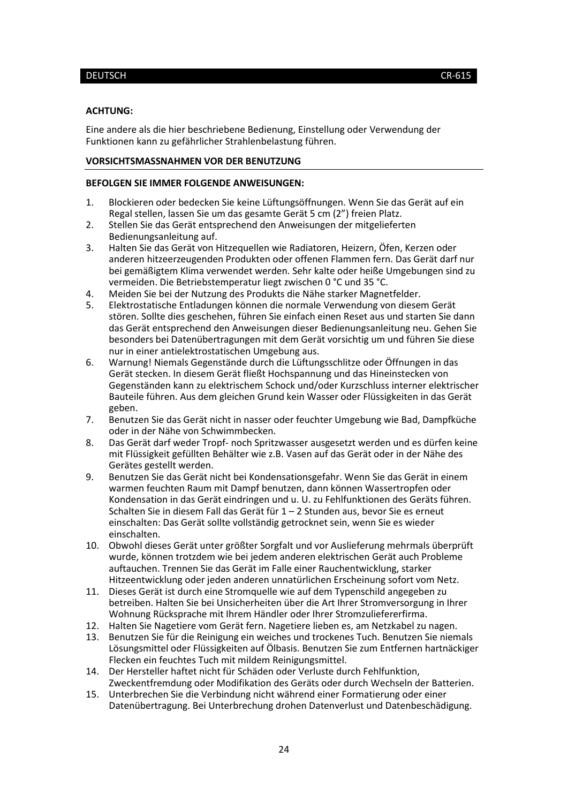#### <span id="page-23-0"></span>DEUTSCH CR-615

#### **ACHTUNG:**

Eine andere als die hier beschriebene Bedienung, Einstellung oder Verwendung der Funktionen kann zu gefährlicher Strahlenbelastung führen.

### **VORSICHTSMASSNAHMEN VOR DER BENUTZUNG**

#### **BEFOLGEN SIE IMMER FOLGENDE ANWEISUNGEN:**

- 1. Blockieren oder bedecken Sie keine Lüftungsöffnungen. Wenn Sie das Gerät auf ein Regal stellen, lassen Sie um das gesamte Gerät 5 cm (2") freien Platz.
- 2. Stellen Sie das Gerät entsprechend den Anweisungen der mitgelieferten Bedienungsanleitung auf.
- 3. Halten Sie das Gerät von Hitzequellen wie Radiatoren, Heizern, Öfen, Kerzen oder anderen hitzeerzeugenden Produkten oder offenen Flammen fern. Das Gerät darf nur bei gemäßigtem Klima verwendet werden. Sehr kalte oder heiße Umgebungen sind zu vermeiden. Die Betriebstemperatur liegt zwischen 0 °C und 35 °C.
- 4. Meiden Sie bei der Nutzung des Produkts die Nähe starker Magnetfelder.
- 5. Elektrostatische Entladungen können die normale Verwendung von diesem Gerät stören. Sollte dies geschehen, führen Sie einfach einen Reset aus und starten Sie dann das Gerät entsprechend den Anweisungen dieser Bedienungsanleitung neu. Gehen Sie besonders bei Datenübertragungen mit dem Gerät vorsichtig um und führen Sie diese nur in einer antielektrostatischen Umgebung aus.
- 6. Warnung! Niemals Gegenstände durch die Lüftungsschlitze oder Öffnungen in das Gerät stecken. In diesem Gerät fließt Hochspannung und das Hineinstecken von Gegenständen kann zu elektrischem Schock und/oder Kurzschluss interner elektrischer Bauteile führen. Aus dem gleichen Grund kein Wasser oder Flüssigkeiten in das Gerät geben.
- 7. Benutzen Sie das Gerät nicht in nasser oder feuchter Umgebung wie Bad, Dampfküche oder in der Nähe von Schwimmbecken.
- 8. Das Gerät darf weder Tropf- noch Spritzwasser ausgesetzt werden und es dürfen keine mit Flüssigkeit gefüllten Behälter wie z.B. Vasen auf das Gerät oder in der Nähe des Gerätes gestellt werden.
- 9. Benutzen Sie das Gerät nicht bei Kondensationsgefahr. Wenn Sie das Gerät in einem warmen feuchten Raum mit Dampf benutzen, dann können Wassertropfen oder Kondensation in das Gerät eindringen und u. U. zu Fehlfunktionen des Geräts führen. Schalten Sie in diesem Fall das Gerät für 1 – 2 Stunden aus, bevor Sie es erneut einschalten: Das Gerät sollte vollständig getrocknet sein, wenn Sie es wieder einschalten.
- 10. Obwohl dieses Gerät unter größter Sorgfalt und vor Auslieferung mehrmals überprüft wurde, können trotzdem wie bei jedem anderen elektrischen Gerät auch Probleme auftauchen. Trennen Sie das Gerät im Falle einer Rauchentwicklung, starker Hitzeentwicklung oder jeden anderen unnatürlichen Erscheinung sofort vom Netz.
- 11. Dieses Gerät ist durch eine Stromquelle wie auf dem Typenschild angegeben zu betreiben. Halten Sie bei Unsicherheiten über die Art Ihrer Stromversorgung in Ihrer Wohnung Rücksprache mit Ihrem Händler oder Ihrer Stromzuliefererfirma.
- 12. Halten Sie Nagetiere vom Gerät fern. Nagetiere lieben es, am Netzkabel zu nagen.
- 13. Benutzen Sie für die Reinigung ein weiches und trockenes Tuch. Benutzen Sie niemals Lösungsmittel oder Flüssigkeiten auf Ölbasis. Benutzen Sie zum Entfernen hartnäckiger Flecken ein feuchtes Tuch mit mildem Reinigungsmittel.
- 14. Der Hersteller haftet nicht für Schäden oder Verluste durch Fehlfunktion, Zweckentfremdung oder Modifikation des Geräts oder durch Wechseln der Batterien.
- 15. Unterbrechen Sie die Verbindung nicht während einer Formatierung oder einer Datenübertragung. Bei Unterbrechung drohen Datenverlust und Datenbeschädigung.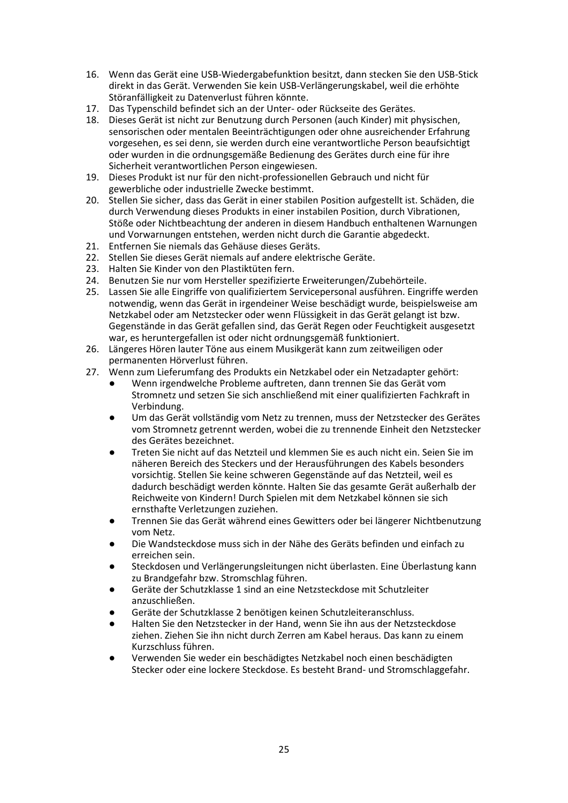- 16. Wenn das Gerät eine USB-Wiedergabefunktion besitzt, dann stecken Sie den USB-Stick direkt in das Gerät. Verwenden Sie kein USB-Verlängerungskabel, weil die erhöhte Störanfälligkeit zu Datenverlust führen könnte.
- 17. Das Typenschild befindet sich an der Unter- oder Rückseite des Gerätes.
- 18. Dieses Gerät ist nicht zur Benutzung durch Personen (auch Kinder) mit physischen, sensorischen oder mentalen Beeinträchtigungen oder ohne ausreichender Erfahrung vorgesehen, es sei denn, sie werden durch eine verantwortliche Person beaufsichtigt oder wurden in die ordnungsgemäße Bedienung des Gerätes durch eine für ihre Sicherheit verantwortlichen Person eingewiesen.
- 19. Dieses Produkt ist nur für den nicht-professionellen Gebrauch und nicht für gewerbliche oder industrielle Zwecke bestimmt.
- 20. Stellen Sie sicher, dass das Gerät in einer stabilen Position aufgestellt ist. Schäden, die durch Verwendung dieses Produkts in einer instabilen Position, durch Vibrationen, Stöße oder Nichtbeachtung der anderen in diesem Handbuch enthaltenen Warnungen und Vorwarnungen entstehen, werden nicht durch die Garantie abgedeckt.
- 21. Entfernen Sie niemals das Gehäuse dieses Geräts.
- 22. Stellen Sie dieses Gerät niemals auf andere elektrische Geräte.
- 23. Halten Sie Kinder von den Plastiktüten fern.
- 24. Benutzen Sie nur vom Hersteller spezifizierte Erweiterungen/Zubehörteile.
- 25. Lassen Sie alle Eingriffe von qualifiziertem Servicepersonal ausführen. Eingriffe werden notwendig, wenn das Gerät in irgendeiner Weise beschädigt wurde, beispielsweise am Netzkabel oder am Netzstecker oder wenn Flüssigkeit in das Gerät gelangt ist bzw. Gegenstände in das Gerät gefallen sind, das Gerät Regen oder Feuchtigkeit ausgesetzt war, es heruntergefallen ist oder nicht ordnungsgemäß funktioniert.
- 26. Längeres Hören lauter Töne aus einem Musikgerät kann zum zeitweiligen oder permanenten Hörverlust führen.
- 27. Wenn zum Lieferumfang des Produkts ein Netzkabel oder ein Netzadapter gehört:
	- Wenn irgendwelche Probleme auftreten, dann trennen Sie das Gerät vom Stromnetz und setzen Sie sich anschließend mit einer qualifizierten Fachkraft in Verbindung.
	- Um das Gerät vollständig vom Netz zu trennen, muss der Netzstecker des Gerätes vom Stromnetz getrennt werden, wobei die zu trennende Einheit den Netzstecker des Gerätes bezeichnet.
	- Treten Sie nicht auf das Netzteil und klemmen Sie es auch nicht ein. Seien Sie im näheren Bereich des Steckers und der Herausführungen des Kabels besonders vorsichtig. Stellen Sie keine schweren Gegenstände auf das Netzteil, weil es dadurch beschädigt werden könnte. Halten Sie das gesamte Gerät außerhalb der Reichweite von Kindern! Durch Spielen mit dem Netzkabel können sie sich ernsthafte Verletzungen zuziehen.
	- Trennen Sie das Gerät während eines Gewitters oder bei längerer Nichtbenutzung vom Netz.
	- Die Wandsteckdose muss sich in der Nähe des Geräts befinden und einfach zu erreichen sein.
	- Steckdosen und Verlängerungsleitungen nicht überlasten. Eine Überlastung kann zu Brandgefahr bzw. Stromschlag führen.
	- Geräte der Schutzklasse 1 sind an eine Netzsteckdose mit Schutzleiter anzuschließen.
	- Geräte der Schutzklasse 2 benötigen keinen Schutzleiteranschluss.
	- Halten Sie den Netzstecker in der Hand, wenn Sie ihn aus der Netzsteckdose ziehen. Ziehen Sie ihn nicht durch Zerren am Kabel heraus. Das kann zu einem Kurzschluss führen.
	- Verwenden Sie weder ein beschädigtes Netzkabel noch einen beschädigten Stecker oder eine lockere Steckdose. Es besteht Brand- und Stromschlaggefahr.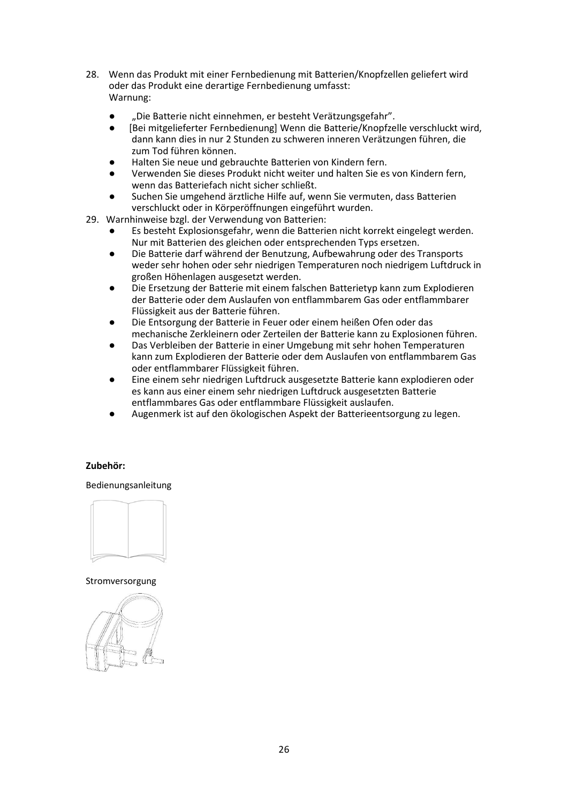- 28. Wenn das Produkt mit einer Fernbedienung mit Batterien/Knopfzellen geliefert wird oder das Produkt eine derartige Fernbedienung umfasst: Warnung:
	- "Die Batterie nicht einnehmen, er besteht Verätzungsgefahr".
	- [Bei mitgelieferter Fernbedienung] Wenn die Batterie/Knopfzelle verschluckt wird, dann kann dies in nur 2 Stunden zu schweren inneren Verätzungen führen, die zum Tod führen können.
	- Halten Sie neue und gebrauchte Batterien von Kindern fern.
	- Verwenden Sie dieses Produkt nicht weiter und halten Sie es von Kindern fern, wenn das Batteriefach nicht sicher schließt.
	- Suchen Sie umgehend ärztliche Hilfe auf, wenn Sie vermuten, dass Batterien verschluckt oder in Körperöffnungen eingeführt wurden.
- 29. Warnhinweise bzgl. der Verwendung von Batterien:
	- Es besteht Explosionsgefahr, wenn die Batterien nicht korrekt eingelegt werden. Nur mit Batterien des gleichen oder entsprechenden Typs ersetzen.
	- Die Batterie darf während der Benutzung, Aufbewahrung oder des Transports weder sehr hohen oder sehr niedrigen Temperaturen noch niedrigem Luftdruck in großen Höhenlagen ausgesetzt werden.
	- Die Ersetzung der Batterie mit einem falschen Batterietyp kann zum Explodieren der Batterie oder dem Auslaufen von entflammbarem Gas oder entflammbarer Flüssigkeit aus der Batterie führen.
	- Die Entsorgung der Batterie in Feuer oder einem heißen Ofen oder das mechanische Zerkleinern oder Zerteilen der Batterie kann zu Explosionen führen.
	- Das Verbleiben der Batterie in einer Umgebung mit sehr hohen Temperaturen kann zum Explodieren der Batterie oder dem Auslaufen von entflammbarem Gas oder entflammbarer Flüssigkeit führen.
	- Eine einem sehr niedrigen Luftdruck ausgesetzte Batterie kann explodieren oder es kann aus einer einem sehr niedrigen Luftdruck ausgesetzten Batterie entflammbares Gas oder entflammbare Flüssigkeit auslaufen.
	- Augenmerk ist auf den ökologischen Aspekt der Batterieentsorgung zu legen.

### **Zubehör:**

Bedienungsanleitung



## Stromversorgung

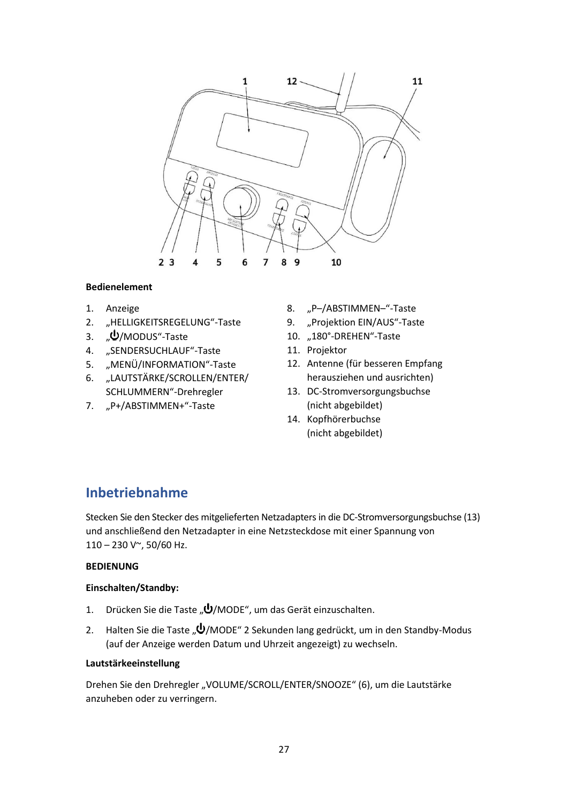

## **Bedienelement**

- 1. Anzeige
- 2. "HELLIGKEITSREGELUNG"-Taste
- 3. "**U**/MODUS"-Taste
- 4. "SENDERSUCHLAUF"-Taste
- 5. "MENÜ/INFORMATION"-Taste
- 6. "LAUTSTÄRKE/SCROLLEN/ENTER/ SCHLUMMERN"-Drehregler
- 7. "P+/ABSTIMMEN+"-Taste
- 8. "P-/ABSTIMMEN-"-Taste
- 9. "Projektion EIN/AUS"-Taste
- 10. "180°-DREHEN"-Taste
	- 11. Projektor
	- 12. Antenne (für besseren Empfang herausziehen und ausrichten)
	- 13. DC-Stromversorgungsbuchse (nicht abgebildet)
	- 14. Kopfhörerbuchse (nicht abgebildet)

# **Inbetriebnahme**

Stecken Sie den Stecker des mitgelieferten Netzadapters in die DC-Stromversorgungsbuchse (13) und anschließend den Netzadapter in eine Netzsteckdose mit einer Spannung von 110 – 230 V~, 50/60 Hz.

# **BEDIENUNG**

### **Einschalten/Standby:**

- 1. Drücken Sie die Taste " $\bigcup$ /MODE", um das Gerät einzuschalten.
- 2. Halten Sie die Taste " $\bigcup$ /MODE" 2 Sekunden lang gedrückt, um in den Standby-Modus (auf der Anzeige werden Datum und Uhrzeit angezeigt) zu wechseln.

## **Lautstärkeeinstellung**

Drehen Sie den Drehregler "VOLUME/SCROLL/ENTER/SNOOZE" (6), um die Lautstärke anzuheben oder zu verringern.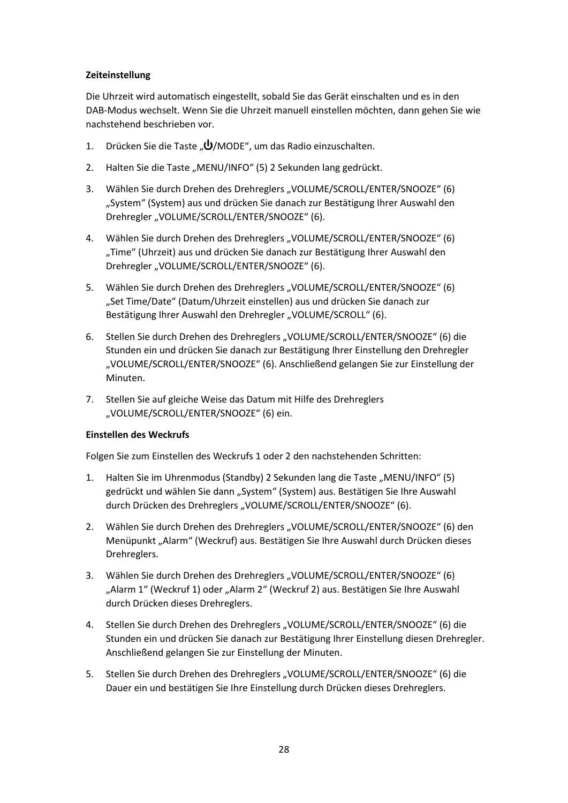# **Zeiteinstellung**

Die Uhrzeit wird automatisch eingestellt, sobald Sie das Gerät einschalten und es in den DAB-Modus wechselt. Wenn Sie die Uhrzeit manuell einstellen möchten, dann gehen Sie wie nachstehend beschrieben vor.

- 1. Drücken Sie die Taste " $\bigcup$ /MODE", um das Radio einzuschalten.
- 2. Halten Sie die Taste "MENU/INFO" (5) 2 Sekunden lang gedrückt.
- 3. Wählen Sie durch Drehen des Drehreglers "VOLUME/SCROLL/ENTER/SNOOZE" (6) "System" (System) aus und drücken Sie danach zur Bestätigung Ihrer Auswahl den Drehregler "VOLUME/SCROLL/ENTER/SNOOZE" (6).
- 4. Wählen Sie durch Drehen des Drehreglers "VOLUME/SCROLL/ENTER/SNOOZE" (6) "Time" (Uhrzeit) aus und drücken Sie danach zur Bestätigung Ihrer Auswahl den Drehregler "VOLUME/SCROLL/ENTER/SNOOZE" (6).
- 5. Wählen Sie durch Drehen des Drehreglers "VOLUME/SCROLL/ENTER/SNOOZE" (6) "Set Time/Date" (Datum/Uhrzeit einstellen) aus und drücken Sie danach zur Bestätigung Ihrer Auswahl den Drehregler "VOLUME/SCROLL" (6).
- 6. Stellen Sie durch Drehen des Drehreglers "VOLUME/SCROLL/ENTER/SNOOZE" (6) die Stunden ein und drücken Sie danach zur Bestätigung Ihrer Einstellung den Drehregler "VOLUME/SCROLL/ENTER/SNOOZE" (6). Anschließend gelangen Sie zur Einstellung der Minuten.
- 7. Stellen Sie auf gleiche Weise das Datum mit Hilfe des Drehreglers "VOLUME/SCROLL/ENTER/SNOOZE" (6) ein.

### **Einstellen des Weckrufs**

Folgen Sie zum Einstellen des Weckrufs 1 oder 2 den nachstehenden Schritten:

- 1. Halten Sie im Uhrenmodus (Standby) 2 Sekunden lang die Taste "MENU/INFO" (5) gedrückt und wählen Sie dann "System" (System) aus. Bestätigen Sie Ihre Auswahl durch Drücken des Drehreglers "VOLUME/SCROLL/ENTER/SNOOZE" (6).
- 2. Wählen Sie durch Drehen des Drehreglers "VOLUME/SCROLL/ENTER/SNOOZE" (6) den Menüpunkt "Alarm" (Weckruf) aus. Bestätigen Sie Ihre Auswahl durch Drücken dieses Drehreglers.
- 3. Wählen Sie durch Drehen des Drehreglers "VOLUME/SCROLL/ENTER/SNOOZE" (6) "Alarm 1" (Weckruf 1) oder "Alarm 2" (Weckruf 2) aus. Bestätigen Sie Ihre Auswahl durch Drücken dieses Drehreglers.
- 4. Stellen Sie durch Drehen des Drehreglers "VOLUME/SCROLL/ENTER/SNOOZE" (6) die Stunden ein und drücken Sie danach zur Bestätigung Ihrer Einstellung diesen Drehregler. Anschließend gelangen Sie zur Einstellung der Minuten.
- 5. Stellen Sie durch Drehen des Drehreglers "VOLUME/SCROLL/ENTER/SNOOZE" (6) die Dauer ein und bestätigen Sie Ihre Einstellung durch Drücken dieses Drehreglers.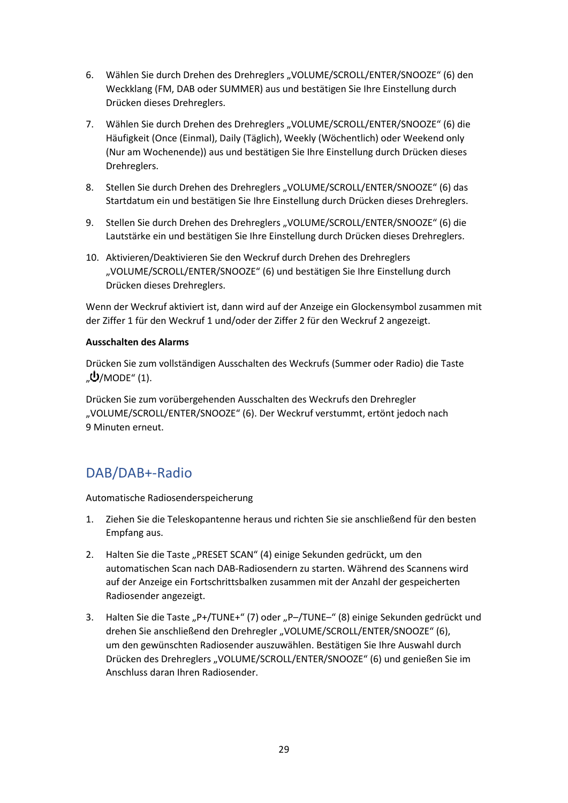- 6. Wählen Sie durch Drehen des Drehreglers "VOLUME/SCROLL/ENTER/SNOOZE" (6) den Weckklang (FM, DAB oder SUMMER) aus und bestätigen Sie Ihre Einstellung durch Drücken dieses Drehreglers.
- 7. Wählen Sie durch Drehen des Drehreglers "VOLUME/SCROLL/ENTER/SNOOZE" (6) die Häufigkeit (Once (Einmal), Daily (Täglich), Weekly (Wöchentlich) oder Weekend only (Nur am Wochenende)) aus und bestätigen Sie Ihre Einstellung durch Drücken dieses Drehreglers.
- 8. Stellen Sie durch Drehen des Drehreglers "VOLUME/SCROLL/ENTER/SNOOZE" (6) das Startdatum ein und bestätigen Sie Ihre Einstellung durch Drücken dieses Drehreglers.
- 9. Stellen Sie durch Drehen des Drehreglers "VOLUME/SCROLL/ENTER/SNOOZE" (6) die Lautstärke ein und bestätigen Sie Ihre Einstellung durch Drücken dieses Drehreglers.
- 10. Aktivieren/Deaktivieren Sie den Weckruf durch Drehen des Drehreglers "VOLUME/SCROLL/ENTER/SNOOZE" (6) und bestätigen Sie Ihre Einstellung durch Drücken dieses Drehreglers.

Wenn der Weckruf aktiviert ist, dann wird auf der Anzeige ein Glockensymbol zusammen mit der Ziffer 1 für den Weckruf 1 und/oder der Ziffer 2 für den Weckruf 2 angezeigt.

### **Ausschalten des Alarms**

Drücken Sie zum vollständigen Ausschalten des Weckrufs (Summer oder Radio) die Taste  $\mathcal{D}/\text{MODE}$ " (1).

Drücken Sie zum vorübergehenden Ausschalten des Weckrufs den Drehregler "VOLUME/SCROLL/ENTER/SNOOZE" (6). Der Weckruf verstummt, ertönt jedoch nach 9 Minuten erneut.

# DAB/DAB+-Radio

Automatische Radiosenderspeicherung

- 1. Ziehen Sie die Teleskopantenne heraus und richten Sie sie anschließend für den besten Empfang aus.
- 2. Halten Sie die Taste "PRESET SCAN" (4) einige Sekunden gedrückt, um den automatischen Scan nach DAB-Radiosendern zu starten. Während des Scannens wird auf der Anzeige ein Fortschrittsbalken zusammen mit der Anzahl der gespeicherten Radiosender angezeigt.
- 3. Halten Sie die Taste "P+/TUNE+" (7) oder "P-/TUNE-" (8) einige Sekunden gedrückt und drehen Sie anschließend den Drehregler "VOLUME/SCROLL/ENTER/SNOOZE" (6), um den gewünschten Radiosender auszuwählen. Bestätigen Sie Ihre Auswahl durch Drücken des Drehreglers "VOLUME/SCROLL/ENTER/SNOOZE" (6) und genießen Sie im Anschluss daran Ihren Radiosender.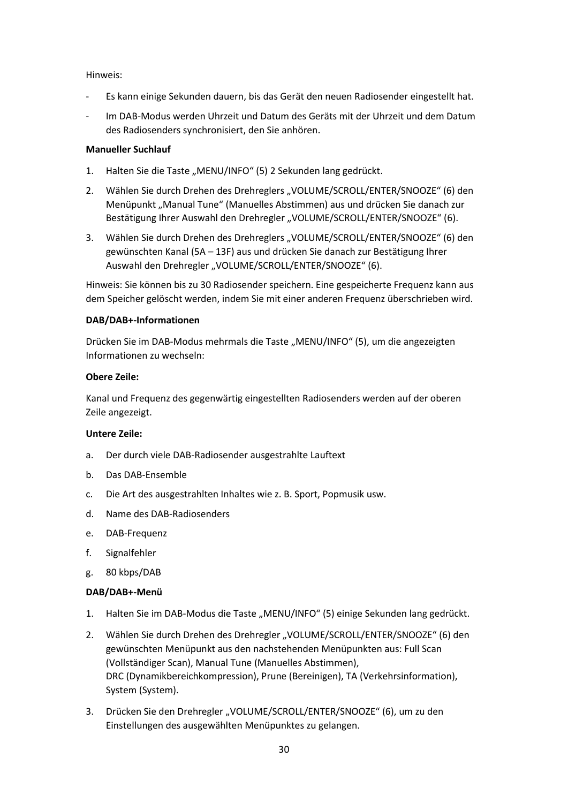Hinweis:

- ‐ Es kann einige Sekunden dauern, bis das Gerät den neuen Radiosender eingestellt hat.
- ‐ Im DAB-Modus werden Uhrzeit und Datum des Geräts mit der Uhrzeit und dem Datum des Radiosenders synchronisiert, den Sie anhören.

### **Manueller Suchlauf**

- 1. Halten Sie die Taste "MENU/INFO" (5) 2 Sekunden lang gedrückt.
- 2. Wählen Sie durch Drehen des Drehreglers "VOLUME/SCROLL/ENTER/SNOOZE" (6) den Menüpunkt "Manual Tune" (Manuelles Abstimmen) aus und drücken Sie danach zur Bestätigung Ihrer Auswahl den Drehregler "VOLUME/SCROLL/ENTER/SNOOZE" (6).
- 3. Wählen Sie durch Drehen des Drehreglers "VOLUME/SCROLL/ENTER/SNOOZE" (6) den gewünschten Kanal (5A – 13F) aus und drücken Sie danach zur Bestätigung Ihrer Auswahl den Drehregler "VOLUME/SCROLL/ENTER/SNOOZE" (6).

Hinweis: Sie können bis zu 30 Radiosender speichern. Eine gespeicherte Frequenz kann aus dem Speicher gelöscht werden, indem Sie mit einer anderen Frequenz überschrieben wird.

## **DAB/DAB+-Informationen**

Drücken Sie im DAB-Modus mehrmals die Taste "MENU/INFO" (5), um die angezeigten Informationen zu wechseln:

## **Obere Zeile:**

Kanal und Frequenz des gegenwärtig eingestellten Radiosenders werden auf der oberen Zeile angezeigt.

### **Untere Zeile:**

- a. Der durch viele DAB-Radiosender ausgestrahlte Lauftext
- b. Das DAB-Ensemble
- c. Die Art des ausgestrahlten Inhaltes wie z. B. Sport, Popmusik usw.
- d. Name des DAB-Radiosenders
- e. DAB-Frequenz
- f. Signalfehler
- g. 80 kbps/DAB

# **DAB/DAB+-Menü**

- 1. Halten Sie im DAB-Modus die Taste "MENU/INFO" (5) einige Sekunden lang gedrückt.
- 2. Wählen Sie durch Drehen des Drehregler "VOLUME/SCROLL/ENTER/SNOOZE" (6) den gewünschten Menüpunkt aus den nachstehenden Menüpunkten aus: Full Scan (Vollständiger Scan), Manual Tune (Manuelles Abstimmen), DRC (Dynamikbereichkompression), Prune (Bereinigen), TA (Verkehrsinformation), System (System).
- 3. Drücken Sie den Drehregler "VOLUME/SCROLL/ENTER/SNOOZE" (6), um zu den Einstellungen des ausgewählten Menüpunktes zu gelangen.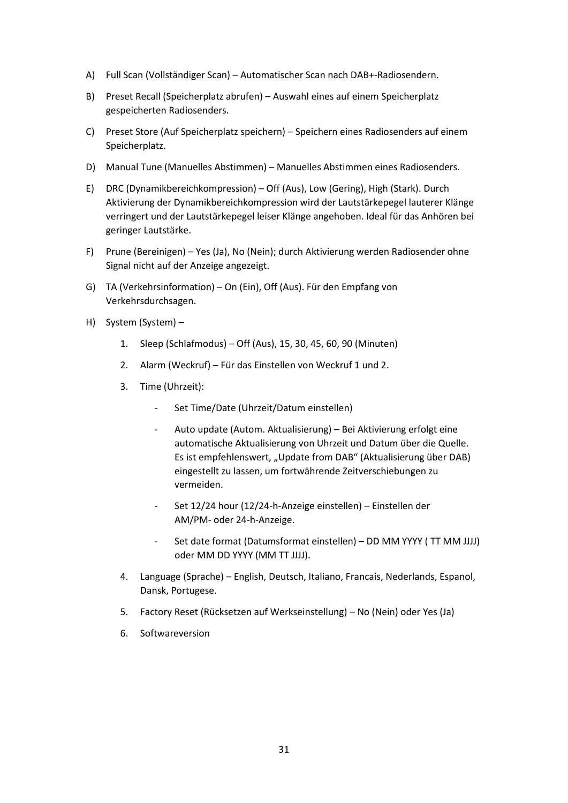- A) Full Scan (Vollständiger Scan) Automatischer Scan nach DAB+-Radiosendern.
- B) Preset Recall (Speicherplatz abrufen) Auswahl eines auf einem Speicherplatz gespeicherten Radiosenders.
- C) Preset Store (Auf Speicherplatz speichern) Speichern eines Radiosenders auf einem Speicherplatz.
- D) Manual Tune (Manuelles Abstimmen) Manuelles Abstimmen eines Radiosenders.
- E) DRC (Dynamikbereichkompression) Off (Aus), Low (Gering), High (Stark). Durch Aktivierung der Dynamikbereichkompression wird der Lautstärkepegel lauterer Klänge verringert und der Lautstärkepegel leiser Klänge angehoben. Ideal für das Anhören bei geringer Lautstärke.
- F) Prune (Bereinigen) Yes (Ja), No (Nein); durch Aktivierung werden Radiosender ohne Signal nicht auf der Anzeige angezeigt.
- G) TA (Verkehrsinformation) On (Ein), Off (Aus). Für den Empfang von Verkehrsdurchsagen.
- H) System (System)
	- 1. Sleep (Schlafmodus) Off (Aus), 15, 30, 45, 60, 90 (Minuten)
	- 2. Alarm (Weckruf) Für das Einstellen von Weckruf 1 und 2.
	- 3. Time (Uhrzeit):
		- ‐ Set Time/Date (Uhrzeit/Datum einstellen)
		- ‐ Auto update (Autom. Aktualisierung) Bei Aktivierung erfolgt eine automatische Aktualisierung von Uhrzeit und Datum über die Quelle. Es ist empfehlenswert, "Update from DAB" (Aktualisierung über DAB) eingestellt zu lassen, um fortwährende Zeitverschiebungen zu vermeiden.
		- ‐ Set 12/24 hour (12/24-h-Anzeige einstellen) Einstellen der AM/PM- oder 24-h-Anzeige.
		- ‐ Set date format (Datumsformat einstellen) DD MM YYYY ( TT MM JJJJ) oder MM DD YYYY (MM TT JJJJ).
	- 4. Language (Sprache) English, Deutsch, Italiano, Francais, Nederlands, Espanol, Dansk, Portugese.
	- 5. Factory Reset (Rücksetzen auf Werkseinstellung) No (Nein) oder Yes (Ja)
	- 6. Softwareversion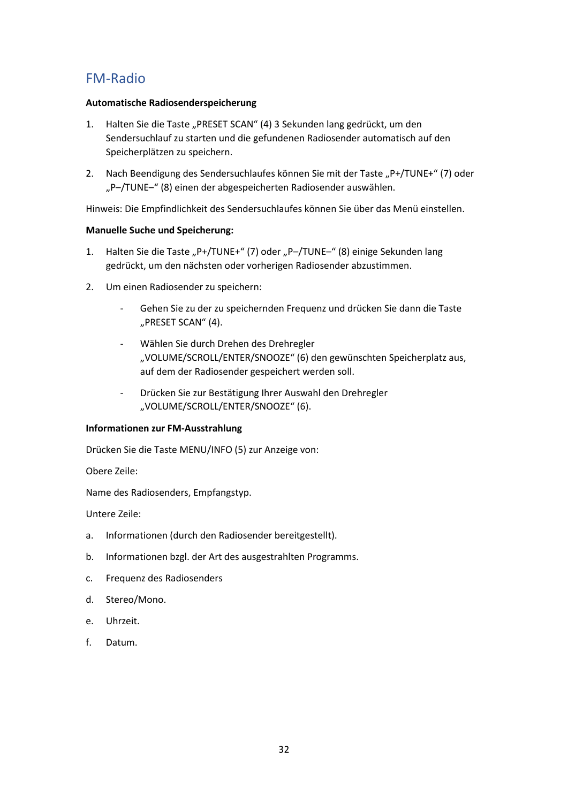# FM-Radio

## **Automatische Radiosenderspeicherung**

- 1. Halten Sie die Taste "PRESET SCAN" (4) 3 Sekunden lang gedrückt, um den Sendersuchlauf zu starten und die gefundenen Radiosender automatisch auf den Speicherplätzen zu speichern.
- 2. Nach Beendigung des Sendersuchlaufes können Sie mit der Taste "P+/TUNE+" (7) oder "P–/TUNE–" (8) einen der abgespeicherten Radiosender auswählen.

Hinweis: Die Empfindlichkeit des Sendersuchlaufes können Sie über das Menü einstellen.

## **Manuelle Suche und Speicherung:**

- 1. Halten Sie die Taste "P+/TUNE+" (7) oder "P-/TUNE-" (8) einige Sekunden lang gedrückt, um den nächsten oder vorherigen Radiosender abzustimmen.
- 2. Um einen Radiosender zu speichern:
	- ‐ Gehen Sie zu der zu speichernden Frequenz und drücken Sie dann die Taste "PRESET SCAN" (4).
	- ‐ Wählen Sie durch Drehen des Drehregler "VOLUME/SCROLL/ENTER/SNOOZE" (6) den gewünschten Speicherplatz aus, auf dem der Radiosender gespeichert werden soll.
	- ‐ Drücken Sie zur Bestätigung Ihrer Auswahl den Drehregler "VOLUME/SCROLL/ENTER/SNOOZE" (6).

### **Informationen zur FM-Ausstrahlung**

Drücken Sie die Taste MENU/INFO (5) zur Anzeige von:

Obere Zeile:

Name des Radiosenders, Empfangstyp.

Untere Zeile:

- a. Informationen (durch den Radiosender bereitgestellt).
- b. Informationen bzgl. der Art des ausgestrahlten Programms.
- c. Frequenz des Radiosenders
- d. Stereo/Mono.
- e. Uhrzeit.
- f. Datum.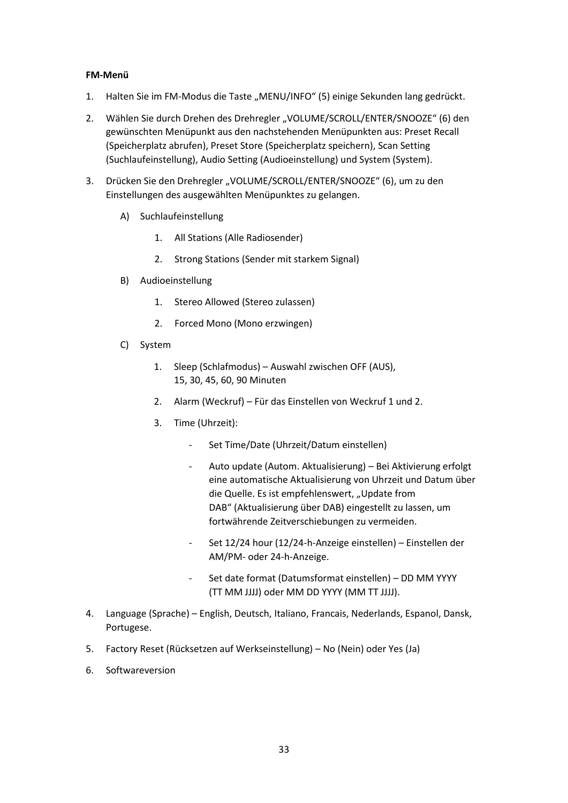### **FM-Menü**

- 1. Halten Sie im FM-Modus die Taste "MENU/INFO" (5) einige Sekunden lang gedrückt.
- 2. Wählen Sie durch Drehen des Drehregler "VOLUME/SCROLL/ENTER/SNOOZE" (6) den gewünschten Menüpunkt aus den nachstehenden Menüpunkten aus: Preset Recall (Speicherplatz abrufen), Preset Store (Speicherplatz speichern), Scan Setting (Suchlaufeinstellung), Audio Setting (Audioeinstellung) und System (System).
- 3. Drücken Sie den Drehregler "VOLUME/SCROLL/ENTER/SNOOZE" (6), um zu den Einstellungen des ausgewählten Menüpunktes zu gelangen.
	- A) Suchlaufeinstellung
		- 1. All Stations (Alle Radiosender)
		- 2. Strong Stations (Sender mit starkem Signal)
	- B) Audioeinstellung
		- 1. Stereo Allowed (Stereo zulassen)
		- 2. Forced Mono (Mono erzwingen)
	- C) System
		- 1. Sleep (Schlafmodus) Auswahl zwischen OFF (AUS), 15, 30, 45, 60, 90 Minuten
		- 2. Alarm (Weckruf) Für das Einstellen von Weckruf 1 und 2.
		- 3. Time (Uhrzeit):
			- ‐ Set Time/Date (Uhrzeit/Datum einstellen)
			- ‐ Auto update (Autom. Aktualisierung) Bei Aktivierung erfolgt eine automatische Aktualisierung von Uhrzeit und Datum über die Quelle. Es ist empfehlenswert, "Update from DAB" (Aktualisierung über DAB) eingestellt zu lassen, um fortwährende Zeitverschiebungen zu vermeiden.
			- ‐ Set 12/24 hour (12/24-h-Anzeige einstellen) Einstellen der AM/PM- oder 24-h-Anzeige.
			- ‐ Set date format (Datumsformat einstellen) DD MM YYYY (TT MM JJJJ) oder MM DD YYYY (MM TT JJJJ).
- 4. Language (Sprache) English, Deutsch, Italiano, Francais, Nederlands, Espanol, Dansk, Portugese.
- 5. Factory Reset (Rücksetzen auf Werkseinstellung) No (Nein) oder Yes (Ja)
- 6. Softwareversion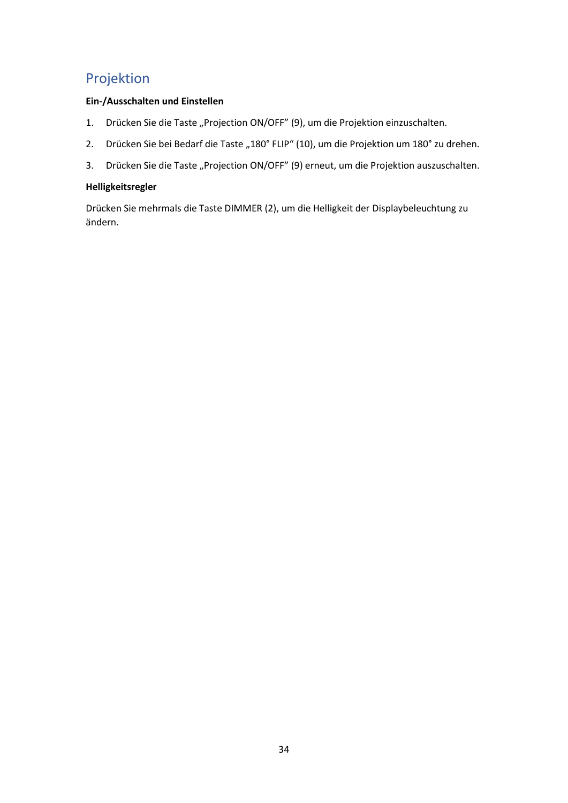# Projektion

## **Ein-/Ausschalten und Einstellen**

- 1. Drücken Sie die Taste "Projection ON/OFF" (9), um die Projektion einzuschalten.
- 2. Drücken Sie bei Bedarf die Taste "180° FLIP" (10), um die Projektion um 180° zu drehen.
- 3. Drücken Sie die Taste "Projection ON/OFF" (9) erneut, um die Projektion auszuschalten.

# **Helligkeitsregler**

Drücken Sie mehrmals die Taste DIMMER (2), um die Helligkeit der Displaybeleuchtung zu ändern.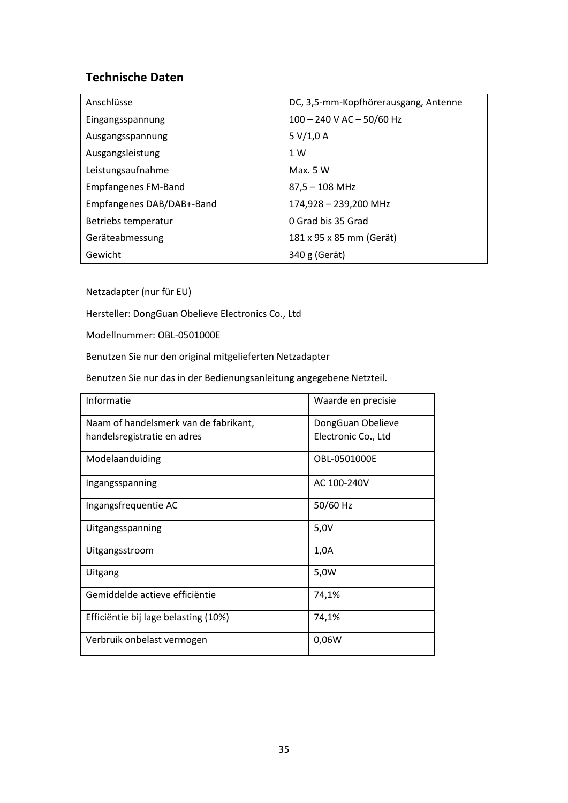# **Technische Daten**

| Anschlüsse                 | DC, 3,5-mm-Kopfhörerausgang, Antenne |
|----------------------------|--------------------------------------|
| Eingangsspannung           | 100 - 240 V AC - 50/60 Hz            |
| Ausgangsspannung           | 5 V/1,0 A                            |
| Ausgangsleistung           | 1 W                                  |
| Leistungsaufnahme          | Max. 5 W                             |
| <b>Empfangenes FM-Band</b> | $87,5 - 108$ MHz                     |
| Empfangenes DAB/DAB+-Band  | 174,928 - 239,200 MHz                |
| Betriebs temperatur        | 0 Grad bis 35 Grad                   |
| Geräteabmessung            | 181 x 95 x 85 mm (Gerät)             |
| Gewicht                    | 340 g (Gerät)                        |

Netzadapter (nur für EU)

Hersteller: DongGuan Obelieve Electronics Co., Ltd

Modellnummer: OBL-0501000E

Benutzen Sie nur den original mitgelieferten Netzadapter

Benutzen Sie nur das in der Bedienungsanleitung angegebene Netzteil.

| Informatie                            | Waarde en precisie  |
|---------------------------------------|---------------------|
| Naam of handelsmerk van de fabrikant, | DongGuan Obelieve   |
| handelsregistratie en adres           | Electronic Co., Ltd |
| Modelaanduiding                       | OBL-0501000E        |
| Ingangsspanning                       | AC 100-240V         |
| Ingangsfrequentie AC                  | 50/60 Hz            |
| Uitgangsspanning                      | 5,0V                |
| Uitgangsstroom                        | 1,0A                |
| Uitgang                               | 5,0W                |
| Gemiddelde actieve efficiëntie        | 74,1%               |
| Efficiëntie bij lage belasting (10%)  | 74,1%               |
| Verbruik onbelast vermogen            | 0,06W               |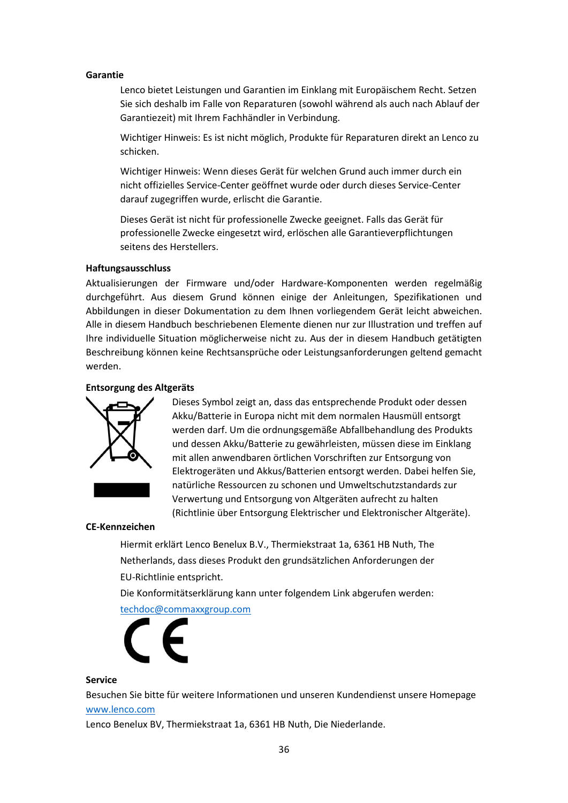#### **Garantie**

Lenco bietet Leistungen und Garantien im Einklang mit Europäischem Recht. Setzen Sie sich deshalb im Falle von Reparaturen (sowohl während als auch nach Ablauf der Garantiezeit) mit Ihrem Fachhändler in Verbindung.

Wichtiger Hinweis: Es ist nicht möglich, Produkte für Reparaturen direkt an Lenco zu schicken.

Wichtiger Hinweis: Wenn dieses Gerät für welchen Grund auch immer durch ein nicht offizielles Service-Center geöffnet wurde oder durch dieses Service-Center darauf zugegriffen wurde, erlischt die Garantie.

Dieses Gerät ist nicht für professionelle Zwecke geeignet. Falls das Gerät für professionelle Zwecke eingesetzt wird, erlöschen alle Garantieverpflichtungen seitens des Herstellers.

#### **Haftungsausschluss**

Aktualisierungen der Firmware und/oder Hardware-Komponenten werden regelmäßig durchgeführt. Aus diesem Grund können einige der Anleitungen, Spezifikationen und Abbildungen in dieser Dokumentation zu dem Ihnen vorliegendem Gerät leicht abweichen. Alle in diesem Handbuch beschriebenen Elemente dienen nur zur Illustration und treffen auf Ihre individuelle Situation möglicherweise nicht zu. Aus der in diesem Handbuch getätigten Beschreibung können keine Rechtsansprüche oder Leistungsanforderungen geltend gemacht werden.

#### **Entsorgung des Altgeräts**



Dieses Symbol zeigt an, dass das entsprechende Produkt oder dessen Akku/Batterie in Europa nicht mit dem normalen Hausmüll entsorgt werden darf. Um die ordnungsgemäße Abfallbehandlung des Produkts und dessen Akku/Batterie zu gewährleisten, müssen diese im Einklang mit allen anwendbaren örtlichen Vorschriften zur Entsorgung von Elektrogeräten und Akkus/Batterien entsorgt werden. Dabei helfen Sie, natürliche Ressourcen zu schonen und Umweltschutzstandards zur Verwertung und Entsorgung von Altgeräten aufrecht zu halten (Richtlinie über Entsorgung Elektrischer und Elektronischer Altgeräte).

#### **CE-Kennzeichen**

Hiermit erklärt Lenco Benelux B.V., Thermiekstraat 1a, 6361 HB Nuth, The Netherlands, dass dieses Produkt den grundsätzlichen Anforderungen der EU-Richtlinie entspricht.

Die Konformitätserklärung kann unter folgendem Link abgerufen werden:

[techdoc@commaxxgroup.com](mailto:techdoc@commaxxgroup.com)



#### **Service**

Besuchen Sie bitte für weitere Informationen und unseren Kundendienst unsere Homepage [www.lenco.com](http://www.lenco.com/)

Lenco Benelux BV, Thermiekstraat 1a, 6361 HB Nuth, Die Niederlande.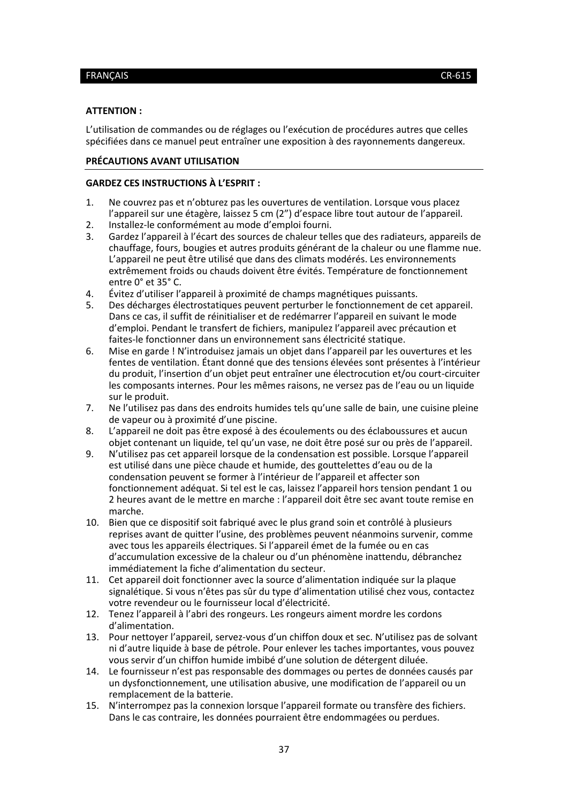#### <span id="page-36-0"></span>**ATTENTION :**

L'utilisation de commandes ou de réglages ou l'exécution de procédures autres que celles spécifiées dans ce manuel peut entraîner une exposition à des rayonnements dangereux.

#### **PRÉCAUTIONS AVANT UTILISATION**

#### **GARDEZ CES INSTRUCTIONS À L'ESPRIT :**

- 1. Ne couvrez pas et n'obturez pas les ouvertures de ventilation. Lorsque vous placez l'appareil sur une étagère, laissez 5 cm (2") d'espace libre tout autour de l'appareil.
- 2. Installez-le conformément au mode d'emploi fourni.
- 3. Gardez l'appareil à l'écart des sources de chaleur telles que des radiateurs, appareils de chauffage, fours, bougies et autres produits générant de la chaleur ou une flamme nue. L'appareil ne peut être utilisé que dans des climats modérés. Les environnements extrêmement froids ou chauds doivent être évités. Température de fonctionnement entre 0° et 35° C.
- 4. Évitez d'utiliser l'appareil à proximité de champs magnétiques puissants.
- 5. Des décharges électrostatiques peuvent perturber le fonctionnement de cet appareil. Dans ce cas, il suffit de réinitialiser et de redémarrer l'appareil en suivant le mode d'emploi. Pendant le transfert de fichiers, manipulez l'appareil avec précaution et faites-le fonctionner dans un environnement sans électricité statique.
- 6. Mise en garde ! N'introduisez jamais un objet dans l'appareil par les ouvertures et les fentes de ventilation. Étant donné que des tensions élevées sont présentes à l'intérieur du produit, l'insertion d'un objet peut entraîner une électrocution et/ou court-circuiter les composants internes. Pour les mêmes raisons, ne versez pas de l'eau ou un liquide sur le produit.
- 7. Ne l'utilisez pas dans des endroits humides tels qu'une salle de bain, une cuisine pleine de vapeur ou à proximité d'une piscine.
- 8. L'appareil ne doit pas être exposé à des écoulements ou des éclaboussures et aucun objet contenant un liquide, tel qu'un vase, ne doit être posé sur ou près de l'appareil.
- 9. N'utilisez pas cet appareil lorsque de la condensation est possible. Lorsque l'appareil est utilisé dans une pièce chaude et humide, des gouttelettes d'eau ou de la condensation peuvent se former à l'intérieur de l'appareil et affecter son fonctionnement adéquat. Si tel est le cas, laissez l'appareil hors tension pendant 1 ou 2 heures avant de le mettre en marche : l'appareil doit être sec avant toute remise en marche.
- 10. Bien que ce dispositif soit fabriqué avec le plus grand soin et contrôlé à plusieurs reprises avant de quitter l'usine, des problèmes peuvent néanmoins survenir, comme avec tous les appareils électriques. Si l'appareil émet de la fumée ou en cas d'accumulation excessive de la chaleur ou d'un phénomène inattendu, débranchez immédiatement la fiche d'alimentation du secteur.
- 11. Cet appareil doit fonctionner avec la source d'alimentation indiquée sur la plaque signalétique. Si vous n'êtes pas sûr du type d'alimentation utilisé chez vous, contactez votre revendeur ou le fournisseur local d'électricité.
- 12. Tenez l'appareil à l'abri des rongeurs. Les rongeurs aiment mordre les cordons d'alimentation.
- 13. Pour nettoyer l'appareil, servez-vous d'un chiffon doux et sec. N'utilisez pas de solvant ni d'autre liquide à base de pétrole. Pour enlever les taches importantes, vous pouvez vous servir d'un chiffon humide imbibé d'une solution de détergent diluée.
- 14. Le fournisseur n'est pas responsable des dommages ou pertes de données causés par un dysfonctionnement, une utilisation abusive, une modification de l'appareil ou un remplacement de la batterie.
- 15. N'interrompez pas la connexion lorsque l'appareil formate ou transfère des fichiers. Dans le cas contraire, les données pourraient être endommagées ou perdues.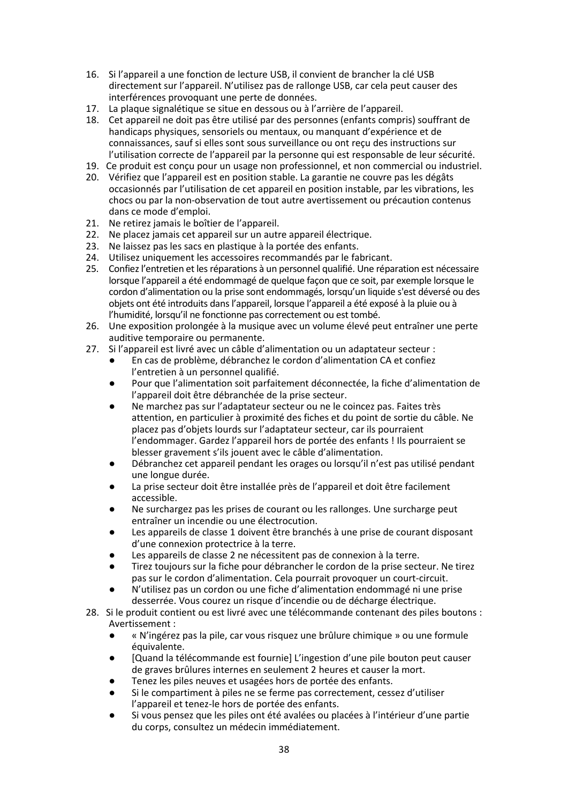- 16. Si l'appareil a une fonction de lecture USB, il convient de brancher la clé USB directement sur l'appareil. N'utilisez pas de rallonge USB, car cela peut causer des interférences provoquant une perte de données.
- 17. La plaque signalétique se situe en dessous ou à l'arrière de l'appareil.
- 18. Cet appareil ne doit pas être utilisé par des personnes (enfants compris) souffrant de handicaps physiques, sensoriels ou mentaux, ou manquant d'expérience et de connaissances, sauf si elles sont sous surveillance ou ont reçu des instructions sur l'utilisation correcte de l'appareil par la personne qui est responsable de leur sécurité.
- 19. Ce produit est conçu pour un usage non professionnel, et non commercial ou industriel.
- 20. Vérifiez que l'appareil est en position stable. La garantie ne couvre pas les dégâts occasionnés par l'utilisation de cet appareil en position instable, par les vibrations, les chocs ou par la non-observation de tout autre avertissement ou précaution contenus dans ce mode d'emploi.
- 21. Ne retirez jamais le boîtier de l'appareil.
- 22. Ne placez jamais cet appareil sur un autre appareil électrique.
- 23. Ne laissez pas les sacs en plastique à la portée des enfants.
- 24. Utilisez uniquement les accessoires recommandés par le fabricant.
- 25. Confiez l'entretien et les réparations à un personnel qualifié. Une réparation est nécessaire lorsque l'appareil a été endommagé de quelque façon que ce soit, par exemple lorsque le cordon d'alimentation ou la prise sont endommagés, lorsqu'un liquide s'est déversé ou des objets ont été introduits dans l'appareil, lorsque l'appareil a été exposé à la pluie ou à l'humidité, lorsqu'il ne fonctionne pas correctement ou est tombé.
- 26. Une exposition prolongée à la musique avec un volume élevé peut entraîner une perte auditive temporaire ou permanente.
- 27. Si l'appareil est livré avec un câble d'alimentation ou un adaptateur secteur :
	- En cas de problème, débranchez le cordon d'alimentation CA et confiez l'entretien à un personnel qualifié.
	- Pour que l'alimentation soit parfaitement déconnectée, la fiche d'alimentation de l'appareil doit être débranchée de la prise secteur.
	- Ne marchez pas sur l'adaptateur secteur ou ne le coincez pas. Faites très attention, en particulier à proximité des fiches et du point de sortie du câble. Ne placez pas d'objets lourds sur l'adaptateur secteur, car ils pourraient l'endommager. Gardez l'appareil hors de portée des enfants ! Ils pourraient se blesser gravement s'ils jouent avec le câble d'alimentation.
	- Débranchez cet appareil pendant les orages ou lorsqu'il n'est pas utilisé pendant une longue durée.
	- La prise secteur doit être installée près de l'appareil et doit être facilement accessible.
	- Ne surchargez pas les prises de courant ou les rallonges. Une surcharge peut entraîner un incendie ou une électrocution.
	- Les appareils de classe 1 doivent être branchés à une prise de courant disposant d'une connexion protectrice à la terre.
	- Les appareils de classe 2 ne nécessitent pas de connexion à la terre.
	- Tirez toujours sur la fiche pour débrancher le cordon de la prise secteur. Ne tirez pas sur le cordon d'alimentation. Cela pourrait provoquer un court-circuit.
	- N'utilisez pas un cordon ou une fiche d'alimentation endommagé ni une prise desserrée. Vous courez un risque d'incendie ou de décharge électrique.
- 28. Si le produit contient ou est livré avec une télécommande contenant des piles boutons : Avertissement :
	- « N'ingérez pas la pile, car vous risquez une brûlure chimique » ou une formule équivalente.
	- [Quand la télécommande est fournie] L'ingestion d'une pile bouton peut causer de graves brûlures internes en seulement 2 heures et causer la mort.
	- Tenez les piles neuves et usagées hors de portée des enfants.
	- Si le compartiment à piles ne se ferme pas correctement, cessez d'utiliser l'appareil et tenez-le hors de portée des enfants.
	- Si vous pensez que les piles ont été avalées ou placées à l'intérieur d'une partie du corps, consultez un médecin immédiatement.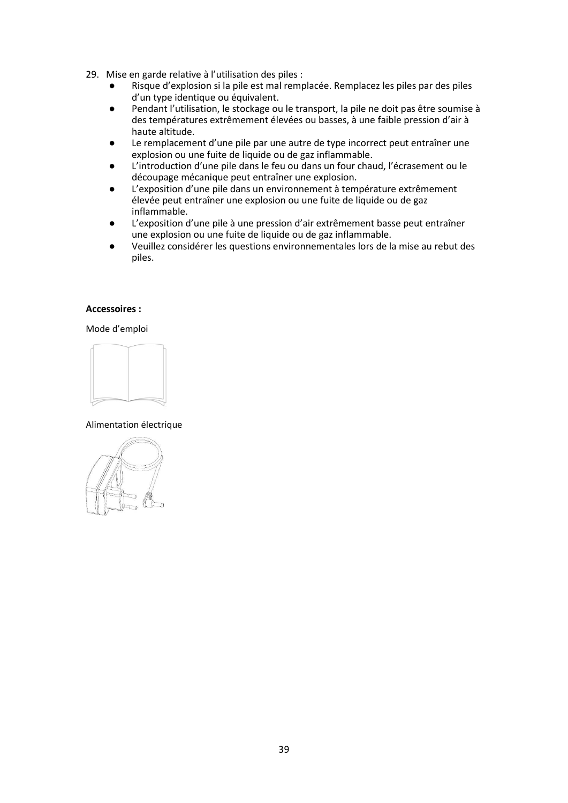- 29. Mise en garde relative à l'utilisation des piles :
	- Risque d'explosion si la pile est mal remplacée. Remplacez les piles par des piles d'un type identique ou équivalent.
	- Pendant l'utilisation, le stockage ou le transport, la pile ne doit pas être soumise à des températures extrêmement élevées ou basses, à une faible pression d'air à haute altitude.
	- Le remplacement d'une pile par une autre de type incorrect peut entraîner une explosion ou une fuite de liquide ou de gaz inflammable.
	- L'introduction d'une pile dans le feu ou dans un four chaud, l'écrasement ou le découpage mécanique peut entraîner une explosion.
	- L'exposition d'une pile dans un environnement à température extrêmement élevée peut entraîner une explosion ou une fuite de liquide ou de gaz inflammable.
	- L'exposition d'une pile à une pression d'air extrêmement basse peut entraîner une explosion ou une fuite de liquide ou de gaz inflammable.
	- Veuillez considérer les questions environnementales lors de la mise au rebut des piles.

#### **Accessoires :**

Mode d'emploi



# Alimentation électrique

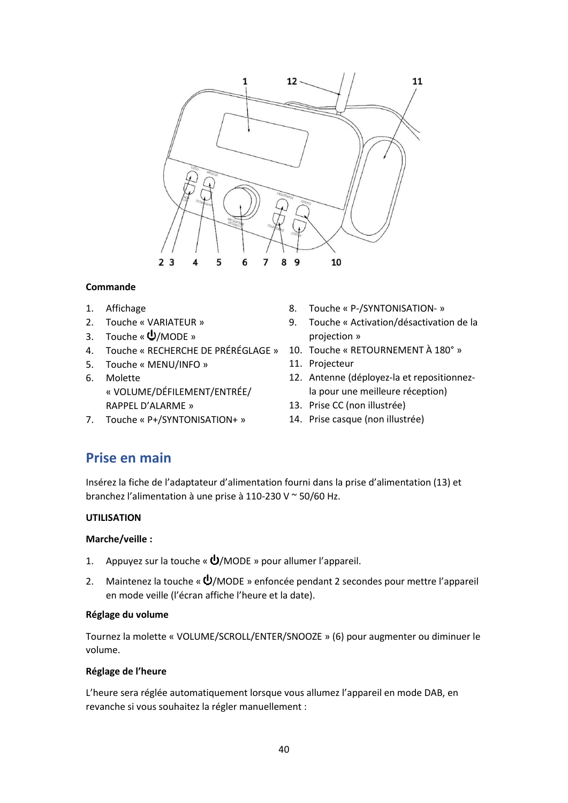

# **Commande**

- 1. Affichage
- 2. Touche « VARIATEUR »
- 3. Touche « $\mathbf{\dot{U}}$ /MODE »
- 4. Touche « RECHERCHE DE PRÉRÉGLAGE » 10. Touche « RETOURNEMENT À 180° »
- 5. Touche « MENU/INFO »
- 6. Molette « VOLUME/DÉFILEMENT/ENTRÉE/ RAPPEL D'ALARME »
- 7. Touche « P+/SYNTONISATION+ »
- 8. Touche « P-/SYNTONISATION- »
- 9. Touche « Activation/désactivation de la projection »
- 
- 11. Projecteur
- 12. Antenne (déployez-la et repositionnezla pour une meilleure réception)
- 13. Prise CC (non illustrée)
- 14. Prise casque (non illustrée)

# **Prise en main**

Insérez la fiche de l'adaptateur d'alimentation fourni dans la prise d'alimentation (13) et branchez l'alimentation à une prise à 110-230 V ~ 50/60 Hz.

# **UTILISATION**

### **Marche/veille :**

- 1. Appuyez sur la touche «  $\Phi$ /MODE » pour allumer l'appareil.
- 2. Maintenez la touche «  $\bigcup$ /MODE » enfoncée pendant 2 secondes pour mettre l'appareil en mode veille (l'écran affiche l'heure et la date).

### **Réglage du volume**

Tournez la molette « VOLUME/SCROLL/ENTER/SNOOZE » (6) pour augmenter ou diminuer le volume.

### **Réglage de l'heure**

L'heure sera réglée automatiquement lorsque vous allumez l'appareil en mode DAB, en revanche si vous souhaitez la régler manuellement :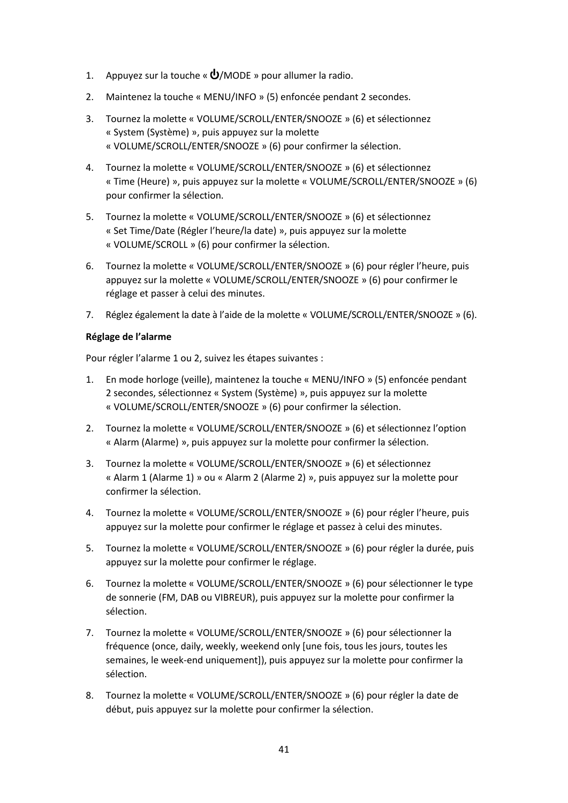- 1. Appuyez sur la touche «  $\Phi$ /MODE » pour allumer la radio.
- 2. Maintenez la touche « MENU/INFO » (5) enfoncée pendant 2 secondes.
- 3. Tournez la molette « VOLUME/SCROLL/ENTER/SNOOZE » (6) et sélectionnez « System (Système) », puis appuyez sur la molette « VOLUME/SCROLL/ENTER/SNOOZE » (6) pour confirmer la sélection.
- 4. Tournez la molette « VOLUME/SCROLL/ENTER/SNOOZE » (6) et sélectionnez « Time (Heure) », puis appuyez sur la molette « VOLUME/SCROLL/ENTER/SNOOZE » (6) pour confirmer la sélection.
- 5. Tournez la molette « VOLUME/SCROLL/ENTER/SNOOZE » (6) et sélectionnez « Set Time/Date (Régler l'heure/la date) », puis appuyez sur la molette « VOLUME/SCROLL » (6) pour confirmer la sélection.
- 6. Tournez la molette « VOLUME/SCROLL/ENTER/SNOOZE » (6) pour régler l'heure, puis appuyez sur la molette « VOLUME/SCROLL/ENTER/SNOOZE » (6) pour confirmer le réglage et passer à celui des minutes.
- 7. Réglez également la date à l'aide de la molette « VOLUME/SCROLL/ENTER/SNOOZE » (6).

## **Réglage de l'alarme**

Pour régler l'alarme 1 ou 2, suivez les étapes suivantes :

- 1. En mode horloge (veille), maintenez la touche « MENU/INFO » (5) enfoncée pendant 2 secondes, sélectionnez « System (Système) », puis appuyez sur la molette « VOLUME/SCROLL/ENTER/SNOOZE » (6) pour confirmer la sélection.
- 2. Tournez la molette « VOLUME/SCROLL/ENTER/SNOOZE » (6) et sélectionnez l'option « Alarm (Alarme) », puis appuyez sur la molette pour confirmer la sélection.
- 3. Tournez la molette « VOLUME/SCROLL/ENTER/SNOOZE » (6) et sélectionnez « Alarm 1 (Alarme 1) » ou « Alarm 2 (Alarme 2) », puis appuyez sur la molette pour confirmer la sélection.
- 4. Tournez la molette « VOLUME/SCROLL/ENTER/SNOOZE » (6) pour régler l'heure, puis appuyez sur la molette pour confirmer le réglage et passez à celui des minutes.
- 5. Tournez la molette « VOLUME/SCROLL/ENTER/SNOOZE » (6) pour régler la durée, puis appuyez sur la molette pour confirmer le réglage.
- 6. Tournez la molette « VOLUME/SCROLL/ENTER/SNOOZE » (6) pour sélectionner le type de sonnerie (FM, DAB ou VIBREUR), puis appuyez sur la molette pour confirmer la sélection.
- 7. Tournez la molette « VOLUME/SCROLL/ENTER/SNOOZE » (6) pour sélectionner la fréquence (once, daily, weekly, weekend only [une fois, tous les jours, toutes les semaines, le week-end uniquement]), puis appuyez sur la molette pour confirmer la sélection.
- 8. Tournez la molette « VOLUME/SCROLL/ENTER/SNOOZE » (6) pour régler la date de début, puis appuyez sur la molette pour confirmer la sélection.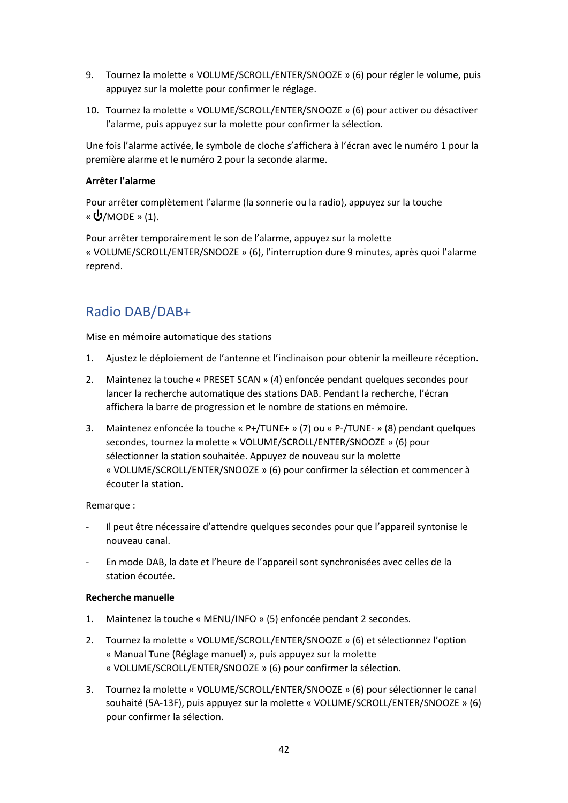- 9. Tournez la molette « VOLUME/SCROLL/ENTER/SNOOZE » (6) pour régler le volume, puis appuyez sur la molette pour confirmer le réglage.
- 10. Tournez la molette « VOLUME/SCROLL/ENTER/SNOOZE » (6) pour activer ou désactiver l'alarme, puis appuyez sur la molette pour confirmer la sélection.

Une fois l'alarme activée, le symbole de cloche s'affichera à l'écran avec le numéro 1 pour la première alarme et le numéro 2 pour la seconde alarme.

## **Arrêter l'alarme**

Pour arrêter complètement l'alarme (la sonnerie ou la radio), appuyez sur la touche « $\mathbf{\dot{U}}$ /МОDE » (1).

Pour arrêter temporairement le son de l'alarme, appuyez sur la molette « VOLUME/SCROLL/ENTER/SNOOZE » (6), l'interruption dure 9 minutes, après quoi l'alarme reprend.

# Radio DAB/DAB+

Mise en mémoire automatique des stations

- 1. Ajustez le déploiement de l'antenne et l'inclinaison pour obtenir la meilleure réception.
- 2. Maintenez la touche « PRESET SCAN » (4) enfoncée pendant quelques secondes pour lancer la recherche automatique des stations DAB. Pendant la recherche, l'écran affichera la barre de progression et le nombre de stations en mémoire.
- 3. Maintenez enfoncée la touche « P+/TUNE+ » (7) ou « P-/TUNE- » (8) pendant quelques secondes, tournez la molette « VOLUME/SCROLL/ENTER/SNOOZE » (6) pour sélectionner la station souhaitée. Appuyez de nouveau sur la molette « VOLUME/SCROLL/ENTER/SNOOZE » (6) pour confirmer la sélection et commencer à écouter la station.

# Remarque :

- ‐ Il peut être nécessaire d'attendre quelques secondes pour que l'appareil syntonise le nouveau canal.
- ‐ En mode DAB, la date et l'heure de l'appareil sont synchronisées avec celles de la station écoutée.

### **Recherche manuelle**

- 1. Maintenez la touche « MENU/INFO » (5) enfoncée pendant 2 secondes.
- 2. Tournez la molette « VOLUME/SCROLL/ENTER/SNOOZE » (6) et sélectionnez l'option « Manual Tune (Réglage manuel) », puis appuyez sur la molette « VOLUME/SCROLL/ENTER/SNOOZE » (6) pour confirmer la sélection.
- 3. Tournez la molette « VOLUME/SCROLL/ENTER/SNOOZE » (6) pour sélectionner le canal souhaité (5A-13F), puis appuyez sur la molette « VOLUME/SCROLL/ENTER/SNOOZE » (6) pour confirmer la sélection.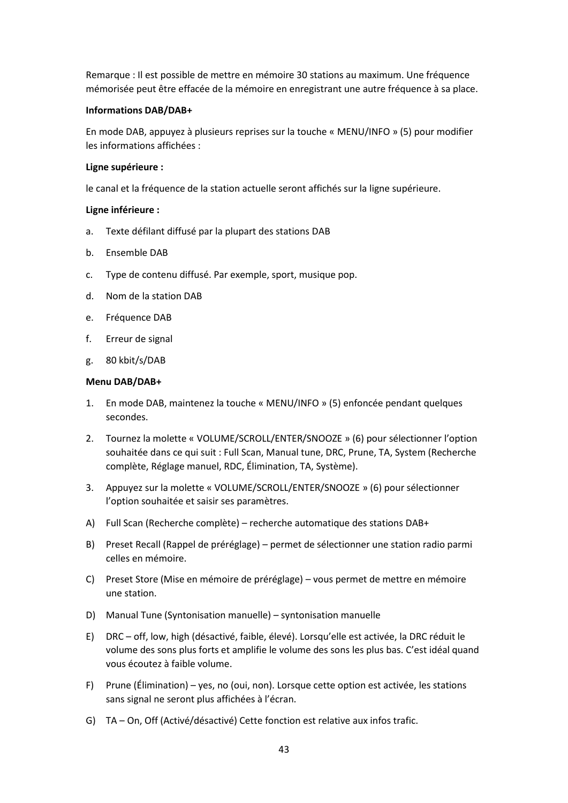Remarque : Il est possible de mettre en mémoire 30 stations au maximum. Une fréquence mémorisée peut être effacée de la mémoire en enregistrant une autre fréquence à sa place.

### **Informations DAB/DAB+**

En mode DAB, appuyez à plusieurs reprises sur la touche « MENU/INFO » (5) pour modifier les informations affichées :

#### **Ligne supérieure :**

le canal et la fréquence de la station actuelle seront affichés sur la ligne supérieure.

#### **Ligne inférieure :**

- a. Texte défilant diffusé par la plupart des stations DAB
- b. Ensemble DAB
- c. Type de contenu diffusé. Par exemple, sport, musique pop.
- d. Nom de la station DAB
- e. Fréquence DAB
- f. Erreur de signal
- g. 80 kbit/s/DAB

#### **Menu DAB/DAB+**

- 1. En mode DAB, maintenez la touche « MENU/INFO » (5) enfoncée pendant quelques secondes.
- 2. Tournez la molette « VOLUME/SCROLL/ENTER/SNOOZE » (6) pour sélectionner l'option souhaitée dans ce qui suit : Full Scan, Manual tune, DRC, Prune, TA, System (Recherche complète, Réglage manuel, RDC, Élimination, TA, Système).
- 3. Appuyez sur la molette « VOLUME/SCROLL/ENTER/SNOOZE » (6) pour sélectionner l'option souhaitée et saisir ses paramètres.
- A) Full Scan (Recherche complète) recherche automatique des stations DAB+
- B) Preset Recall (Rappel de préréglage) permet de sélectionner une station radio parmi celles en mémoire.
- C) Preset Store (Mise en mémoire de préréglage) vous permet de mettre en mémoire une station.
- D) Manual Tune (Syntonisation manuelle) syntonisation manuelle
- E) DRC off, low, high (désactivé, faible, élevé). Lorsqu'elle est activée, la DRC réduit le volume des sons plus forts et amplifie le volume des sons les plus bas. C'est idéal quand vous écoutez à faible volume.
- F) Prune (Élimination) yes, no (oui, non). Lorsque cette option est activée, les stations sans signal ne seront plus affichées à l'écran.
- G) TA On, Off (Activé/désactivé) Cette fonction est relative aux infos trafic.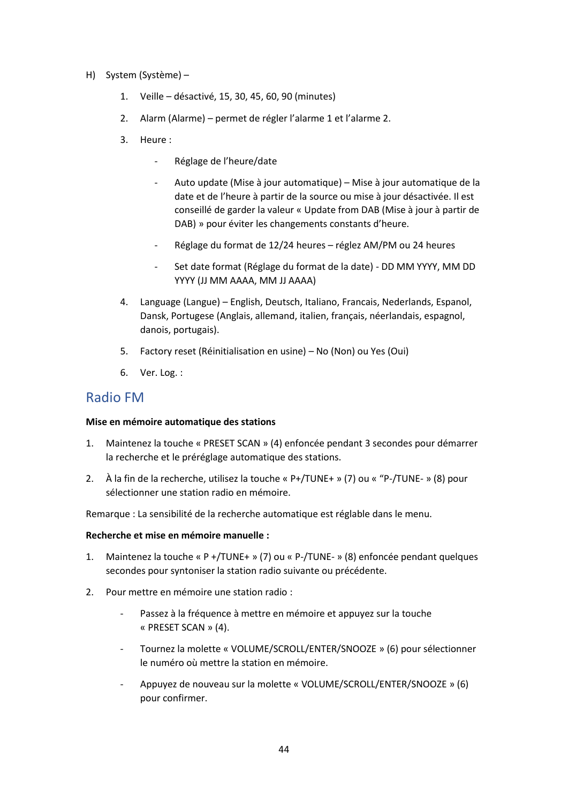- H) System (Système)
	- 1. Veille désactivé, 15, 30, 45, 60, 90 (minutes)
	- 2. Alarm (Alarme) permet de régler l'alarme 1 et l'alarme 2.
	- 3. Heure :
		- ‐ Réglage de l'heure/date
		- ‐ Auto update (Mise à jour automatique) Mise à jour automatique de la date et de l'heure à partir de la source ou mise à jour désactivée. Il est conseillé de garder la valeur « Update from DAB (Mise à jour à partir de DAB) » pour éviter les changements constants d'heure.
		- ‐ Réglage du format de 12/24 heures réglez AM/PM ou 24 heures
		- Set date format (Réglage du format de la date) DD MM YYYY, MM DD YYYY (JJ MM AAAA, MM JJ AAAA)
	- 4. Language (Langue) English, Deutsch, Italiano, Francais, Nederlands, Espanol, Dansk, Portugese (Anglais, allemand, italien, français, néerlandais, espagnol, danois, portugais).
	- 5. Factory reset (Réinitialisation en usine) No (Non) ou Yes (Oui)
	- 6. Ver. Log. :

# Radio FM

### **Mise en mémoire automatique des stations**

- 1. Maintenez la touche « PRESET SCAN » (4) enfoncée pendant 3 secondes pour démarrer la recherche et le préréglage automatique des stations.
- 2. À la fin de la recherche, utilisez la touche « P+/TUNE+ » (7) ou « "P-/TUNE- » (8) pour sélectionner une station radio en mémoire.

Remarque : La sensibilité de la recherche automatique est réglable dans le menu.

### **Recherche et mise en mémoire manuelle :**

- 1. Maintenez la touche « P +/TUNE+ » (7) ou « P-/TUNE- » (8) enfoncée pendant quelques secondes pour syntoniser la station radio suivante ou précédente.
- 2. Pour mettre en mémoire une station radio :
	- ‐ Passez à la fréquence à mettre en mémoire et appuyez sur la touche « PRESET SCAN » (4).
	- ‐ Tournez la molette « VOLUME/SCROLL/ENTER/SNOOZE » (6) pour sélectionner le numéro où mettre la station en mémoire.
	- ‐ Appuyez de nouveau sur la molette « VOLUME/SCROLL/ENTER/SNOOZE » (6) pour confirmer.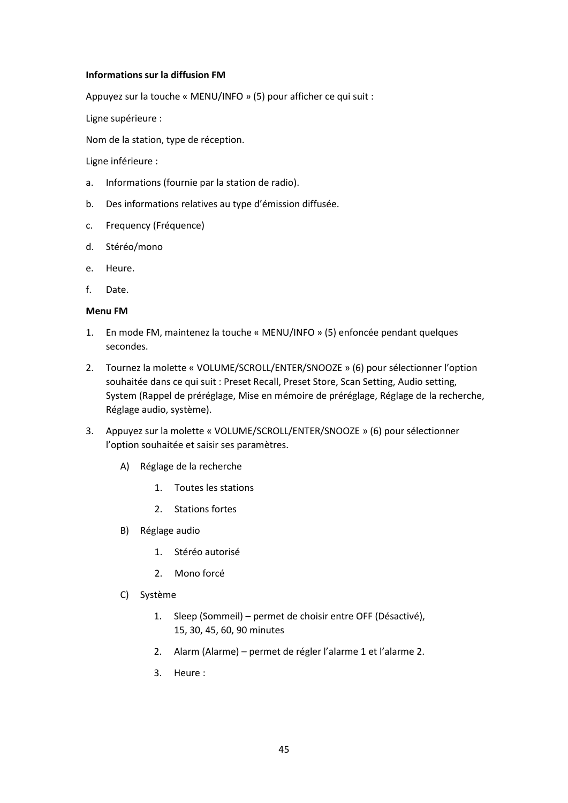### **Informations sur la diffusion FM**

Appuyez sur la touche « MENU/INFO » (5) pour afficher ce qui suit :

Ligne supérieure :

Nom de la station, type de réception.

Ligne inférieure :

- a. Informations (fournie par la station de radio).
- b. Des informations relatives au type d'émission diffusée.
- c. Frequency (Fréquence)
- d. Stéréo/mono
- e. Heure.
- f. Date.

### **Menu FM**

- 1. En mode FM, maintenez la touche « MENU/INFO » (5) enfoncée pendant quelques secondes.
- 2. Tournez la molette « VOLUME/SCROLL/ENTER/SNOOZE » (6) pour sélectionner l'option souhaitée dans ce qui suit : Preset Recall, Preset Store, Scan Setting, Audio setting, System (Rappel de préréglage, Mise en mémoire de préréglage, Réglage de la recherche, Réglage audio, système).
- 3. Appuyez sur la molette « VOLUME/SCROLL/ENTER/SNOOZE » (6) pour sélectionner l'option souhaitée et saisir ses paramètres.
	- A) Réglage de la recherche
		- 1. Toutes les stations
		- 2. Stations fortes
	- B) Réglage audio
		- 1. Stéréo autorisé
		- 2. Mono forcé
	- C) Système
		- 1. Sleep (Sommeil) permet de choisir entre OFF (Désactivé), 15, 30, 45, 60, 90 minutes
		- 2. Alarm (Alarme) permet de régler l'alarme 1 et l'alarme 2.
		- 3. Heure :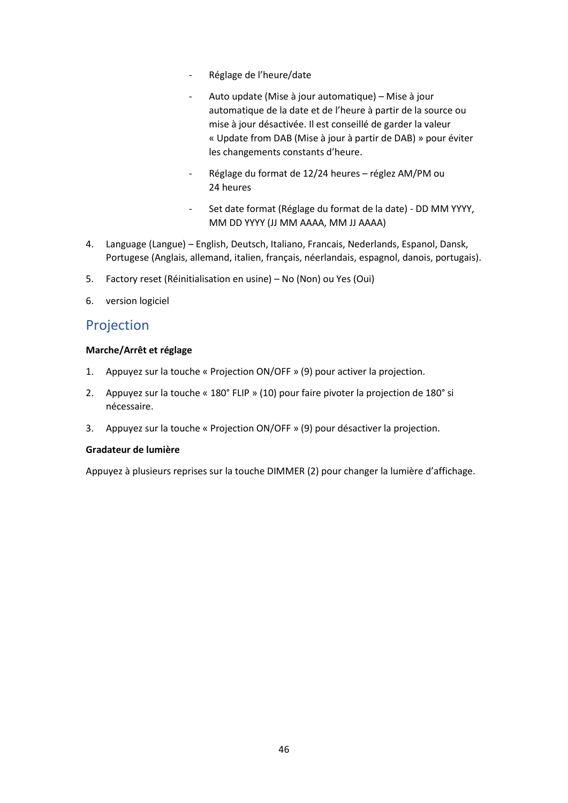- ‐ Réglage de l'heure/date
- ‐ Auto update (Mise à jour automatique) Mise à jour automatique de la date et de l'heure à partir de la source ou mise à jour désactivée. Il est conseillé de garder la valeur « Update from DAB (Mise à jour à partir de DAB) » pour éviter les changements constants d'heure.
- ‐ Réglage du format de 12/24 heures réglez AM/PM ou 24 heures
- Set date format (Réglage du format de la date) DD MM YYYY, MM DD YYYY (JJ MM AAAA, MM JJ AAAA)
- 4. Language (Langue) English, Deutsch, Italiano, Francais, Nederlands, Espanol, Dansk, Portugese (Anglais, allemand, italien, français, néerlandais, espagnol, danois, portugais).
- 5. Factory reset (Réinitialisation en usine) No (Non) ou Yes (Oui)
- 6. version logiciel

# Projection

## **Marche/Arrêt et réglage**

- 1. Appuyez sur la touche « Projection ON/OFF » (9) pour activer la projection.
- 2. Appuyez sur la touche « 180° FLIP » (10) pour faire pivoter la projection de 180° si nécessaire.
- 3. Appuyez sur la touche « Projection ON/OFF » (9) pour désactiver la projection.

### **Gradateur de lumière**

Appuyez à plusieurs reprises sur la touche DIMMER (2) pour changer la lumière d'affichage.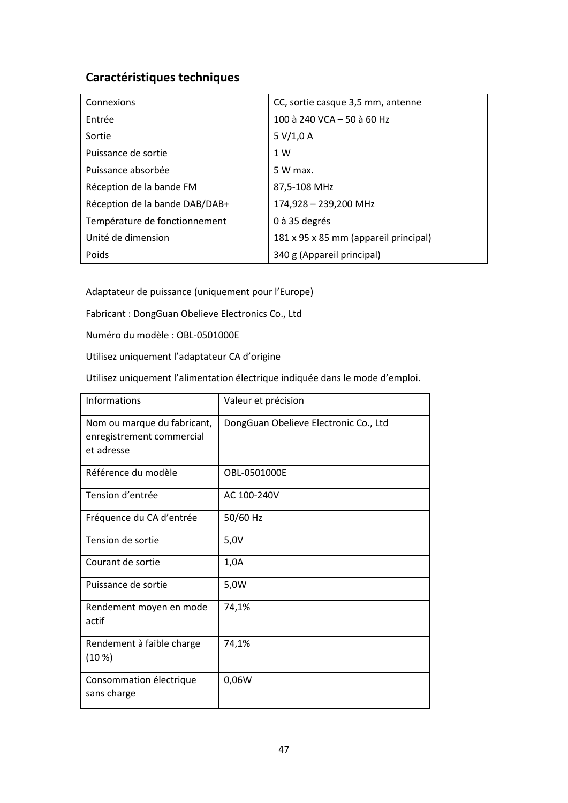# **Caractéristiques techniques**

| Connexions                     | CC, sortie casque 3,5 mm, antenne     |
|--------------------------------|---------------------------------------|
| Entrée                         | 100 à 240 VCA - 50 à 60 Hz            |
| Sortie                         | 5 V/1,0 A                             |
| Puissance de sortie            | 1 W                                   |
| Puissance absorbée             | 5 W max.                              |
| Réception de la bande FM       | 87,5-108 MHz                          |
| Réception de la bande DAB/DAB+ | 174,928 - 239,200 MHz                 |
| Température de fonctionnement  | 0 à 35 degrés                         |
| Unité de dimension             | 181 x 95 x 85 mm (appareil principal) |
| Poids                          | 340 g (Appareil principal)            |

Adaptateur de puissance (uniquement pour l'Europe)

Fabricant : DongGuan Obelieve Electronics Co., Ltd

Numéro du modèle : OBL-0501000E

Utilisez uniquement l'adaptateur CA d'origine

Utilisez uniquement l'alimentation électrique indiquée dans le mode d'emploi.

| Informations                                                           | Valeur et précision                   |
|------------------------------------------------------------------------|---------------------------------------|
| Nom ou marque du fabricant,<br>enregistrement commercial<br>et adresse | DongGuan Obelieve Electronic Co., Ltd |
| Référence du modèle                                                    | OBL-0501000E                          |
| Tension d'entrée                                                       | AC 100-240V                           |
| Fréquence du CA d'entrée                                               | 50/60 Hz                              |
| Tension de sortie                                                      | 5,0V                                  |
| Courant de sortie                                                      | 1,0A                                  |
| Puissance de sortie                                                    | 5,0W                                  |
| Rendement moyen en mode<br>actif                                       | 74,1%                                 |
| Rendement à faible charge<br>(10 %)                                    | 74,1%                                 |
| Consommation électrique<br>sans charge                                 | 0,06W                                 |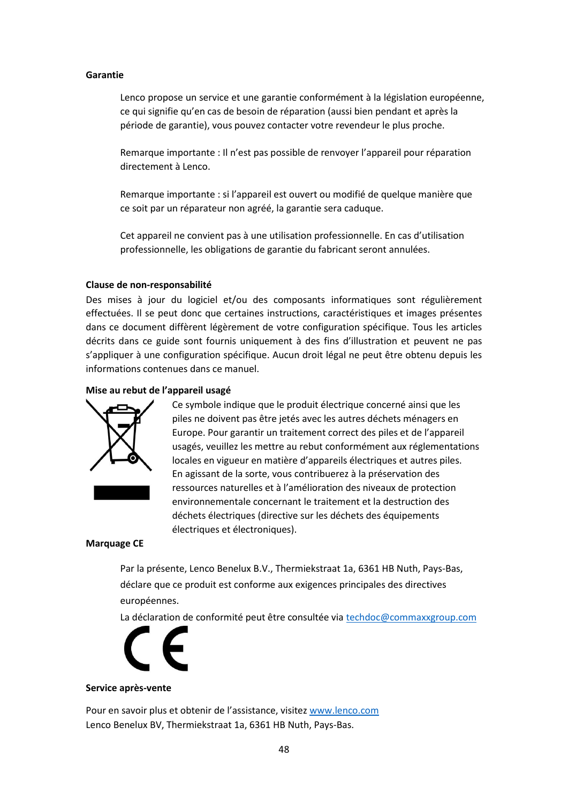#### **Garantie**

Lenco propose un service et une garantie conformément à la législation européenne, ce qui signifie qu'en cas de besoin de réparation (aussi bien pendant et après la période de garantie), vous pouvez contacter votre revendeur le plus proche.

Remarque importante : Il n'est pas possible de renvoyer l'appareil pour réparation directement à Lenco.

Remarque importante : si l'appareil est ouvert ou modifié de quelque manière que ce soit par un réparateur non agréé, la garantie sera caduque.

Cet appareil ne convient pas à une utilisation professionnelle. En cas d'utilisation professionnelle, les obligations de garantie du fabricant seront annulées.

#### **Clause de non-responsabilité**

Des mises à jour du logiciel et/ou des composants informatiques sont régulièrement effectuées. Il se peut donc que certaines instructions, caractéristiques et images présentes dans ce document diffèrent légèrement de votre configuration spécifique. Tous les articles décrits dans ce guide sont fournis uniquement à des fins d'illustration et peuvent ne pas s'appliquer à une configuration spécifique. Aucun droit légal ne peut être obtenu depuis les informations contenues dans ce manuel.

#### **Mise au rebut de l'appareil usagé**



Ce symbole indique que le produit électrique concerné ainsi que les piles ne doivent pas être jetés avec les autres déchets ménagers en Europe. Pour garantir un traitement correct des piles et de l'appareil usagés, veuillez les mettre au rebut conformément aux réglementations locales en vigueur en matière d'appareils électriques et autres piles. En agissant de la sorte, vous contribuerez à la préservation des ressources naturelles et à l'amélioration des niveaux de protection environnementale concernant le traitement et la destruction des déchets électriques (directive sur les déchets des équipements électriques et électroniques).

#### **Marquage CE**

Par la présente, Lenco Benelux B.V., Thermiekstraat 1a, 6361 HB Nuth, Pays-Bas, déclare que ce produit est conforme aux exigences principales des directives européennes.

La déclaration de conformité peut être consultée vi[a techdoc@commaxxgroup.com](mailto:techdoc@commaxxgroup.com)



#### **Service après-vente**

Pour en savoir plus et obtenir de l'assistance, visitez [www.lenco.com](http://www.lenco.com/) Lenco Benelux BV, Thermiekstraat 1a, 6361 HB Nuth, Pays-Bas.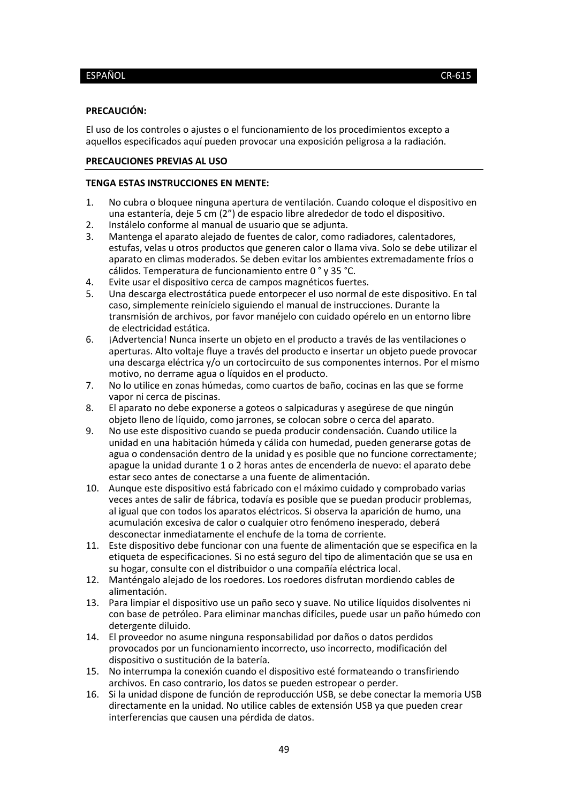#### <span id="page-48-0"></span>**PRECAUCIÓN:**

El uso de los controles o ajustes o el funcionamiento de los procedimientos excepto a aquellos especificados aquí pueden provocar una exposición peligrosa a la radiación.

### **PRECAUCIONES PREVIAS AL USO**

#### **TENGA ESTAS INSTRUCCIONES EN MENTE:**

- 1. No cubra o bloquee ninguna apertura de ventilación. Cuando coloque el dispositivo en una estantería, deje 5 cm (2") de espacio libre alrededor de todo el dispositivo.
- 2. Instálelo conforme al manual de usuario que se adjunta.
- 3. Mantenga el aparato alejado de fuentes de calor, como radiadores, calentadores, estufas, velas u otros productos que generen calor o llama viva. Solo se debe utilizar el aparato en climas moderados. Se deben evitar los ambientes extremadamente fríos o cálidos. Temperatura de funcionamiento entre 0 ° y 35 °C.
- 4. Evite usar el dispositivo cerca de campos magnéticos fuertes.
- 5. Una descarga electrostática puede entorpecer el uso normal de este dispositivo. En tal caso, simplemente reinícielo siguiendo el manual de instrucciones. Durante la transmisión de archivos, por favor manéjelo con cuidado opérelo en un entorno libre de electricidad estática.
- 6. ¡Advertencia! Nunca inserte un objeto en el producto a través de las ventilaciones o aperturas. Alto voltaje fluye a través del producto e insertar un objeto puede provocar una descarga eléctrica y/o un cortocircuito de sus componentes internos. Por el mismo motivo, no derrame agua o líquidos en el producto.
- 7. No lo utilice en zonas húmedas, como cuartos de baño, cocinas en las que se forme vapor ni cerca de piscinas.
- 8. El aparato no debe exponerse a goteos o salpicaduras y asegúrese de que ningún objeto lleno de líquido, como jarrones, se colocan sobre o cerca del aparato.
- 9. No use este dispositivo cuando se pueda producir condensación. Cuando utilice la unidad en una habitación húmeda y cálida con humedad, pueden generarse gotas de agua o condensación dentro de la unidad y es posible que no funcione correctamente; apague la unidad durante 1 o 2 horas antes de encenderla de nuevo: el aparato debe estar seco antes de conectarse a una fuente de alimentación.
- 10. Aunque este dispositivo está fabricado con el máximo cuidado y comprobado varias veces antes de salir de fábrica, todavía es posible que se puedan producir problemas, al igual que con todos los aparatos eléctricos. Si observa la aparición de humo, una acumulación excesiva de calor o cualquier otro fenómeno inesperado, deberá desconectar inmediatamente el enchufe de la toma de corriente.
- 11. Este dispositivo debe funcionar con una fuente de alimentación que se especifica en la etiqueta de especificaciones. Si no está seguro del tipo de alimentación que se usa en su hogar, consulte con el distribuidor o una compañía eléctrica local.
- 12. Manténgalo alejado de los roedores. Los roedores disfrutan mordiendo cables de alimentación.
- 13. Para limpiar el dispositivo use un paño seco y suave. No utilice líquidos disolventes ni con base de petróleo. Para eliminar manchas difíciles, puede usar un paño húmedo con detergente diluido.
- 14. El proveedor no asume ninguna responsabilidad por daños o datos perdidos provocados por un funcionamiento incorrecto, uso incorrecto, modificación del dispositivo o sustitución de la batería.
- 15. No interrumpa la conexión cuando el dispositivo esté formateando o transfiriendo archivos. En caso contrario, los datos se pueden estropear o perder.
- 16. Si la unidad dispone de función de reproducción USB, se debe conectar la memoria USB directamente en la unidad. No utilice cables de extensión USB ya que pueden crear interferencias que causen una pérdida de datos.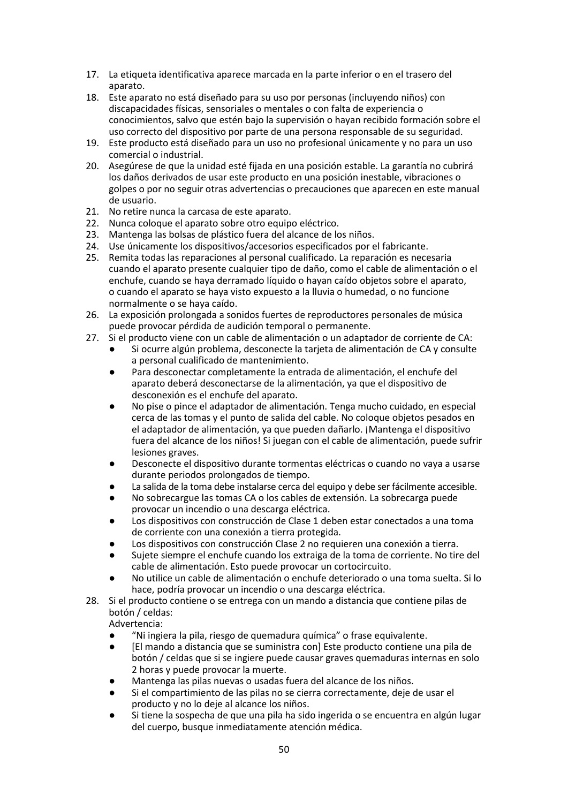- 17. La etiqueta identificativa aparece marcada en la parte inferior o en el trasero del aparato.
- 18. Este aparato no está diseñado para su uso por personas (incluyendo niños) con discapacidades físicas, sensoriales o mentales o con falta de experiencia o conocimientos, salvo que estén bajo la supervisión o hayan recibido formación sobre el uso correcto del dispositivo por parte de una persona responsable de su seguridad.
- 19. Este producto está diseñado para un uso no profesional únicamente y no para un uso comercial o industrial.
- 20. Asegúrese de que la unidad esté fijada en una posición estable. La garantía no cubrirá los daños derivados de usar este producto en una posición inestable, vibraciones o golpes o por no seguir otras advertencias o precauciones que aparecen en este manual de usuario.
- 21. No retire nunca la carcasa de este aparato.
- 22. Nunca coloque el aparato sobre otro equipo eléctrico.
- 23. Mantenga las bolsas de plástico fuera del alcance de los niños.
- 24. Use únicamente los dispositivos/accesorios especificados por el fabricante.
- 25. Remita todas las reparaciones al personal cualificado. La reparación es necesaria cuando el aparato presente cualquier tipo de daño, como el cable de alimentación o el enchufe, cuando se haya derramado líquido o hayan caído objetos sobre el aparato, o cuando el aparato se haya visto expuesto a la lluvia o humedad, o no funcione normalmente o se haya caído.
- 26. La exposición prolongada a sonidos fuertes de reproductores personales de música puede provocar pérdida de audición temporal o permanente.
- 27. Si el producto viene con un cable de alimentación o un adaptador de corriente de CA:
	- Si ocurre algún problema, desconecte la tarjeta de alimentación de CA y consulte a personal cualificado de mantenimiento.
	- Para desconectar completamente la entrada de alimentación, el enchufe del aparato deberá desconectarse de la alimentación, ya que el dispositivo de desconexión es el enchufe del aparato.
	- No pise o pince el adaptador de alimentación. Tenga mucho cuidado, en especial cerca de las tomas y el punto de salida del cable. No coloque objetos pesados en el adaptador de alimentación, ya que pueden dañarlo. ¡Mantenga el dispositivo fuera del alcance de los niños! Si juegan con el cable de alimentación, puede sufrir lesiones graves.
	- Desconecte el dispositivo durante tormentas eléctricas o cuando no vaya a usarse durante periodos prolongados de tiempo.
	- La salida de la toma debe instalarse cerca del equipo y debe ser fácilmente accesible.
	- No sobrecargue las tomas CA o los cables de extensión. La sobrecarga puede provocar un incendio o una descarga eléctrica.
	- Los dispositivos con construcción de Clase 1 deben estar conectados a una toma de corriente con una conexión a tierra protegida.
	- Los dispositivos con construcción Clase 2 no requieren una conexión a tierra.
	- Sujete siempre el enchufe cuando los extraiga de la toma de corriente. No tire del cable de alimentación. Esto puede provocar un cortocircuito.
	- No utilice un cable de alimentación o enchufe deteriorado o una toma suelta. Si lo hace, podría provocar un incendio o una descarga eléctrica.
- 28. Si el producto contiene o se entrega con un mando a distancia que contiene pilas de botón / celdas:

Advertencia:

- "Ni ingiera la pila, riesgo de quemadura química" o frase equivalente.
- El mando a distancia que se suministra con] Este producto contiene una pila de botón / celdas que si se ingiere puede causar graves quemaduras internas en solo 2 horas y puede provocar la muerte.
- Mantenga las pilas nuevas o usadas fuera del alcance de los niños.
- Si el compartimiento de las pilas no se cierra correctamente, deje de usar el producto y no lo deje al alcance los niños.
- Si tiene la sospecha de que una pila ha sido ingerida o se encuentra en algún lugar del cuerpo, busque inmediatamente atención médica.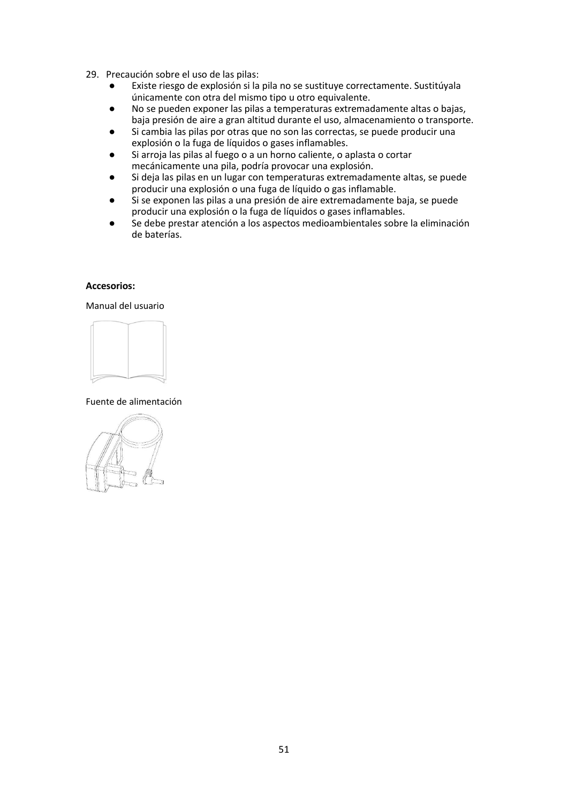- 29. Precaución sobre el uso de las pilas:
	- Existe riesgo de explosión si la pila no se sustituye correctamente. Sustitúyala únicamente con otra del mismo tipo u otro equivalente.
	- No se pueden exponer las pilas a temperaturas extremadamente altas o bajas, baja presión de aire a gran altitud durante el uso, almacenamiento o transporte.
	- Si cambia las pilas por otras que no son las correctas, se puede producir una explosión o la fuga de líquidos o gases inflamables.
	- Si arroja las pilas al fuego o a un horno caliente, o aplasta o cortar mecánicamente una pila, podría provocar una explosión.
	- Si deja las pilas en un lugar con temperaturas extremadamente altas, se puede producir una explosión o una fuga de líquido o gas inflamable.
	- Si se exponen las pilas a una presión de aire extremadamente baja, se puede producir una explosión o la fuga de líquidos o gases inflamables.
	- Se debe prestar atención a los aspectos medioambientales sobre la eliminación de baterías.

#### **Accesorios:**

#### Manual del usuario



Fuente de alimentación

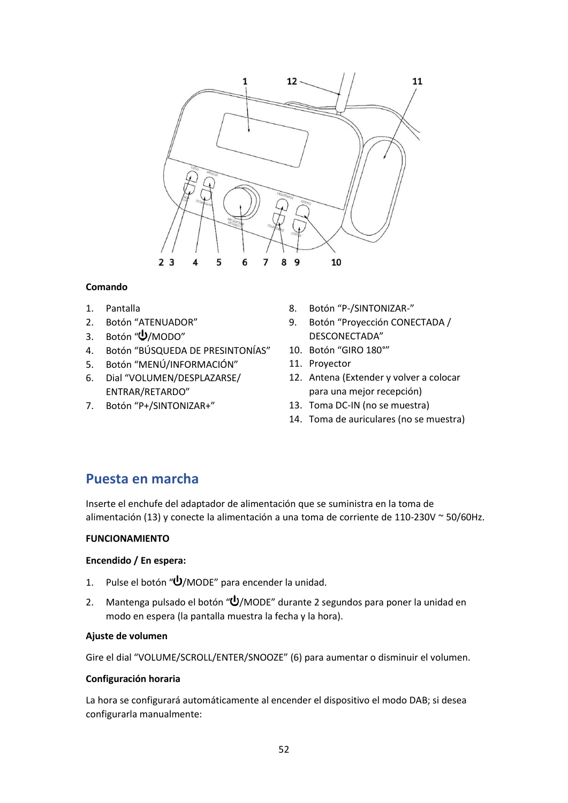

## **Comando**

- 1. Pantalla
- 2. Botón "ATENUADOR"
- 3. Botón " $\bigcup$ /MODO"
- 4. Botón "BÚSQUEDA DE PRESINTONÍAS"
- 5. Botón "MENÚ/INFORMACIÓN"
- 6. Dial "VOLUMEN/DESPLAZARSE/ ENTRAR/RETARDO"
- 7. Botón "P+/SINTONIZAR+"
- 8. Botón "P-/SINTONIZAR-"
- 9. Botón "Proyección CONECTADA / DESCONECTADA"
- 10. Botón "GIRO 180°"
- 11. Proyector
- 12. Antena (Extender y volver a colocar para una mejor recepción)
- 13. Toma DC-IN (no se muestra)
- 14. Toma de auriculares (no se muestra)

# **Puesta en marcha**

Inserte el enchufe del adaptador de alimentación que se suministra en la toma de alimentación (13) y conecte la alimentación a una toma de corriente de 110-230V ~ 50/60Hz.

# **FUNCIONAMIENTO**

# **Encendido / En espera:**

- 1. Pulse el botón " $\bigcup$ /MODE" para encender la unidad.
- 2. Mantenga pulsado el botón " $\dot{\mathbf{\Theta}}$ /MODE" durante 2 segundos para poner la unidad en modo en espera (la pantalla muestra la fecha y la hora).

### **Ajuste de volumen**

Gire el dial "VOLUME/SCROLL/ENTER/SNOOZE" (6) para aumentar o disminuir el volumen.

### **Configuración horaria**

La hora se configurará automáticamente al encender el dispositivo el modo DAB; si desea configurarla manualmente: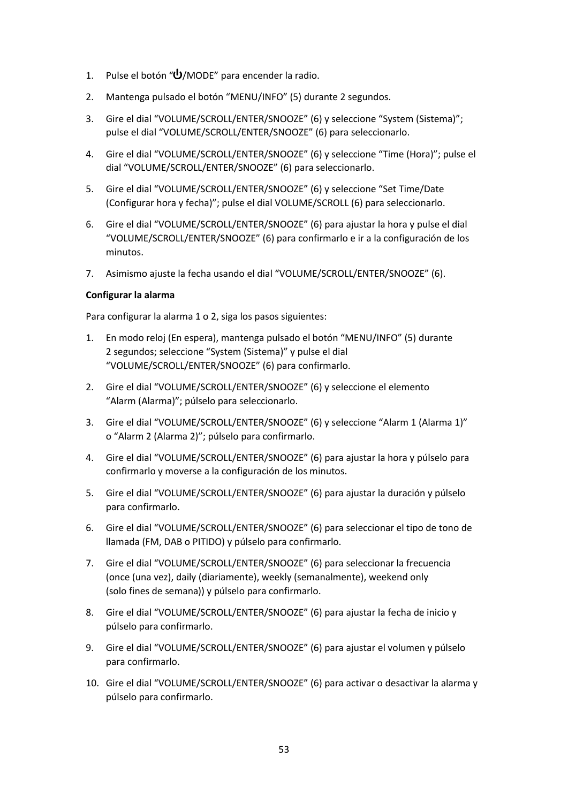- 1. Pulse el botón "U/MODE" para encender la radio.
- 2. Mantenga pulsado el botón "MENU/INFO" (5) durante 2 segundos.
- 3. Gire el dial "VOLUME/SCROLL/ENTER/SNOOZE" (6) y seleccione "System (Sistema)"; pulse el dial "VOLUME/SCROLL/ENTER/SNOOZE" (6) para seleccionarlo.
- 4. Gire el dial "VOLUME/SCROLL/ENTER/SNOOZE" (6) y seleccione "Time (Hora)"; pulse el dial "VOLUME/SCROLL/ENTER/SNOOZE" (6) para seleccionarlo.
- 5. Gire el dial "VOLUME/SCROLL/ENTER/SNOOZE" (6) y seleccione "Set Time/Date (Configurar hora y fecha)"; pulse el dial VOLUME/SCROLL (6) para seleccionarlo.
- 6. Gire el dial "VOLUME/SCROLL/ENTER/SNOOZE" (6) para ajustar la hora y pulse el dial "VOLUME/SCROLL/ENTER/SNOOZE" (6) para confirmarlo e ir a la configuración de los minutos.
- 7. Asimismo ajuste la fecha usando el dial "VOLUME/SCROLL/ENTER/SNOOZE" (6).

## **Configurar la alarma**

Para configurar la alarma 1 o 2, siga los pasos siguientes:

- 1. En modo reloj (En espera), mantenga pulsado el botón "MENU/INFO" (5) durante 2 segundos; seleccione "System (Sistema)" y pulse el dial "VOLUME/SCROLL/ENTER/SNOOZE" (6) para confirmarlo.
- 2. Gire el dial "VOLUME/SCROLL/ENTER/SNOOZE" (6) y seleccione el elemento "Alarm (Alarma)"; púlselo para seleccionarlo.
- 3. Gire el dial "VOLUME/SCROLL/ENTER/SNOOZE" (6) y seleccione "Alarm 1 (Alarma 1)" o "Alarm 2 (Alarma 2)"; púlselo para confirmarlo.
- 4. Gire el dial "VOLUME/SCROLL/ENTER/SNOOZE" (6) para ajustar la hora y púlselo para confirmarlo y moverse a la configuración de los minutos.
- 5. Gire el dial "VOLUME/SCROLL/ENTER/SNOOZE" (6) para ajustar la duración y púlselo para confirmarlo.
- 6. Gire el dial "VOLUME/SCROLL/ENTER/SNOOZE" (6) para seleccionar el tipo de tono de llamada (FM, DAB o PITIDO) y púlselo para confirmarlo.
- 7. Gire el dial "VOLUME/SCROLL/ENTER/SNOOZE" (6) para seleccionar la frecuencia (once (una vez), daily (diariamente), weekly (semanalmente), weekend only (solo fines de semana)) y púlselo para confirmarlo.
- 8. Gire el dial "VOLUME/SCROLL/ENTER/SNOOZE" (6) para ajustar la fecha de inicio y púlselo para confirmarlo.
- 9. Gire el dial "VOLUME/SCROLL/ENTER/SNOOZE" (6) para ajustar el volumen y púlselo para confirmarlo.
- 10. Gire el dial "VOLUME/SCROLL/ENTER/SNOOZE" (6) para activar o desactivar la alarma y púlselo para confirmarlo.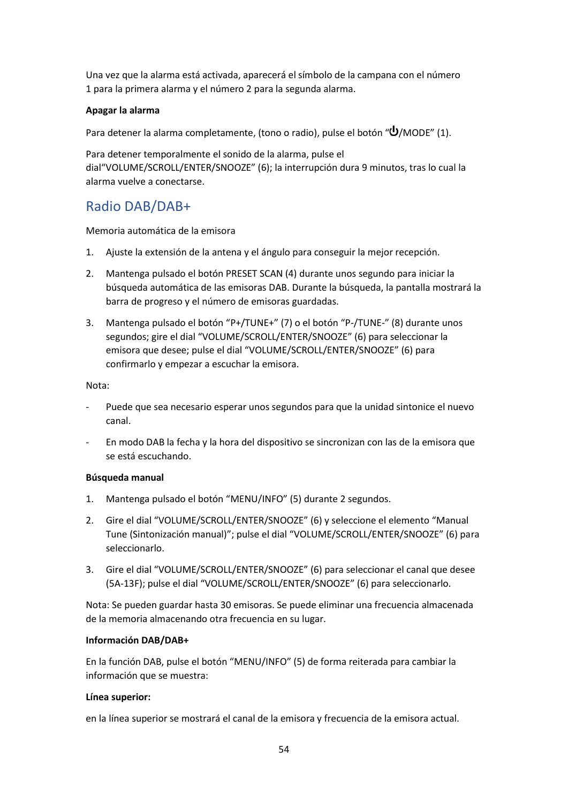Una vez que la alarma está activada, aparecerá el símbolo de la campana con el número 1 para la primera alarma y el número 2 para la segunda alarma.

## **Apagar la alarma**

Para detener la alarma completamente, (tono o radio), pulse el botón " $\bigcup$ /MODE" (1).

Para detener temporalmente el sonido de la alarma, pulse el dial"VOLUME/SCROLL/ENTER/SNOOZE" (6); la interrupción dura 9 minutos, tras lo cual la alarma vuelve a conectarse.

# Radio DAB/DAB+

Memoria automática de la emisora

- 1. Ajuste la extensión de la antena y el ángulo para conseguir la mejor recepción.
- 2. Mantenga pulsado el botón PRESET SCAN (4) durante unos segundo para iniciar la búsqueda automática de las emisoras DAB. Durante la búsqueda, la pantalla mostrará la barra de progreso y el número de emisoras guardadas.
- 3. Mantenga pulsado el botón "P+/TUNE+" (7) o el botón "P-/TUNE-" (8) durante unos segundos; gire el dial "VOLUME/SCROLL/ENTER/SNOOZE" (6) para seleccionar la emisora que desee; pulse el dial "VOLUME/SCROLL/ENTER/SNOOZE" (6) para confirmarlo y empezar a escuchar la emisora.

### Nota:

- ‐ Puede que sea necesario esperar unos segundos para que la unidad sintonice el nuevo canal.
- ‐ En modo DAB la fecha y la hora del dispositivo se sincronizan con las de la emisora que se está escuchando.

### **Búsqueda manual**

- 1. Mantenga pulsado el botón "MENU/INFO" (5) durante 2 segundos.
- 2. Gire el dial "VOLUME/SCROLL/ENTER/SNOOZE" (6) y seleccione el elemento "Manual Tune (Sintonización manual)"; pulse el dial "VOLUME/SCROLL/ENTER/SNOOZE" (6) para seleccionarlo.
- 3. Gire el dial "VOLUME/SCROLL/ENTER/SNOOZE" (6) para seleccionar el canal que desee (5A-13F); pulse el dial "VOLUME/SCROLL/ENTER/SNOOZE" (6) para seleccionarlo.

Nota: Se pueden guardar hasta 30 emisoras. Se puede eliminar una frecuencia almacenada de la memoria almacenando otra frecuencia en su lugar.

### **Información DAB/DAB+**

En la función DAB, pulse el botón "MENU/INFO" (5) de forma reiterada para cambiar la información que se muestra:

### **Línea superior:**

en la línea superior se mostrará el canal de la emisora y frecuencia de la emisora actual.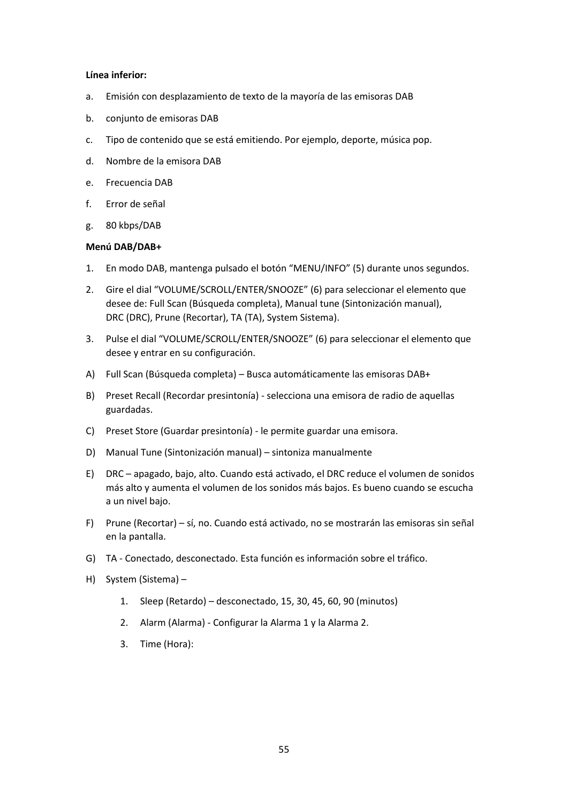#### **Línea inferior:**

- a. Emisión con desplazamiento de texto de la mayoría de las emisoras DAB
- b. conjunto de emisoras DAB
- c. Tipo de contenido que se está emitiendo. Por ejemplo, deporte, música pop.
- d. Nombre de la emisora DAB
- e. Frecuencia DAB
- f. Error de señal
- g. 80 kbps/DAB

#### **Menú DAB/DAB+**

- 1. En modo DAB, mantenga pulsado el botón "MENU/INFO" (5) durante unos segundos.
- 2. Gire el dial "VOLUME/SCROLL/ENTER/SNOOZE" (6) para seleccionar el elemento que desee de: Full Scan (Búsqueda completa), Manual tune (Sintonización manual), DRC (DRC), Prune (Recortar), TA (TA), System Sistema).
- 3. Pulse el dial "VOLUME/SCROLL/ENTER/SNOOZE" (6) para seleccionar el elemento que desee y entrar en su configuración.
- A) Full Scan (Búsqueda completa) Busca automáticamente las emisoras DAB+
- B) Preset Recall (Recordar presintonía) selecciona una emisora de radio de aquellas guardadas.
- C) Preset Store (Guardar presintonía) le permite guardar una emisora.
- D) Manual Tune (Sintonización manual) sintoniza manualmente
- E) DRC apagado, bajo, alto. Cuando está activado, el DRC reduce el volumen de sonidos más alto y aumenta el volumen de los sonidos más bajos. Es bueno cuando se escucha a un nivel bajo.
- F) Prune (Recortar) sí, no. Cuando está activado, no se mostrarán las emisoras sin señal en la pantalla.
- G) TA Conectado, desconectado. Esta función es información sobre el tráfico.
- H) System (Sistema)
	- 1. Sleep (Retardo) desconectado, 15, 30, 45, 60, 90 (minutos)
	- 2. Alarm (Alarma) Configurar la Alarma 1 y la Alarma 2.
	- 3. Time (Hora):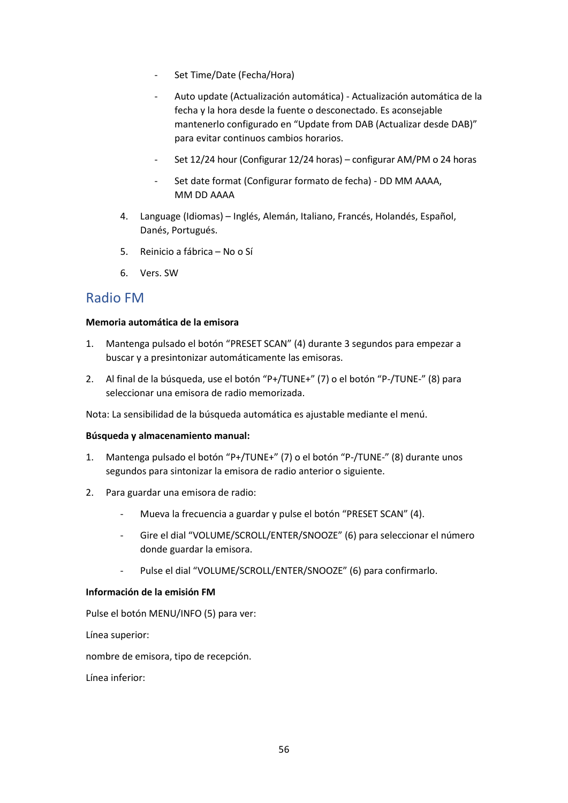- ‐ Set Time/Date (Fecha/Hora)
- ‐ Auto update (Actualización automática) Actualización automática de la fecha y la hora desde la fuente o desconectado. Es aconsejable mantenerlo configurado en "Update from DAB (Actualizar desde DAB)" para evitar continuos cambios horarios.
- ‐ Set 12/24 hour (Configurar 12/24 horas) configurar AM/PM o 24 horas
- Set date format (Configurar formato de fecha) DD MM AAAA, MM DD AAAA
- 4. Language (Idiomas) Inglés, Alemán, Italiano, Francés, Holandés, Español, Danés, Portugués.
- 5. Reinicio a fábrica No o Sí
- 6. Vers. SW

# Radio FM

## **Memoria automática de la emisora**

- 1. Mantenga pulsado el botón "PRESET SCAN" (4) durante 3 segundos para empezar a buscar y a presintonizar automáticamente las emisoras.
- 2. Al final de la búsqueda, use el botón "P+/TUNE+" (7) o el botón "P-/TUNE-" (8) para seleccionar una emisora de radio memorizada.

Nota: La sensibilidad de la búsqueda automática es ajustable mediante el menú.

### **Búsqueda y almacenamiento manual:**

- 1. Mantenga pulsado el botón "P+/TUNE+" (7) o el botón "P-/TUNE-" (8) durante unos segundos para sintonizar la emisora de radio anterior o siguiente.
- 2. Para guardar una emisora de radio:
	- ‐ Mueva la frecuencia a guardar y pulse el botón "PRESET SCAN" (4).
	- ‐ Gire el dial "VOLUME/SCROLL/ENTER/SNOOZE" (6) para seleccionar el número donde guardar la emisora.
	- ‐ Pulse el dial "VOLUME/SCROLL/ENTER/SNOOZE" (6) para confirmarlo.

### **Información de la emisión FM**

Pulse el botón MENU/INFO (5) para ver:

Línea superior:

nombre de emisora, tipo de recepción.

Línea inferior: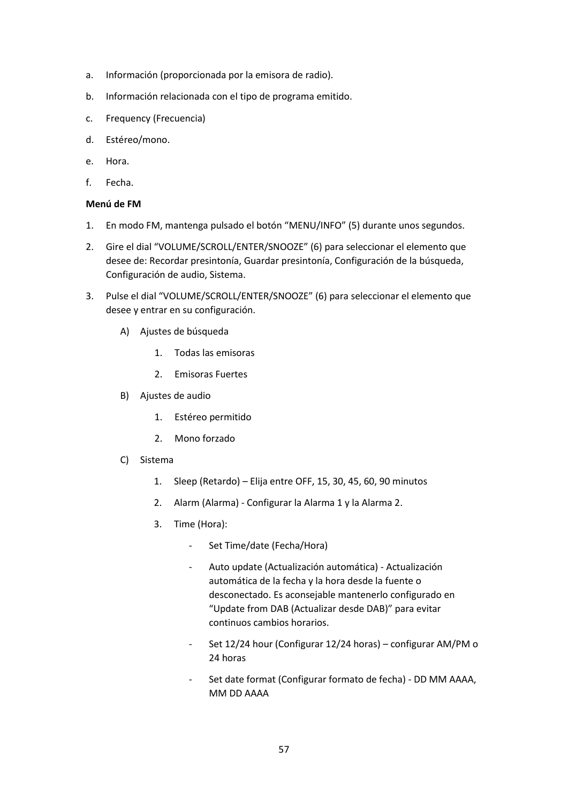- a. Información (proporcionada por la emisora de radio).
- b. Información relacionada con el tipo de programa emitido.
- c. Frequency (Frecuencia)
- d. Estéreo/mono.
- e. Hora.
- f. Fecha.

### **Menú de FM**

- 1. En modo FM, mantenga pulsado el botón "MENU/INFO" (5) durante unos segundos.
- 2. Gire el dial "VOLUME/SCROLL/ENTER/SNOOZE" (6) para seleccionar el elemento que desee de: Recordar presintonía, Guardar presintonía, Configuración de la búsqueda, Configuración de audio, Sistema.
- 3. Pulse el dial "VOLUME/SCROLL/ENTER/SNOOZE" (6) para seleccionar el elemento que desee y entrar en su configuración.
	- A) Ajustes de búsqueda
		- 1. Todas las emisoras
		- 2. Emisoras Fuertes
	- B) Ajustes de audio
		- 1. Estéreo permitido
		- 2. Mono forzado
	- C) Sistema
		- 1. Sleep (Retardo) Elija entre OFF, 15, 30, 45, 60, 90 minutos
		- 2. Alarm (Alarma) Configurar la Alarma 1 y la Alarma 2.
		- 3. Time (Hora):
			- Set Time/date (Fecha/Hora)
			- ‐ Auto update (Actualización automática) Actualización automática de la fecha y la hora desde la fuente o desconectado. Es aconsejable mantenerlo configurado en "Update from DAB (Actualizar desde DAB)" para evitar continuos cambios horarios.
			- ‐ Set 12/24 hour (Configurar 12/24 horas) configurar AM/PM o 24 horas
			- Set date format (Configurar formato de fecha) DD MM AAAA, MM DD AAAA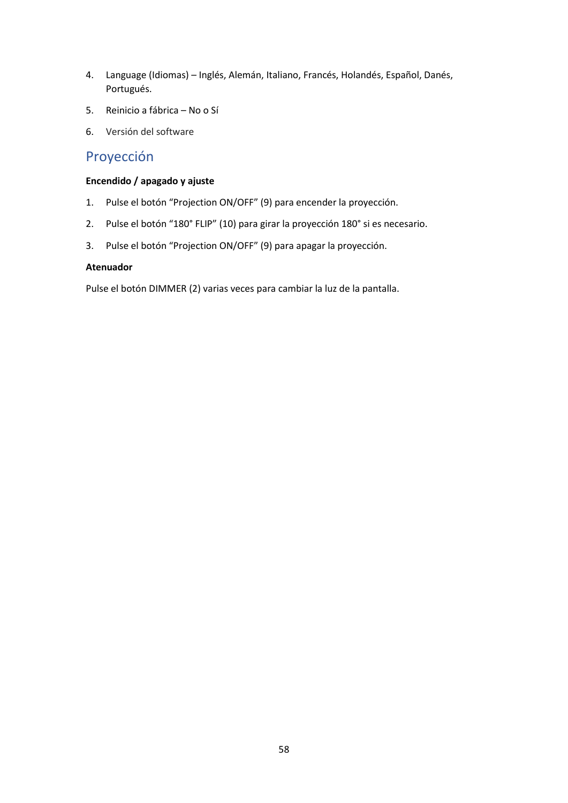- 4. Language (Idiomas) Inglés, Alemán, Italiano, Francés, Holandés, Español, Danés, Portugués.
- 5. Reinicio a fábrica No o Sí
- 6. Versión del software

# Proyección

# **Encendido / apagado y ajuste**

- 1. Pulse el botón "Projection ON/OFF" (9) para encender la proyección.
- 2. Pulse el botón "180° FLIP" (10) para girar la proyección 180° si es necesario.
- 3. Pulse el botón "Projection ON/OFF" (9) para apagar la proyección.

## **Atenuador**

Pulse el botón DIMMER (2) varias veces para cambiar la luz de la pantalla.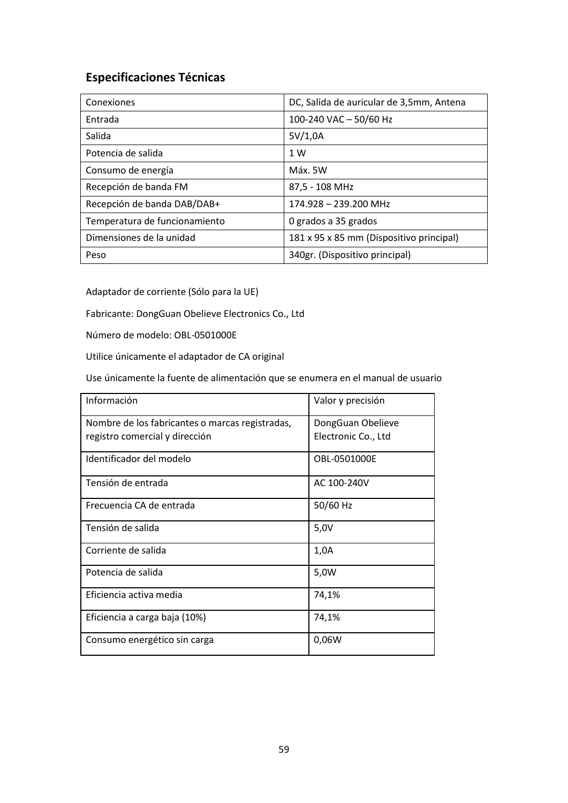# **Especificaciones Técnicas**

| Conexiones                    | DC, Salida de auricular de 3,5mm, Antena |
|-------------------------------|------------------------------------------|
| Entrada                       | 100-240 VAC - 50/60 Hz                   |
| Salida                        | 5V/1,0A                                  |
| Potencia de salida            | 1 W                                      |
| Consumo de energía            | Máx. 5W                                  |
| Recepción de banda FM         | 87,5 - 108 MHz                           |
| Recepción de banda DAB/DAB+   | 174.928 - 239.200 MHz                    |
| Temperatura de funcionamiento | 0 grados a 35 grados                     |
| Dimensiones de la unidad      | 181 x 95 x 85 mm (Dispositivo principal) |
| Peso                          | 340gr. (Dispositivo principal)           |

Adaptador de corriente (Sólo para la UE)

Fabricante: DongGuan Obelieve Electronics Co., Ltd

Número de modelo: OBL-0501000E

Utilice únicamente el adaptador de CA original

Use únicamente la fuente de alimentación que se enumera en el manual de usuario

| Información                                     | Valor y precisión   |
|-------------------------------------------------|---------------------|
| Nombre de los fabricantes o marcas registradas, | DongGuan Obelieve   |
| registro comercial y dirección                  | Electronic Co., Ltd |
| Identificador del modelo                        | OBL-0501000E        |
| Tensión de entrada                              | AC 100-240V         |
| Frecuencia CA de entrada                        | 50/60 Hz            |
| Tensión de salida                               | 5,0V                |
| Corriente de salida                             | 1,0A                |
| Potencia de salida                              | 5,0W                |
| Eficiencia activa media                         | 74,1%               |
| Eficiencia a carga baja (10%)                   | 74,1%               |
| Consumo energético sin carga                    | 0,06W               |